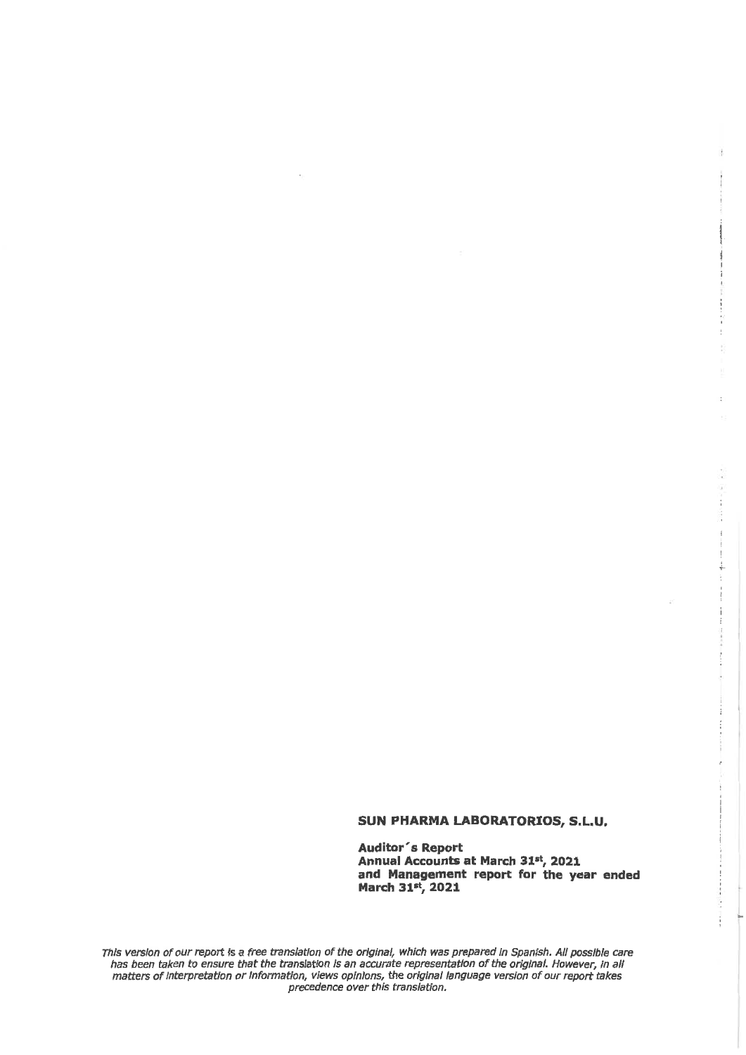#### SUN PHARMA LABORATORIOS, S.L.U.

Auditor's Report Annual Accounts at March 31st, 2021 and Management report for the year ended March 31st, 2021

 $\frac{1}{2}$ 

÷

Ĭ  $\frac{1}{3}$ 

÷

 $\frac{1}{3}$ 

 $\mathcal{L}$ 

This version of our report is a free translation of the original, which was prepared in Spanish. All possible care has been taken to ensure that the translation is an accurate representation of the original. However, in all<br>matters of interpretation or information, views opinions, the original language version of our report takes precedence over this translation.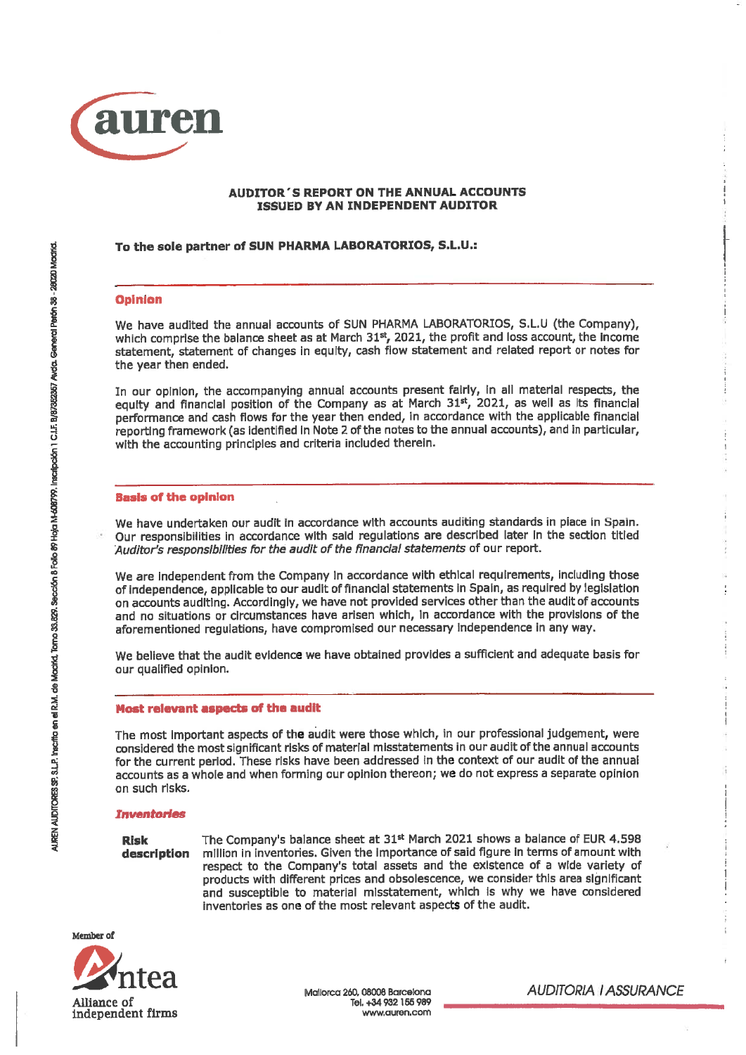

#### **AUDITOR'S REPORT ON THE ANNUAL ACCOUNTS ISSUED BY AN INDEPENDENT AUDITOR**

#### To the sole partner of SUN PHARMA LABORATORIOS, S.L.U.:

#### Opinion

We have audited the annual accounts of SUN PHARMA LABORATORIOS, S.L.U (the Company), which comprise the balance sheet as at March 31<sup>st</sup>, 2021, the profit and loss account, the Income statement, statement of changes in equity, cash flow statement and related report or notes for the year then ended.

In our opinion, the accompanying annual accounts present fairly, in all material respects, the equity and financial position of the Company as at March 31<sup>st</sup>, 2021, as well as its financial performance and cash flows for the year then ended, in accordance with the applicable financial reporting framework (as identified in Note 2 of the notes to the annual accounts), and in particular, with the accounting principles and criteria included therein.

#### **Basis of the opinion**

We have undertaken our audit in accordance with accounts auditing standards in place in Spain. Our responsibilities in accordance with said regulations are described later in the section titled Auditor's responsibilities for the audit of the financial statements of our report.

We are independent from the Company in accordance with ethical requirements, including those of independence, applicable to our audit of financial statements in Spain, as required by legislation on accounts auditing. Accordingly, we have not provided services other than the audit of accounts and no situations or circumstances have arisen which, in accordance with the provisions of the aforementioned regulations, have compromised our necessary independence in any way.

We believe that the audit evidence we have obtained provides a sufficient and adequate basis for our qualified opinion.

#### Most relevant aspects of the audit

The most important aspects of the audit were those which, in our professional judgement, were considered the most significant risks of material misstatements in our audit of the annual accounts for the current period. These risks have been addressed in the context of our audit of the annual accounts as a whole and when forming our opinion thereon; we do not express a separate opinion on such risks.

#### **Inventories**

**Risk** description

The Company's balance sheet at 31<sup>st</sup> March 2021 shows a balance of EUR 4.598 million in inventories. Given the Importance of said figure in terms of amount with respect to the Company's total assets and the existence of a wide variety of products with different prices and obsolescence, we consider this area significant and susceptible to material misstatement, which is why we have considered inventories as one of the most relevant aspects of the audit.



Mallorca 260, 08008 Barcelona Tel. +34 932 155 989 www.auren.com **AUDITORIA I ASSURANCE**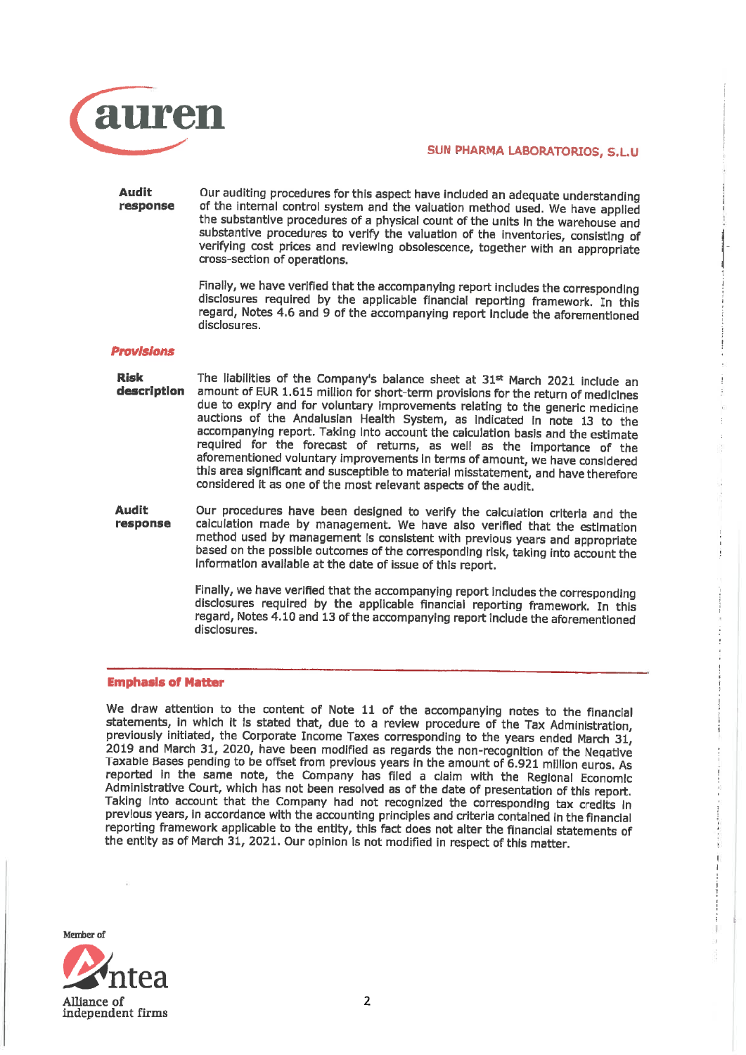

# SUN PHARMA LABORATORIOS, S.L.U

Our auditing procedures for this aspect have included an adequate understanding Audit of the internal control system and the valuation method used. We have applied response the substantive procedures of a physical count of the units in the warehouse and substantive procedures to verify the valuation of the inventories, consisting of verifying cost prices and reviewing obsolescence, together with an appropriate cross-section of operations.

> Finally, we have verified that the accompanying report includes the corresponding disclosures required by the applicable financial reporting framework. In this regard, Notes 4.6 and 9 of the accompanying report include the aforementioned disclosures.

#### **Provisions**

- **Risk** The liabilities of the Company's balance sheet at 31<sup>st</sup> March 2021 include an amount of EUR 1.615 million for short-term provisions for the return of medicines description due to expiry and for voluntary improvements relating to the generic medicine auctions of the Andalusian Health System, as indicated in note 13 to the accompanying report. Taking Into account the calculation basis and the estimate required for the forecast of returns, as well as the importance of the aforementioned voluntary improvements in terms of amount, we have considered this area significant and susceptible to material misstatement, and have therefore considered it as one of the most relevant aspects of the audit.
- Our procedures have been designed to verify the calculation criteria and the **Audit** calculation made by management. We have also verified that the estimation response method used by management is consistent with previous years and appropriate based on the possible outcomes of the corresponding risk, taking into account the information available at the date of issue of this report.

Finally, we have verified that the accompanying report includes the corresponding disclosures required by the applicable financial reporting framework. In this regard, Notes 4.10 and 13 of the accompanying report include the aforementioned disclosures.

#### **Emphasis of Matter**

We draw attention to the content of Note 11 of the accompanying notes to the financial statements, in which it is stated that, due to a review procedure of the Tax Administration, previously initiated, the Corporate Income Taxes corresponding to the years ended March 31, 2019 and March 31, 2020, have been modified as regards the non-recognition of the Negative Taxable Bases pending to be offset from previous years in the amount of 6.921 million euros. As reported in the same note, the Company has filed a claim with the Regional Economic Administrative Court, which has not been resolved as of the date of presentation of this report. Taking into account that the Company had not recognized the corresponding tax credits in previous years, in accordance with the accounting principles and criteria contained in the financial reporting framework applicable to the entity, this fact does not alter the financial statements of the entity as of March 31, 2021. Our opinion is not modified in respect of this matter.

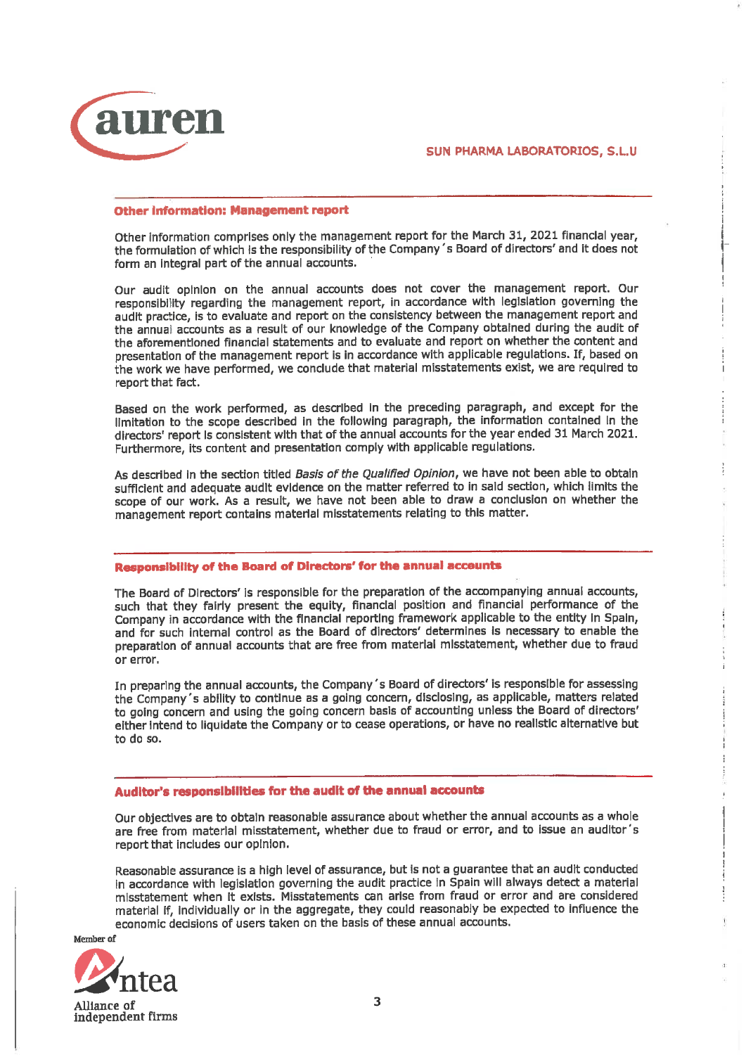

#### **Other Information: Management report**

Other information comprises only the management report for the March 31, 2021 financial year. the formulation of which is the responsibility of the Company's Board of directors' and it does not form an integral part of the annual accounts.

Our audit opinion on the annual accounts does not cover the management report. Our responsibility regarding the management report, in accordance with legislation governing the audit practice, is to evaluate and report on the consistency between the management report and the annual accounts as a result of our knowledge of the Company obtained during the audit of the aforementioned financial statements and to evaluate and report on whether the content and presentation of the management report is in accordance with applicable regulations. If, based on the work we have performed, we conclude that material misstatements exist, we are required to report that fact.

Based on the work performed, as described in the preceding paragraph, and except for the limitation to the scope described in the following paragraph, the information contained in the directors' report is consistent with that of the annual accounts for the year ended 31 March 2021. Furthermore, its content and presentation comply with applicable regulations.

As described in the section titled Basis of the Qualified Opinion, we have not been able to obtain sufficient and adequate audit evidence on the matter referred to in said section, which limits the scope of our work. As a result, we have not been able to draw a conclusion on whether the management report contains material misstatements relating to this matter.

#### Responsibility of the Board of Directors' for the annual accounts

The Board of Directors' is responsible for the preparation of the accompanying annual accounts. such that they fairly present the equity, financial position and financial performance of the Company in accordance with the financial reporting framework applicable to the entity in Spain, and for such internal control as the Board of directors' determines is necessary to enable the preparation of annual accounts that are free from material misstatement, whether due to fraud or error.

In preparing the annual accounts, the Company's Board of directors' is responsible for assessing the Company's ability to continue as a going concern, disclosing, as applicable, matters related to going concern and using the going concern basis of accounting unless the Board of directors' either intend to liquidate the Company or to cease operations, or have no realistic alternative but to do so.

#### Auditor's responsibilities for the audit of the annual accounts

Our objectives are to obtain reasonable assurance about whether the annual accounts as a whole are free from material misstatement, whether due to fraud or error, and to issue an auditor's report that includes our opinion.

Reasonable assurance is a high level of assurance, but is not a guarantee that an audit conducted in accordance with legislation governing the audit practice in Spain will always detect a material misstatement when it exists. Misstatements can arise from fraud or error and are considered material if, individually or in the aggregate, they could reasonably be expected to influence the economic decisions of users taken on the basis of these annual accounts.

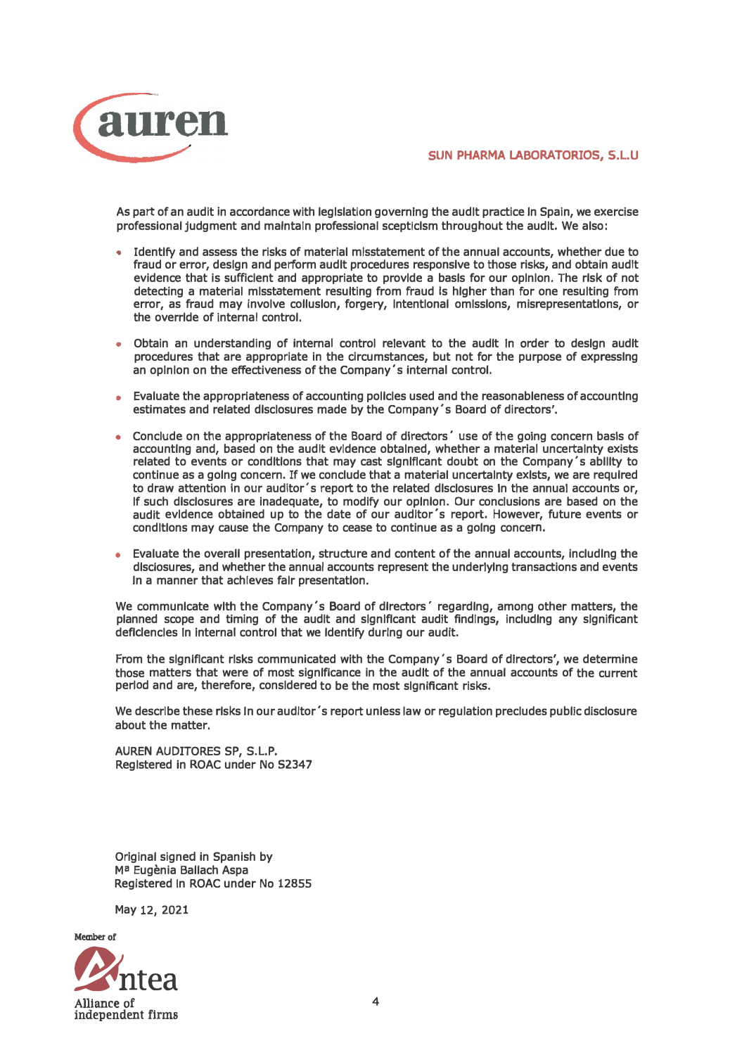

**SUN PHARMA LABORATORIOS, S.L.U** 

**As part of an audit In accordance with leglslation governing the audlt practice In Spain, we exercise professional judgment and malntaln professional scepticlsm throughout the audlt. We also:** 

- **• Identlfy and assess the risks of material mlsstatement of the annual accounts, whether due to fraud or error, deslgn and perform audlt procedures responslve to those risks, and obtain audlt evidence that is sufficlent and appropriate to provlde a basls for our oplnlon. The rlsk of not detecting a material mlsstatement resulting from fraud Is hlgher than far one resulting from error, as fraud may involve colluslon, forgery, lntentlonal omlsslons, misrepresentatlons, or the overrlde of Interna! control.**
- Obtain an understanding of internal control relevant to the audit in order to design audit **procedures that are appropriate in the clrcumstances, but not far the purpose of expresslng** an opinion on the effectiveness of the Company's internal control.
- **• Evaluate the appropriateness of accounting pollcles used and the reasonableness of accountlng** estimates and related disclosures made by the Company's Board of directors'.
- Conclude on the appropriateness of the Board of directors' use of the going concern basis of **accountlng and, based on the audlt evldence obtalned, whether a materia! uncertalnty exists related to events or condltlons that may cast slgnlflcant doubt on the Company' s ablllty to continue as a golng concern. If we conclude that a material uncertalnty exlsts, we are requlred to draw attention In our auditor· s report to the related dlsclosures In the annual accounts or, lf such dlsclosures are inadequate, to modify our oplnlon. Our conclusions are based on the audit evldence obtained up to the date of our auditor' s report. However, future events or condltlons may cause the Company to cease to continua as a golng concem.**
- **• Evaluate the overall presentation, structure and content of the annual accounts, includlng the dlsclosures, and whether the annual accounts represent the underlylng transactions and events In a manner that achleves falr presentatlon.**

We communicate with the Company's Board of directors' regarding, among other matters, the **planned scope and timlng of the audlt and slgnlflcant audit findlngs, includlng any slgnificant defldencles In interna! control that we ldentify durlng our audit.** 

**From the slgnlflcant rlsks communicated with the Company 's Board of directors', we determine those matters that were of most signlflcance in the audlt of the annual accounts of the current perlad and are, therefore, consldered to be the most slgnlflcant risks.** 

We describe these risks in our auditor's report unless law or regulation precludes public disclosure **about the matter.** 

**AUREN AUDITORES SP, S.L.P. Reglstered In ROAC under No 52347** 

**Original signed in Spanish by Mª Eugenia Ballach Aspa Registered In ROAC under** No 12855

**May** 12, **2021** 

**Member** of

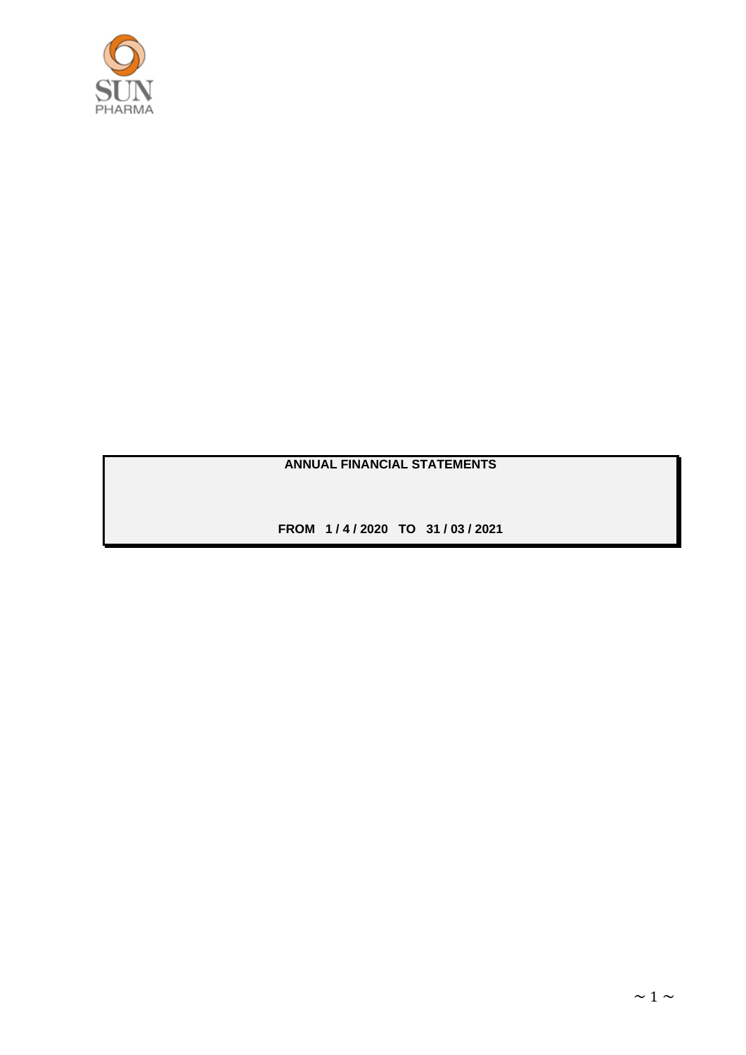

# **ANNUAL FINANCIAL STATEMENTS**

**FROM 1 / 4 / 2020 TO 31 / 03 / 2021**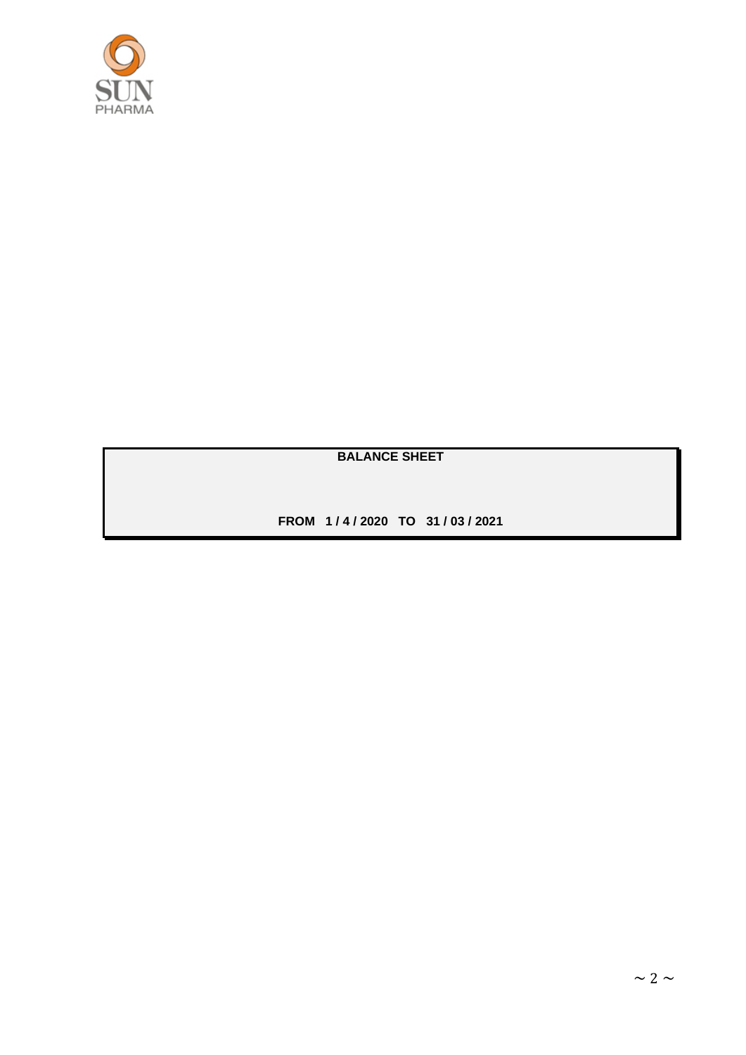

**BALANCE SHEET**

**FROM 1 / 4 / 2020 TO 31 / 03 / 2021**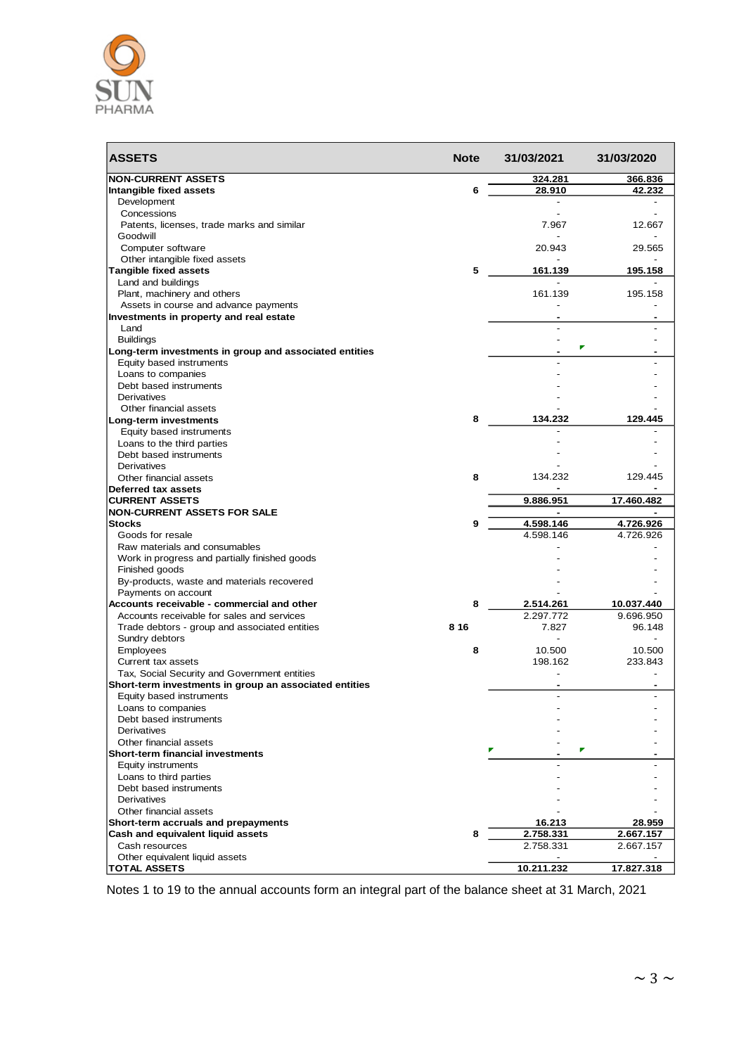

| <b>ASSETS</b>                                                                  | <b>Note</b> | 31/03/2021 | 31/03/2020 |
|--------------------------------------------------------------------------------|-------------|------------|------------|
| <b>NON-CURRENT ASSETS</b>                                                      |             | 324.281    | 366.836    |
| Intangible fixed assets                                                        | 6           | 28.910     | 42.232     |
| Development                                                                    |             |            |            |
| Concessions                                                                    |             |            |            |
| Patents, licenses, trade marks and similar<br>Goodwill                         |             | 7.967      | 12.667     |
| Computer software                                                              |             | 20.943     | 29.565     |
| Other intangible fixed assets                                                  |             |            |            |
| Tangible fixed assets                                                          | 5           | 161.139    | 195.158    |
| Land and buildings                                                             |             |            |            |
| Plant, machinery and others                                                    |             | 161.139    | 195.158    |
| Assets in course and advance payments                                          |             |            |            |
| Investments in property and real estate                                        |             |            |            |
| Land                                                                           |             |            |            |
| <b>Buildings</b>                                                               |             | ▼          |            |
| Long-term investments in group and associated entities                         |             |            |            |
| Equity based instruments                                                       |             |            |            |
| Loans to companies<br>Debt based instruments                                   |             |            |            |
| Derivatives                                                                    |             |            |            |
| Other financial assets                                                         |             |            |            |
| Long-term investments                                                          | 8           | 134.232    | 129.445    |
| Equity based instruments                                                       |             |            |            |
| Loans to the third parties                                                     |             |            |            |
| Debt based instruments                                                         |             |            |            |
| Derivatives                                                                    |             |            |            |
| Other financial assets                                                         | 8           | 134.232    | 129.445    |
| Deferred tax assets                                                            |             |            |            |
| <b>CURRENT ASSETS</b>                                                          |             | 9.886.951  | 17.460.482 |
| <b>NON-CURRENT ASSETS FOR SALE</b>                                             |             |            |            |
| Stocks                                                                         | 9           | 4.598.146  | 4.726.926  |
| Goods for resale                                                               |             | 4.598.146  | 4.726.926  |
| Raw materials and consumables<br>Work in progress and partially finished goods |             |            |            |
| Finished goods                                                                 |             |            |            |
| By-products, waste and materials recovered                                     |             |            |            |
| Payments on account                                                            |             |            |            |
| Accounts receivable - commercial and other                                     | 8           | 2.514.261  | 10.037.440 |
| Accounts receivable for sales and services                                     |             | 2.297.772  | 9.696.950  |
| Trade debtors - group and associated entities                                  | 8 1 6       | 7.827      | 96.148     |
| Sundry debtors                                                                 |             |            |            |
| Employees                                                                      | 8           | 10.500     | 10.500     |
| Current tax assets                                                             |             | 198.162    | 233.843    |
| Tax, Social Security and Government entities                                   |             |            |            |
| Short-term investments in group an associated entities                         |             |            |            |
| Equity based instruments                                                       |             |            |            |
| Loans to companies                                                             |             |            |            |
| Debt based instruments<br>Derivatives                                          |             |            |            |
| Other financial assets                                                         |             |            |            |
| Short-term financial investments                                               |             | Б          |            |
| Equity instruments                                                             |             |            |            |
| Loans to third parties                                                         |             |            |            |
| Debt based instruments                                                         |             |            |            |
| Derivatives                                                                    |             |            |            |
| Other financial assets                                                         |             |            |            |
| Short-term accruals and prepayments                                            |             | 16.213     | 28.959     |
| Cash and equivalent liquid assets                                              | 8           | 2.758.331  | 2.667.157  |
| Cash resources                                                                 |             | 2.758.331  | 2.667.157  |
| Other equivalent liquid assets                                                 |             |            |            |
| <b>TOTAL ASSETS</b>                                                            |             | 10.211.232 | 17.827.318 |

Notes 1 to 19 to the annual accounts form an integral part of the balance sheet at 31 March, 2021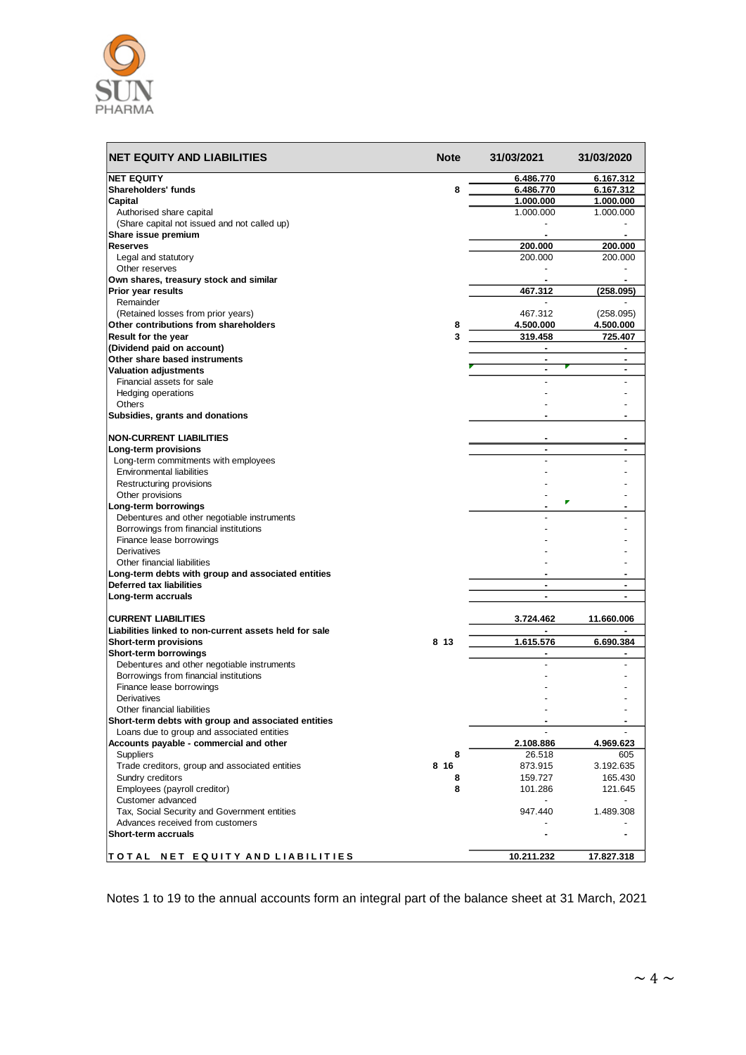# J PHARMA

| <b>NET EQUITY AND LIABILITIES</b>                                                    | <b>Note</b> | 31/03/2021               | 31/03/2020         |
|--------------------------------------------------------------------------------------|-------------|--------------------------|--------------------|
| <b>NET EQUITY</b>                                                                    |             | 6.486.770                | 6.167.312          |
| Shareholders' funds                                                                  | 8           | 6.486.770                | 6.167.312          |
| Capital                                                                              |             | 1.000.000                | 1.000.000          |
| Authorised share capital                                                             |             | 1.000.000                | 1.000.000          |
| (Share capital not issued and not called up)<br>Share issue premium                  |             | ٠                        |                    |
| <b>Reserves</b>                                                                      |             | 200.000                  | 200.000            |
| Legal and statutory                                                                  |             | 200.000                  | 200.000            |
| Other reserves                                                                       |             |                          |                    |
| Own shares, treasury stock and similar                                               |             | ٠                        |                    |
| Prior year results                                                                   |             | 467.312                  | (258.095)          |
| Remainder                                                                            |             |                          |                    |
| (Retained losses from prior years)                                                   |             | 467.312                  | (258.095)          |
| Other contributions from shareholders                                                | 8           | 4.500.000                | 4.500.000          |
| Result for the year                                                                  | 3           | 319.458                  | 725.407            |
| (Dividend paid on account)                                                           |             | $\blacksquare$           |                    |
| Other share based instruments<br><b>Valuation adjustments</b>                        |             | $\blacksquare$<br>۰      |                    |
| Financial assets for sale                                                            |             |                          |                    |
| Hedging operations                                                                   |             |                          |                    |
| Others                                                                               |             |                          |                    |
| Subsidies, grants and donations                                                      |             |                          |                    |
| <b>NON-CURRENT LIABILITIES</b>                                                       |             | ۰                        |                    |
| Long-term provisions                                                                 |             | ä,                       |                    |
| Long-term commitments with employees                                                 |             |                          |                    |
| <b>Environmental liabilities</b>                                                     |             |                          |                    |
| Restructuring provisions                                                             |             |                          |                    |
| Other provisions<br>Long-term borrowings                                             |             |                          |                    |
| Debentures and other negotiable instruments                                          |             |                          |                    |
| Borrowings from financial institutions                                               |             |                          |                    |
| Finance lease borrowings                                                             |             |                          |                    |
| Derivatives                                                                          |             |                          |                    |
| Other financial liabilities                                                          |             |                          |                    |
| Long-term debts with group and associated entities                                   |             |                          |                    |
| Deferred tax liabilities                                                             |             | ۰                        |                    |
| Long-term accruals                                                                   |             | ٠                        |                    |
| <b>CURRENT LIABILITIES</b><br>Liabilities linked to non-current assets held for sale |             | 3.724.462                | 11.660.006         |
| <b>Short-term provisions</b>                                                         | 8 13        | 1.615.576                | 6.690.384          |
| Short-term borrowings                                                                |             |                          |                    |
| Debentures and other negotiable instruments                                          |             |                          |                    |
| Borrowings from financial institutions                                               |             |                          |                    |
| Finance lease borrowings                                                             |             |                          |                    |
| Derivatives                                                                          |             |                          |                    |
| Other financial liabilities                                                          |             |                          |                    |
| Short-term debts with group and associated entities                                  |             |                          |                    |
| Loans due to group and associated entities                                           |             |                          |                    |
| Accounts payable - commercial and other                                              |             | 2.108.886                | 4.969.623          |
| <b>Suppliers</b>                                                                     | 8<br>8 16   | 26.518                   | 605<br>3.192.635   |
| Trade creditors, group and associated entities                                       |             | 873.915<br>159.727       |                    |
| Sundry creditors<br>Employees (payroll creditor)                                     | 8<br>8      | 101.286                  | 165.430<br>121.645 |
| Customer advanced                                                                    |             | $\overline{\phantom{a}}$ |                    |
| Tax, Social Security and Government entities                                         |             | 947.440                  | 1.489.308          |
| Advances received from customers                                                     |             |                          |                    |
| Short-term accruals                                                                  |             |                          |                    |
| TOTAL NET EQUITY AND LIABILITIES                                                     |             | 10.211.232               | 17.827.318         |

Notes 1 to 19 to the annual accounts form an integral part of the balance sheet at 31 March, 2021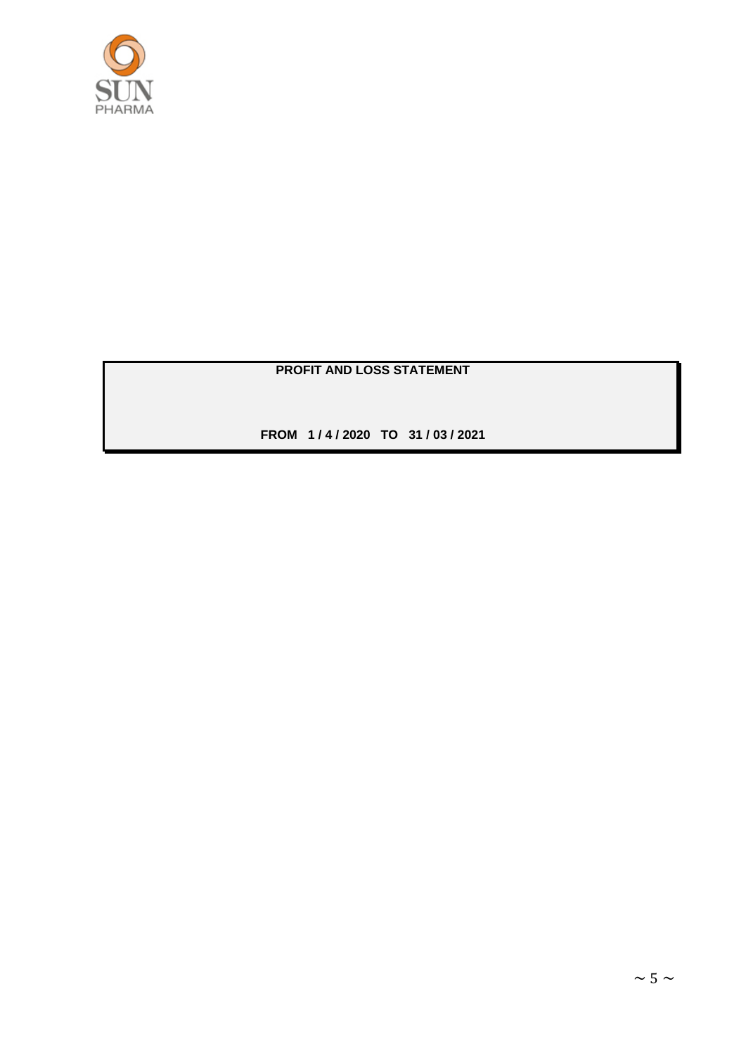

# **PROFIT AND LOSS STATEMENT**

**FROM 1 / 4 / 2020 TO 31 / 03 / 2021**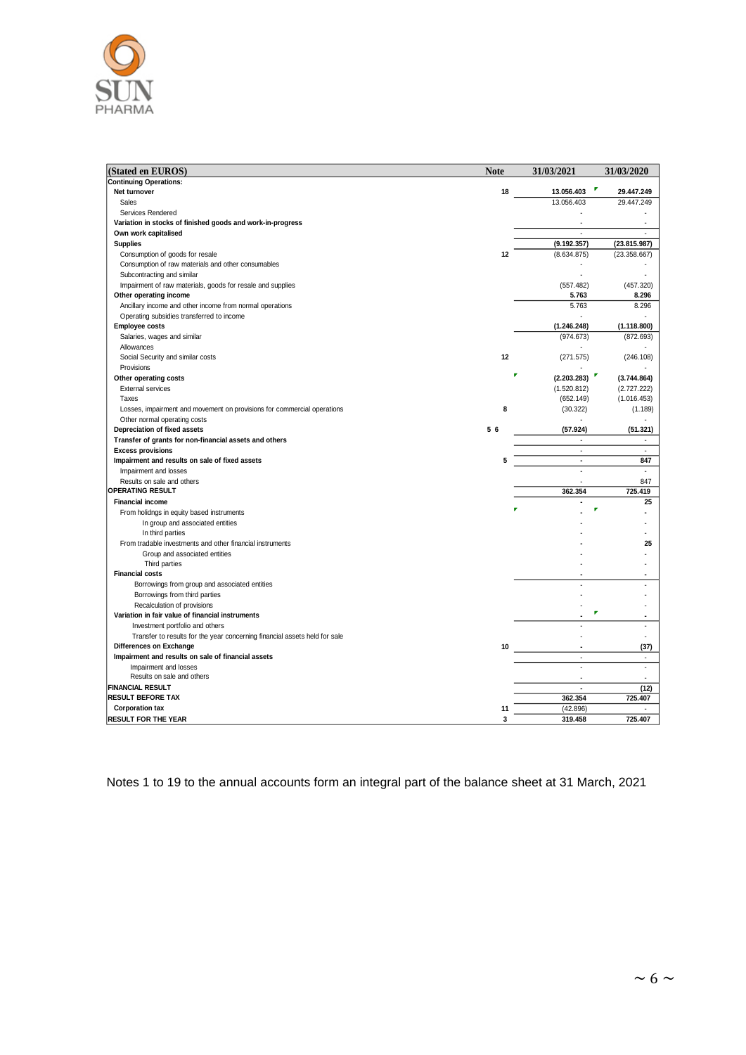

| ۳<br>Net turnover<br>13.056.403<br>29.447.249<br>18<br>13.056.403<br>29.447.249<br>Sales<br>Services Rendered<br>ä,<br>Variation in stocks of finished goods and work-in-progress<br>Own work capitalised<br>$\overline{a}$<br>$\overline{a}$<br><b>Supplies</b><br>(9.192.357)<br>(23.815.987)<br>(8.634.875)<br>(23.358.667)<br>Consumption of goods for resale<br>12<br>Consumption of raw materials and other consumables<br>Subcontracting and similar<br>Impairment of raw materials, goods for resale and supplies<br>(557.482)<br>(457.320)<br>Other operating income<br>5.763<br>8.296<br>5.763<br>8.296<br>Ancillary income and other income from normal operations<br>Operating subsidies transferred to income<br><b>Employee costs</b><br>(1.246.248)<br>(1.118.800)<br>Salaries, wages and similar<br>(974.673)<br>(872.693)<br>Allowances<br>Social Security and similar costs<br>12<br>(271.575)<br>(246.108)<br>Provisions<br>в<br>(2.203.283)<br>Other operating costs<br>(3.744.864)<br><b>External services</b><br>(1.520.812)<br>(2.727.222)<br>Taxes<br>(652.149)<br>(1.016.453)<br>8<br>Losses, impairment and movement on provisions for commercial operations<br>(30.322)<br>(1.189)<br>Other normal operating costs<br>Depreciation of fixed assets<br>56<br>(57.924)<br>(51.321)<br>Transfer of grants for non-financial assets and others<br>$\Box$<br>$\overline{\phantom{a}}$<br><b>Excess provisions</b><br>÷.<br>847<br>Impairment and results on sale of fixed assets<br>ä,<br>5<br>Impairment and losses<br>$\sim$<br>Results on sale and others<br>847<br>÷<br>725.419<br>362.354<br>25<br><b>Financial income</b><br>P.<br>P<br>From holidngs in equity based instruments<br>In group and associated entities<br>In third parties<br>From tradable investments and other financial instruments<br>25<br>Group and associated entities<br>Third parties<br><b>Financial costs</b><br>Borrowings from group and associated entities<br>Borrowings from third parties<br>Recalculation of provisions<br>P.<br>Variation in fair value of financial instruments<br>Investment portfolio and others<br>$\overline{a}$<br>Transfer to results for the year concerning financial assets held for sale<br>Differences on Exchange<br>(37)<br>10<br>Impairment and results on sale of financial assets<br>$\overline{a}$<br>Impairment and losses<br>÷.<br>Results on sale and others<br>÷.<br>÷.<br>(12)<br>ä,<br>362.354<br>725.407<br><b>Corporation tax</b><br>11<br>(42.896)<br>÷.<br>725.407<br>3<br>319.458 | (Stated en EUROS)             | <b>Note</b> | 31/03/2021 | 31/03/2020 |
|-----------------------------------------------------------------------------------------------------------------------------------------------------------------------------------------------------------------------------------------------------------------------------------------------------------------------------------------------------------------------------------------------------------------------------------------------------------------------------------------------------------------------------------------------------------------------------------------------------------------------------------------------------------------------------------------------------------------------------------------------------------------------------------------------------------------------------------------------------------------------------------------------------------------------------------------------------------------------------------------------------------------------------------------------------------------------------------------------------------------------------------------------------------------------------------------------------------------------------------------------------------------------------------------------------------------------------------------------------------------------------------------------------------------------------------------------------------------------------------------------------------------------------------------------------------------------------------------------------------------------------------------------------------------------------------------------------------------------------------------------------------------------------------------------------------------------------------------------------------------------------------------------------------------------------------------------------------------------------------------------------------------------------------------------------------------------------------------------------------------------------------------------------------------------------------------------------------------------------------------------------------------------------------------------------------------------------------------------------------------------------------------------------------------------------------------------------------------------------------------------------------------------------------------------|-------------------------------|-------------|------------|------------|
|                                                                                                                                                                                                                                                                                                                                                                                                                                                                                                                                                                                                                                                                                                                                                                                                                                                                                                                                                                                                                                                                                                                                                                                                                                                                                                                                                                                                                                                                                                                                                                                                                                                                                                                                                                                                                                                                                                                                                                                                                                                                                                                                                                                                                                                                                                                                                                                                                                                                                                                                               | <b>Continuing Operations:</b> |             |            |            |
|                                                                                                                                                                                                                                                                                                                                                                                                                                                                                                                                                                                                                                                                                                                                                                                                                                                                                                                                                                                                                                                                                                                                                                                                                                                                                                                                                                                                                                                                                                                                                                                                                                                                                                                                                                                                                                                                                                                                                                                                                                                                                                                                                                                                                                                                                                                                                                                                                                                                                                                                               |                               |             |            |            |
|                                                                                                                                                                                                                                                                                                                                                                                                                                                                                                                                                                                                                                                                                                                                                                                                                                                                                                                                                                                                                                                                                                                                                                                                                                                                                                                                                                                                                                                                                                                                                                                                                                                                                                                                                                                                                                                                                                                                                                                                                                                                                                                                                                                                                                                                                                                                                                                                                                                                                                                                               |                               |             |            |            |
|                                                                                                                                                                                                                                                                                                                                                                                                                                                                                                                                                                                                                                                                                                                                                                                                                                                                                                                                                                                                                                                                                                                                                                                                                                                                                                                                                                                                                                                                                                                                                                                                                                                                                                                                                                                                                                                                                                                                                                                                                                                                                                                                                                                                                                                                                                                                                                                                                                                                                                                                               |                               |             |            |            |
|                                                                                                                                                                                                                                                                                                                                                                                                                                                                                                                                                                                                                                                                                                                                                                                                                                                                                                                                                                                                                                                                                                                                                                                                                                                                                                                                                                                                                                                                                                                                                                                                                                                                                                                                                                                                                                                                                                                                                                                                                                                                                                                                                                                                                                                                                                                                                                                                                                                                                                                                               |                               |             |            |            |
|                                                                                                                                                                                                                                                                                                                                                                                                                                                                                                                                                                                                                                                                                                                                                                                                                                                                                                                                                                                                                                                                                                                                                                                                                                                                                                                                                                                                                                                                                                                                                                                                                                                                                                                                                                                                                                                                                                                                                                                                                                                                                                                                                                                                                                                                                                                                                                                                                                                                                                                                               |                               |             |            |            |
|                                                                                                                                                                                                                                                                                                                                                                                                                                                                                                                                                                                                                                                                                                                                                                                                                                                                                                                                                                                                                                                                                                                                                                                                                                                                                                                                                                                                                                                                                                                                                                                                                                                                                                                                                                                                                                                                                                                                                                                                                                                                                                                                                                                                                                                                                                                                                                                                                                                                                                                                               |                               |             |            |            |
|                                                                                                                                                                                                                                                                                                                                                                                                                                                                                                                                                                                                                                                                                                                                                                                                                                                                                                                                                                                                                                                                                                                                                                                                                                                                                                                                                                                                                                                                                                                                                                                                                                                                                                                                                                                                                                                                                                                                                                                                                                                                                                                                                                                                                                                                                                                                                                                                                                                                                                                                               |                               |             |            |            |
|                                                                                                                                                                                                                                                                                                                                                                                                                                                                                                                                                                                                                                                                                                                                                                                                                                                                                                                                                                                                                                                                                                                                                                                                                                                                                                                                                                                                                                                                                                                                                                                                                                                                                                                                                                                                                                                                                                                                                                                                                                                                                                                                                                                                                                                                                                                                                                                                                                                                                                                                               |                               |             |            |            |
|                                                                                                                                                                                                                                                                                                                                                                                                                                                                                                                                                                                                                                                                                                                                                                                                                                                                                                                                                                                                                                                                                                                                                                                                                                                                                                                                                                                                                                                                                                                                                                                                                                                                                                                                                                                                                                                                                                                                                                                                                                                                                                                                                                                                                                                                                                                                                                                                                                                                                                                                               |                               |             |            |            |
|                                                                                                                                                                                                                                                                                                                                                                                                                                                                                                                                                                                                                                                                                                                                                                                                                                                                                                                                                                                                                                                                                                                                                                                                                                                                                                                                                                                                                                                                                                                                                                                                                                                                                                                                                                                                                                                                                                                                                                                                                                                                                                                                                                                                                                                                                                                                                                                                                                                                                                                                               |                               |             |            |            |
|                                                                                                                                                                                                                                                                                                                                                                                                                                                                                                                                                                                                                                                                                                                                                                                                                                                                                                                                                                                                                                                                                                                                                                                                                                                                                                                                                                                                                                                                                                                                                                                                                                                                                                                                                                                                                                                                                                                                                                                                                                                                                                                                                                                                                                                                                                                                                                                                                                                                                                                                               |                               |             |            |            |
|                                                                                                                                                                                                                                                                                                                                                                                                                                                                                                                                                                                                                                                                                                                                                                                                                                                                                                                                                                                                                                                                                                                                                                                                                                                                                                                                                                                                                                                                                                                                                                                                                                                                                                                                                                                                                                                                                                                                                                                                                                                                                                                                                                                                                                                                                                                                                                                                                                                                                                                                               |                               |             |            |            |
|                                                                                                                                                                                                                                                                                                                                                                                                                                                                                                                                                                                                                                                                                                                                                                                                                                                                                                                                                                                                                                                                                                                                                                                                                                                                                                                                                                                                                                                                                                                                                                                                                                                                                                                                                                                                                                                                                                                                                                                                                                                                                                                                                                                                                                                                                                                                                                                                                                                                                                                                               |                               |             |            |            |
|                                                                                                                                                                                                                                                                                                                                                                                                                                                                                                                                                                                                                                                                                                                                                                                                                                                                                                                                                                                                                                                                                                                                                                                                                                                                                                                                                                                                                                                                                                                                                                                                                                                                                                                                                                                                                                                                                                                                                                                                                                                                                                                                                                                                                                                                                                                                                                                                                                                                                                                                               |                               |             |            |            |
|                                                                                                                                                                                                                                                                                                                                                                                                                                                                                                                                                                                                                                                                                                                                                                                                                                                                                                                                                                                                                                                                                                                                                                                                                                                                                                                                                                                                                                                                                                                                                                                                                                                                                                                                                                                                                                                                                                                                                                                                                                                                                                                                                                                                                                                                                                                                                                                                                                                                                                                                               |                               |             |            |            |
|                                                                                                                                                                                                                                                                                                                                                                                                                                                                                                                                                                                                                                                                                                                                                                                                                                                                                                                                                                                                                                                                                                                                                                                                                                                                                                                                                                                                                                                                                                                                                                                                                                                                                                                                                                                                                                                                                                                                                                                                                                                                                                                                                                                                                                                                                                                                                                                                                                                                                                                                               |                               |             |            |            |
|                                                                                                                                                                                                                                                                                                                                                                                                                                                                                                                                                                                                                                                                                                                                                                                                                                                                                                                                                                                                                                                                                                                                                                                                                                                                                                                                                                                                                                                                                                                                                                                                                                                                                                                                                                                                                                                                                                                                                                                                                                                                                                                                                                                                                                                                                                                                                                                                                                                                                                                                               |                               |             |            |            |
|                                                                                                                                                                                                                                                                                                                                                                                                                                                                                                                                                                                                                                                                                                                                                                                                                                                                                                                                                                                                                                                                                                                                                                                                                                                                                                                                                                                                                                                                                                                                                                                                                                                                                                                                                                                                                                                                                                                                                                                                                                                                                                                                                                                                                                                                                                                                                                                                                                                                                                                                               |                               |             |            |            |
|                                                                                                                                                                                                                                                                                                                                                                                                                                                                                                                                                                                                                                                                                                                                                                                                                                                                                                                                                                                                                                                                                                                                                                                                                                                                                                                                                                                                                                                                                                                                                                                                                                                                                                                                                                                                                                                                                                                                                                                                                                                                                                                                                                                                                                                                                                                                                                                                                                                                                                                                               |                               |             |            |            |
|                                                                                                                                                                                                                                                                                                                                                                                                                                                                                                                                                                                                                                                                                                                                                                                                                                                                                                                                                                                                                                                                                                                                                                                                                                                                                                                                                                                                                                                                                                                                                                                                                                                                                                                                                                                                                                                                                                                                                                                                                                                                                                                                                                                                                                                                                                                                                                                                                                                                                                                                               |                               |             |            |            |
|                                                                                                                                                                                                                                                                                                                                                                                                                                                                                                                                                                                                                                                                                                                                                                                                                                                                                                                                                                                                                                                                                                                                                                                                                                                                                                                                                                                                                                                                                                                                                                                                                                                                                                                                                                                                                                                                                                                                                                                                                                                                                                                                                                                                                                                                                                                                                                                                                                                                                                                                               |                               |             |            |            |
|                                                                                                                                                                                                                                                                                                                                                                                                                                                                                                                                                                                                                                                                                                                                                                                                                                                                                                                                                                                                                                                                                                                                                                                                                                                                                                                                                                                                                                                                                                                                                                                                                                                                                                                                                                                                                                                                                                                                                                                                                                                                                                                                                                                                                                                                                                                                                                                                                                                                                                                                               |                               |             |            |            |
|                                                                                                                                                                                                                                                                                                                                                                                                                                                                                                                                                                                                                                                                                                                                                                                                                                                                                                                                                                                                                                                                                                                                                                                                                                                                                                                                                                                                                                                                                                                                                                                                                                                                                                                                                                                                                                                                                                                                                                                                                                                                                                                                                                                                                                                                                                                                                                                                                                                                                                                                               |                               |             |            |            |
|                                                                                                                                                                                                                                                                                                                                                                                                                                                                                                                                                                                                                                                                                                                                                                                                                                                                                                                                                                                                                                                                                                                                                                                                                                                                                                                                                                                                                                                                                                                                                                                                                                                                                                                                                                                                                                                                                                                                                                                                                                                                                                                                                                                                                                                                                                                                                                                                                                                                                                                                               |                               |             |            |            |
|                                                                                                                                                                                                                                                                                                                                                                                                                                                                                                                                                                                                                                                                                                                                                                                                                                                                                                                                                                                                                                                                                                                                                                                                                                                                                                                                                                                                                                                                                                                                                                                                                                                                                                                                                                                                                                                                                                                                                                                                                                                                                                                                                                                                                                                                                                                                                                                                                                                                                                                                               |                               |             |            |            |
|                                                                                                                                                                                                                                                                                                                                                                                                                                                                                                                                                                                                                                                                                                                                                                                                                                                                                                                                                                                                                                                                                                                                                                                                                                                                                                                                                                                                                                                                                                                                                                                                                                                                                                                                                                                                                                                                                                                                                                                                                                                                                                                                                                                                                                                                                                                                                                                                                                                                                                                                               |                               |             |            |            |
|                                                                                                                                                                                                                                                                                                                                                                                                                                                                                                                                                                                                                                                                                                                                                                                                                                                                                                                                                                                                                                                                                                                                                                                                                                                                                                                                                                                                                                                                                                                                                                                                                                                                                                                                                                                                                                                                                                                                                                                                                                                                                                                                                                                                                                                                                                                                                                                                                                                                                                                                               |                               |             |            |            |
|                                                                                                                                                                                                                                                                                                                                                                                                                                                                                                                                                                                                                                                                                                                                                                                                                                                                                                                                                                                                                                                                                                                                                                                                                                                                                                                                                                                                                                                                                                                                                                                                                                                                                                                                                                                                                                                                                                                                                                                                                                                                                                                                                                                                                                                                                                                                                                                                                                                                                                                                               |                               |             |            |            |
|                                                                                                                                                                                                                                                                                                                                                                                                                                                                                                                                                                                                                                                                                                                                                                                                                                                                                                                                                                                                                                                                                                                                                                                                                                                                                                                                                                                                                                                                                                                                                                                                                                                                                                                                                                                                                                                                                                                                                                                                                                                                                                                                                                                                                                                                                                                                                                                                                                                                                                                                               |                               |             |            |            |
|                                                                                                                                                                                                                                                                                                                                                                                                                                                                                                                                                                                                                                                                                                                                                                                                                                                                                                                                                                                                                                                                                                                                                                                                                                                                                                                                                                                                                                                                                                                                                                                                                                                                                                                                                                                                                                                                                                                                                                                                                                                                                                                                                                                                                                                                                                                                                                                                                                                                                                                                               | <b>OPERATING RESULT</b>       |             |            |            |
|                                                                                                                                                                                                                                                                                                                                                                                                                                                                                                                                                                                                                                                                                                                                                                                                                                                                                                                                                                                                                                                                                                                                                                                                                                                                                                                                                                                                                                                                                                                                                                                                                                                                                                                                                                                                                                                                                                                                                                                                                                                                                                                                                                                                                                                                                                                                                                                                                                                                                                                                               |                               |             |            |            |
|                                                                                                                                                                                                                                                                                                                                                                                                                                                                                                                                                                                                                                                                                                                                                                                                                                                                                                                                                                                                                                                                                                                                                                                                                                                                                                                                                                                                                                                                                                                                                                                                                                                                                                                                                                                                                                                                                                                                                                                                                                                                                                                                                                                                                                                                                                                                                                                                                                                                                                                                               |                               |             |            |            |
|                                                                                                                                                                                                                                                                                                                                                                                                                                                                                                                                                                                                                                                                                                                                                                                                                                                                                                                                                                                                                                                                                                                                                                                                                                                                                                                                                                                                                                                                                                                                                                                                                                                                                                                                                                                                                                                                                                                                                                                                                                                                                                                                                                                                                                                                                                                                                                                                                                                                                                                                               |                               |             |            |            |
|                                                                                                                                                                                                                                                                                                                                                                                                                                                                                                                                                                                                                                                                                                                                                                                                                                                                                                                                                                                                                                                                                                                                                                                                                                                                                                                                                                                                                                                                                                                                                                                                                                                                                                                                                                                                                                                                                                                                                                                                                                                                                                                                                                                                                                                                                                                                                                                                                                                                                                                                               |                               |             |            |            |
|                                                                                                                                                                                                                                                                                                                                                                                                                                                                                                                                                                                                                                                                                                                                                                                                                                                                                                                                                                                                                                                                                                                                                                                                                                                                                                                                                                                                                                                                                                                                                                                                                                                                                                                                                                                                                                                                                                                                                                                                                                                                                                                                                                                                                                                                                                                                                                                                                                                                                                                                               |                               |             |            |            |
|                                                                                                                                                                                                                                                                                                                                                                                                                                                                                                                                                                                                                                                                                                                                                                                                                                                                                                                                                                                                                                                                                                                                                                                                                                                                                                                                                                                                                                                                                                                                                                                                                                                                                                                                                                                                                                                                                                                                                                                                                                                                                                                                                                                                                                                                                                                                                                                                                                                                                                                                               |                               |             |            |            |
|                                                                                                                                                                                                                                                                                                                                                                                                                                                                                                                                                                                                                                                                                                                                                                                                                                                                                                                                                                                                                                                                                                                                                                                                                                                                                                                                                                                                                                                                                                                                                                                                                                                                                                                                                                                                                                                                                                                                                                                                                                                                                                                                                                                                                                                                                                                                                                                                                                                                                                                                               |                               |             |            |            |
|                                                                                                                                                                                                                                                                                                                                                                                                                                                                                                                                                                                                                                                                                                                                                                                                                                                                                                                                                                                                                                                                                                                                                                                                                                                                                                                                                                                                                                                                                                                                                                                                                                                                                                                                                                                                                                                                                                                                                                                                                                                                                                                                                                                                                                                                                                                                                                                                                                                                                                                                               |                               |             |            |            |
|                                                                                                                                                                                                                                                                                                                                                                                                                                                                                                                                                                                                                                                                                                                                                                                                                                                                                                                                                                                                                                                                                                                                                                                                                                                                                                                                                                                                                                                                                                                                                                                                                                                                                                                                                                                                                                                                                                                                                                                                                                                                                                                                                                                                                                                                                                                                                                                                                                                                                                                                               |                               |             |            |            |
|                                                                                                                                                                                                                                                                                                                                                                                                                                                                                                                                                                                                                                                                                                                                                                                                                                                                                                                                                                                                                                                                                                                                                                                                                                                                                                                                                                                                                                                                                                                                                                                                                                                                                                                                                                                                                                                                                                                                                                                                                                                                                                                                                                                                                                                                                                                                                                                                                                                                                                                                               |                               |             |            |            |
|                                                                                                                                                                                                                                                                                                                                                                                                                                                                                                                                                                                                                                                                                                                                                                                                                                                                                                                                                                                                                                                                                                                                                                                                                                                                                                                                                                                                                                                                                                                                                                                                                                                                                                                                                                                                                                                                                                                                                                                                                                                                                                                                                                                                                                                                                                                                                                                                                                                                                                                                               |                               |             |            |            |
|                                                                                                                                                                                                                                                                                                                                                                                                                                                                                                                                                                                                                                                                                                                                                                                                                                                                                                                                                                                                                                                                                                                                                                                                                                                                                                                                                                                                                                                                                                                                                                                                                                                                                                                                                                                                                                                                                                                                                                                                                                                                                                                                                                                                                                                                                                                                                                                                                                                                                                                                               |                               |             |            |            |
|                                                                                                                                                                                                                                                                                                                                                                                                                                                                                                                                                                                                                                                                                                                                                                                                                                                                                                                                                                                                                                                                                                                                                                                                                                                                                                                                                                                                                                                                                                                                                                                                                                                                                                                                                                                                                                                                                                                                                                                                                                                                                                                                                                                                                                                                                                                                                                                                                                                                                                                                               |                               |             |            |            |
|                                                                                                                                                                                                                                                                                                                                                                                                                                                                                                                                                                                                                                                                                                                                                                                                                                                                                                                                                                                                                                                                                                                                                                                                                                                                                                                                                                                                                                                                                                                                                                                                                                                                                                                                                                                                                                                                                                                                                                                                                                                                                                                                                                                                                                                                                                                                                                                                                                                                                                                                               |                               |             |            |            |
|                                                                                                                                                                                                                                                                                                                                                                                                                                                                                                                                                                                                                                                                                                                                                                                                                                                                                                                                                                                                                                                                                                                                                                                                                                                                                                                                                                                                                                                                                                                                                                                                                                                                                                                                                                                                                                                                                                                                                                                                                                                                                                                                                                                                                                                                                                                                                                                                                                                                                                                                               |                               |             |            |            |
|                                                                                                                                                                                                                                                                                                                                                                                                                                                                                                                                                                                                                                                                                                                                                                                                                                                                                                                                                                                                                                                                                                                                                                                                                                                                                                                                                                                                                                                                                                                                                                                                                                                                                                                                                                                                                                                                                                                                                                                                                                                                                                                                                                                                                                                                                                                                                                                                                                                                                                                                               |                               |             |            |            |
|                                                                                                                                                                                                                                                                                                                                                                                                                                                                                                                                                                                                                                                                                                                                                                                                                                                                                                                                                                                                                                                                                                                                                                                                                                                                                                                                                                                                                                                                                                                                                                                                                                                                                                                                                                                                                                                                                                                                                                                                                                                                                                                                                                                                                                                                                                                                                                                                                                                                                                                                               |                               |             |            |            |
|                                                                                                                                                                                                                                                                                                                                                                                                                                                                                                                                                                                                                                                                                                                                                                                                                                                                                                                                                                                                                                                                                                                                                                                                                                                                                                                                                                                                                                                                                                                                                                                                                                                                                                                                                                                                                                                                                                                                                                                                                                                                                                                                                                                                                                                                                                                                                                                                                                                                                                                                               |                               |             |            |            |
|                                                                                                                                                                                                                                                                                                                                                                                                                                                                                                                                                                                                                                                                                                                                                                                                                                                                                                                                                                                                                                                                                                                                                                                                                                                                                                                                                                                                                                                                                                                                                                                                                                                                                                                                                                                                                                                                                                                                                                                                                                                                                                                                                                                                                                                                                                                                                                                                                                                                                                                                               | <b>FINANCIAL RESULT</b>       |             |            |            |
|                                                                                                                                                                                                                                                                                                                                                                                                                                                                                                                                                                                                                                                                                                                                                                                                                                                                                                                                                                                                                                                                                                                                                                                                                                                                                                                                                                                                                                                                                                                                                                                                                                                                                                                                                                                                                                                                                                                                                                                                                                                                                                                                                                                                                                                                                                                                                                                                                                                                                                                                               | <b>RESULT BEFORE TAX</b>      |             |            |            |
|                                                                                                                                                                                                                                                                                                                                                                                                                                                                                                                                                                                                                                                                                                                                                                                                                                                                                                                                                                                                                                                                                                                                                                                                                                                                                                                                                                                                                                                                                                                                                                                                                                                                                                                                                                                                                                                                                                                                                                                                                                                                                                                                                                                                                                                                                                                                                                                                                                                                                                                                               |                               |             |            |            |
|                                                                                                                                                                                                                                                                                                                                                                                                                                                                                                                                                                                                                                                                                                                                                                                                                                                                                                                                                                                                                                                                                                                                                                                                                                                                                                                                                                                                                                                                                                                                                                                                                                                                                                                                                                                                                                                                                                                                                                                                                                                                                                                                                                                                                                                                                                                                                                                                                                                                                                                                               | <b>RESULT FOR THE YEAR</b>    |             |            |            |

Notes 1 to 19 to the annual accounts form an integral part of the balance sheet at 31 March, 2021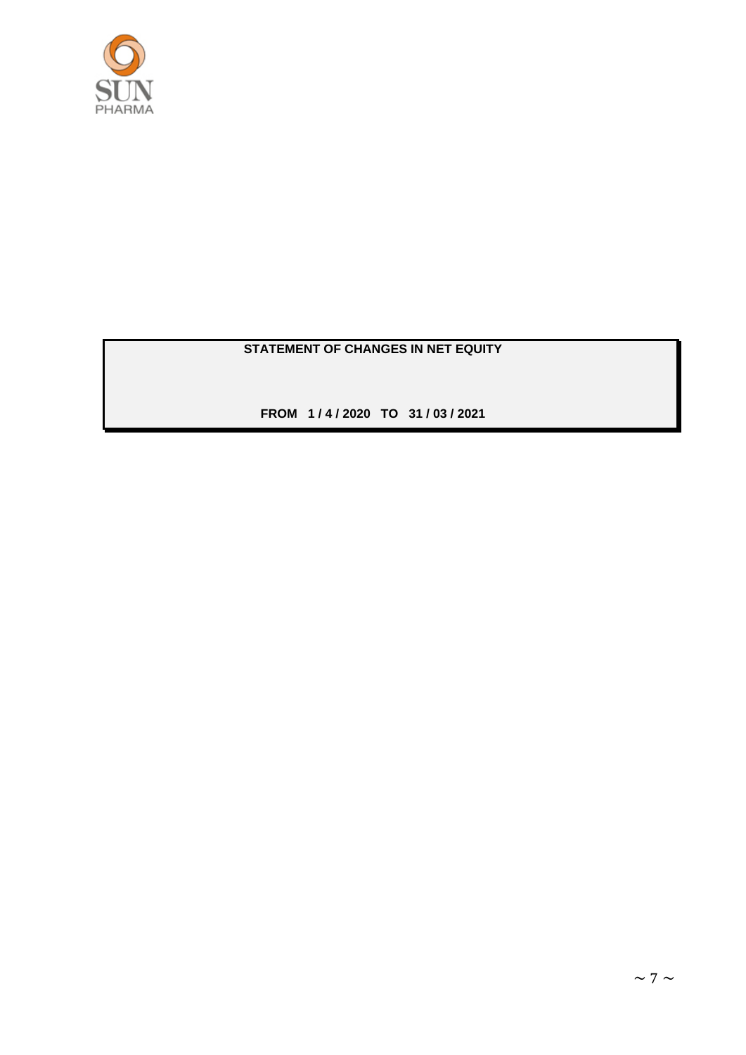

**STATEMENT OF CHANGES IN NET EQUITY**

**FROM 1 / 4 / 2020 TO 31 / 03 / 2021**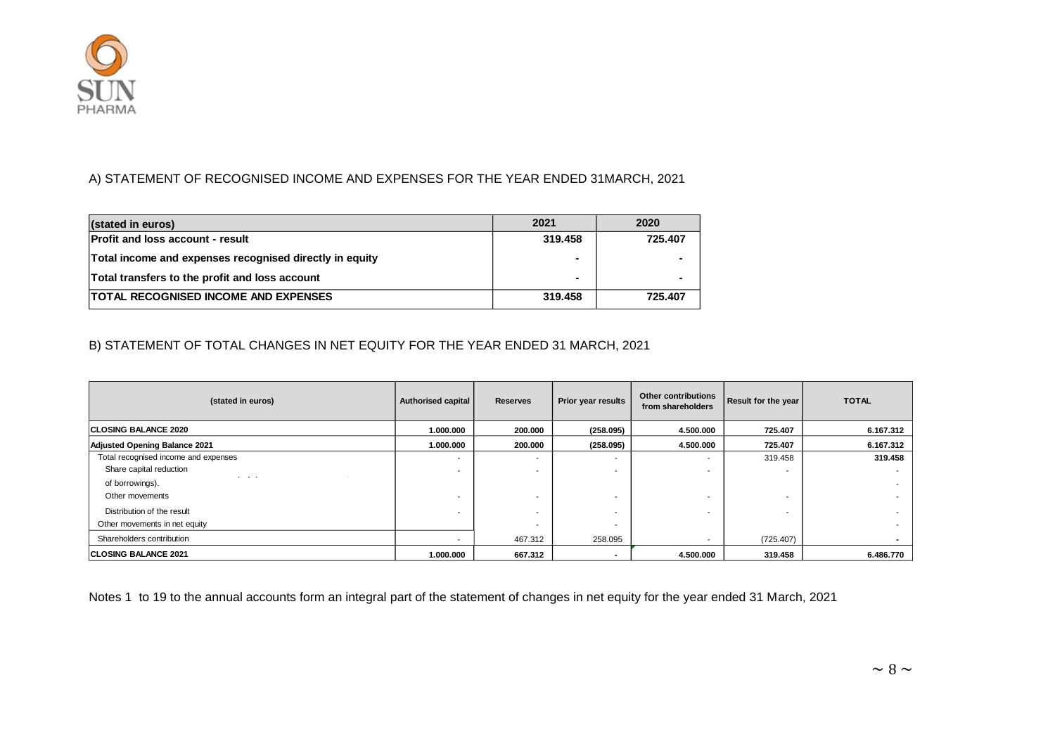

# A) STATEMENT OF RECOGNISED INCOME AND EXPENSES FOR THE YEAR ENDED 31MARCH, 2021

| (stated in euros)                                       | 2021    | 2020           |
|---------------------------------------------------------|---------|----------------|
| <b>Profit and loss account - result</b>                 | 319.458 | 725.407        |
| Total income and expenses recognised directly in equity |         |                |
| Total transfers to the profit and loss account          |         | $\blacksquare$ |
| <b>TOTAL RECOGNISED INCOME AND EXPENSES</b>             | 319.458 | 725.407        |

# B) STATEMENT OF TOTAL CHANGES IN NET EQUITY FOR THE YEAR ENDED 31 MARCH, 2021

| (stated in euros)                    | Authorised capital | <b>Reserves</b>          | <b>Prior year results</b> | Other contributions<br>from shareholders | Result for the year | <b>TOTAL</b> |
|--------------------------------------|--------------------|--------------------------|---------------------------|------------------------------------------|---------------------|--------------|
| <b>CLOSING BALANCE 2020</b>          | 1.000.000          | 200.000                  | (258.095)                 | 4.500.000                                | 725.407             | 6.167.312    |
| Adjusted Opening Balance 2021        | 1.000.000          | 200.000                  | (258.095)                 | 4.500.000                                | 725.407             | 6.167.312    |
| Total recognised income and expenses |                    | ۰                        |                           | $\overline{\phantom{a}}$                 | 319,458             | 319.458      |
| Share capital reduction              |                    | $\overline{\phantom{a}}$ |                           | . .                                      |                     |              |
| of borrowings).                      |                    |                          |                           |                                          |                     |              |
| Other movements                      |                    |                          |                           | $\overline{\phantom{a}}$                 |                     |              |
| Distribution of the result           |                    |                          |                           |                                          |                     |              |
| Other movements in net equity        |                    |                          |                           |                                          |                     |              |
| Shareholders contribution            |                    | 467.312                  | 258.095                   |                                          | (725.407)           |              |
| <b>CLOSING BALANCE 2021</b>          | 1.000.000          | 667.312                  |                           | 4.500.000                                | 319.458             | 6.486.770    |

Notes 1 to 19 to the annual accounts form an integral part of the statement of changes in net equity for the year ended 31 March, 2021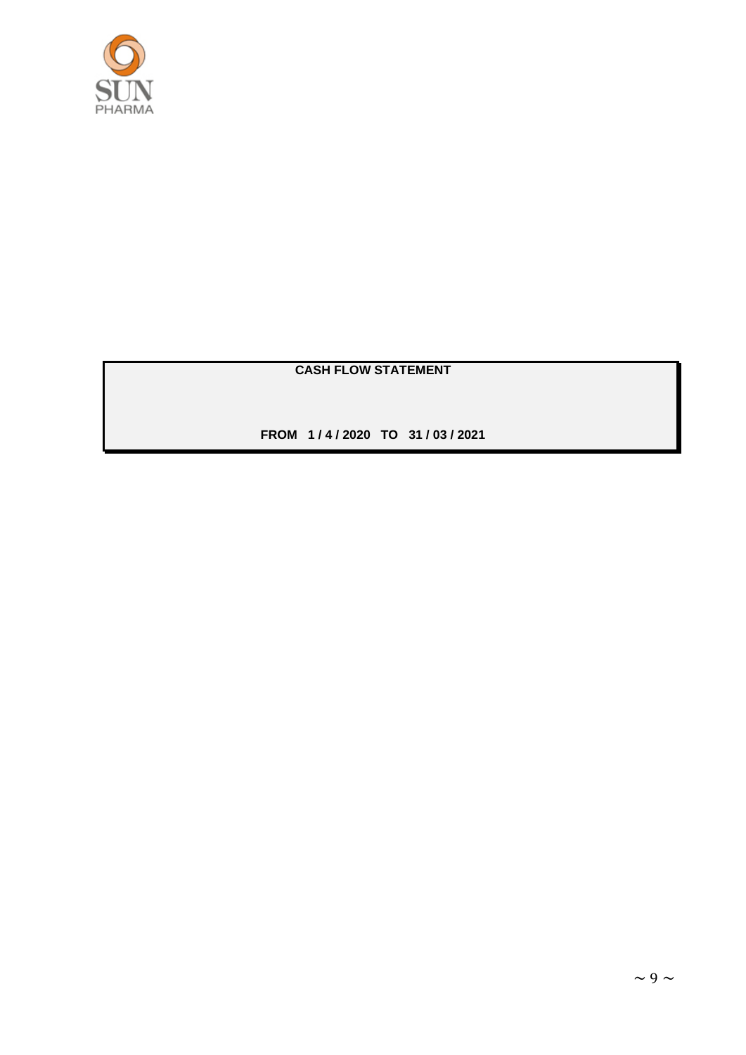

# **CASH FLOW STATEMENT**

**FROM 1 / 4 / 2020 TO 31 / 03 / 2021**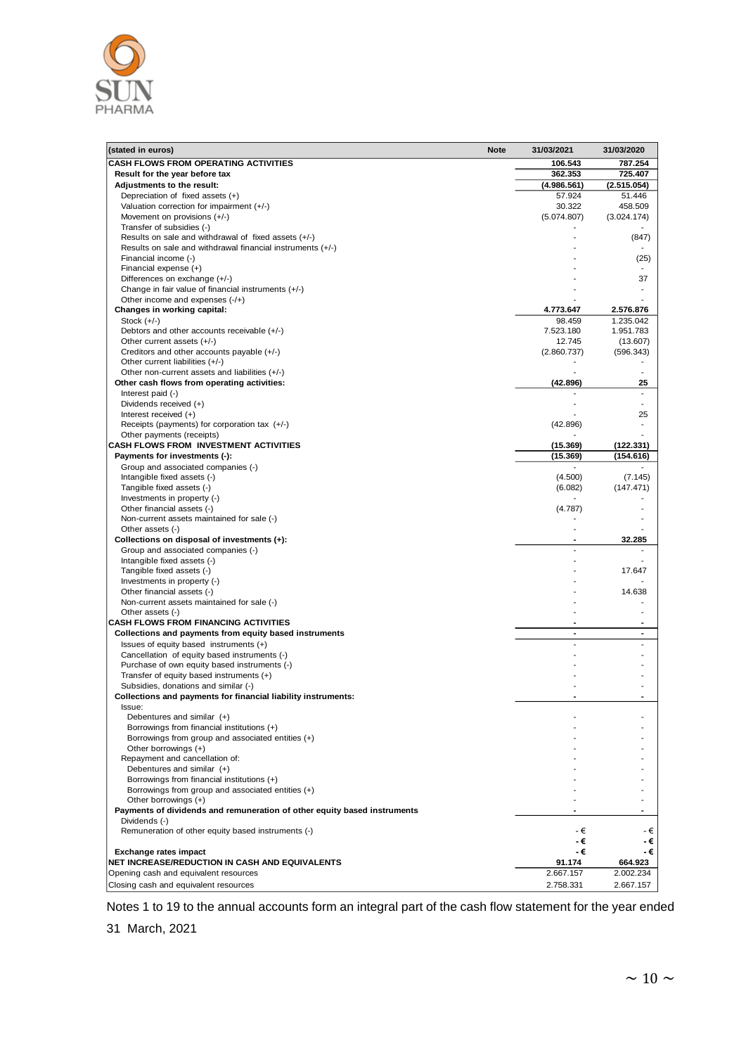

| (stated in euros)<br><b>Note</b>                                                       | 31/03/2021          | 31/03/2020             |
|----------------------------------------------------------------------------------------|---------------------|------------------------|
| <b>CASH FLOWS FROM OPERATING ACTIVITIES</b>                                            | 106.543             | 787.254                |
| Result for the year before tax                                                         | 362.353             | 725.407                |
| Adjustments to the result:                                                             | (4.986.561)         | (2.515.054)            |
| Depreciation of fixed assets $(+)$                                                     | 57.924              | 51.446                 |
| Valuation correction for impairment (+/-)                                              | 30.322              | 458.509                |
| Movement on provisions (+/-)                                                           | (5.074.807)         | (3.024.174)            |
| Transfer of subsidies (-)                                                              |                     |                        |
| Results on sale and withdrawal of fixed assets $(+/-)$                                 |                     | (847)                  |
| Results on sale and withdrawal financial instruments (+/-)                             |                     |                        |
| Financial income (-)                                                                   |                     | (25)                   |
| Financial expense (+)                                                                  |                     |                        |
| Differences on exchange (+/-)                                                          |                     | 37                     |
| Change in fair value of financial instruments (+/-)                                    |                     |                        |
| Other income and expenses (-/+)                                                        |                     |                        |
| Changes in working capital:                                                            | 4.773.647           | 2.576.876              |
| Stock $(+/-)$<br>Debtors and other accounts receivable $(+/-)$                         | 98.459<br>7.523.180 | 1.235.042<br>1.951.783 |
| Other current assets $(+/-)$                                                           | 12.745              | (13.607)               |
| Creditors and other accounts payable $(+/-)$                                           | (2.860.737)         | (596.343)              |
| Other current liabilities $(+/-)$                                                      |                     |                        |
| Other non-current assets and liabilities $(+/-)$                                       |                     | $\overline{a}$         |
| Other cash flows from operating activities:                                            | (42.896)            | 25                     |
| Interest paid (-)                                                                      |                     |                        |
| Dividends received (+)                                                                 |                     |                        |
| Interest received (+)                                                                  |                     | 25                     |
| Receipts (payments) for corporation tax $(+/-)$                                        | (42.896)            | ۰                      |
| Other payments (receipts)                                                              |                     |                        |
| <b>CASH FLOWS FROM INVESTMENT ACTIVITIES</b>                                           | (15.369)            | (122.331)              |
| Payments for investments (-):                                                          | (15.369)            | (154.616)              |
| Group and associated companies (-)                                                     |                     |                        |
| Intangible fixed assets (-)                                                            | (4.500)             | (7.145)                |
| Tangible fixed assets (-)                                                              | (6.082)             | (147.471)              |
| Investments in property (-)                                                            |                     |                        |
| Other financial assets (-)                                                             | (4.787)             |                        |
| Non-current assets maintained for sale (-)                                             |                     |                        |
| Other assets (-)                                                                       |                     |                        |
| Collections on disposal of investments (+):                                            |                     | 32.285                 |
| Group and associated companies (-)                                                     |                     |                        |
| Intangible fixed assets (-)                                                            |                     |                        |
| Tangible fixed assets (-)                                                              |                     | 17.647                 |
| Investments in property (-)                                                            |                     |                        |
| Other financial assets (-)                                                             |                     | 14.638                 |
| Non-current assets maintained for sale (-)                                             |                     |                        |
| Other assets (-)<br>CASH FLOWS FROM FINANCING ACTIVITIES                               |                     |                        |
| Collections and payments from equity based instruments                                 |                     |                        |
|                                                                                        |                     |                        |
| Issues of equity based instruments (+)<br>Cancellation of equity based instruments (-) |                     |                        |
| Purchase of own equity based instruments (-)                                           |                     |                        |
| Transfer of equity based instruments $(+)$                                             |                     |                        |
| Subsidies, donations and similar (-)                                                   |                     |                        |
| Collections and payments for financial liability instruments:                          |                     |                        |
| Issue:                                                                                 |                     |                        |
| Debentures and similar $(+)$                                                           |                     |                        |
| Borrowings from financial institutions (+)                                             |                     |                        |
| Borrowings from group and associated entities (+)                                      |                     |                        |
| Other borrowings (+)                                                                   |                     |                        |
| Repayment and cancellation of:                                                         |                     |                        |
| Debentures and similar (+)                                                             |                     |                        |
| Borrowings from financial institutions (+)                                             |                     |                        |
| Borrowings from group and associated entities (+)                                      |                     |                        |
| Other borrowings (+)                                                                   |                     |                        |
| Payments of dividends and remuneration of other equity based instruments               |                     |                        |
| Dividends (-)                                                                          |                     |                        |
| Remuneration of other equity based instruments (-)                                     | - €                 | - €                    |
|                                                                                        | -€                  | -€                     |
| <b>Exchange rates impact</b>                                                           | -€                  | -€                     |
| NET INCREASE/REDUCTION IN CASH AND EQUIVALENTS                                         | 91.174<br>2.667.157 | 664.923                |
| Opening cash and equivalent resources                                                  |                     | 2.002.234              |
| Closing cash and equivalent resources                                                  | 2.758.331           | 2.667.157              |

Notes 1 to 19 to the annual accounts form an integral part of the cash flow statement for the year ended

31 March, 2021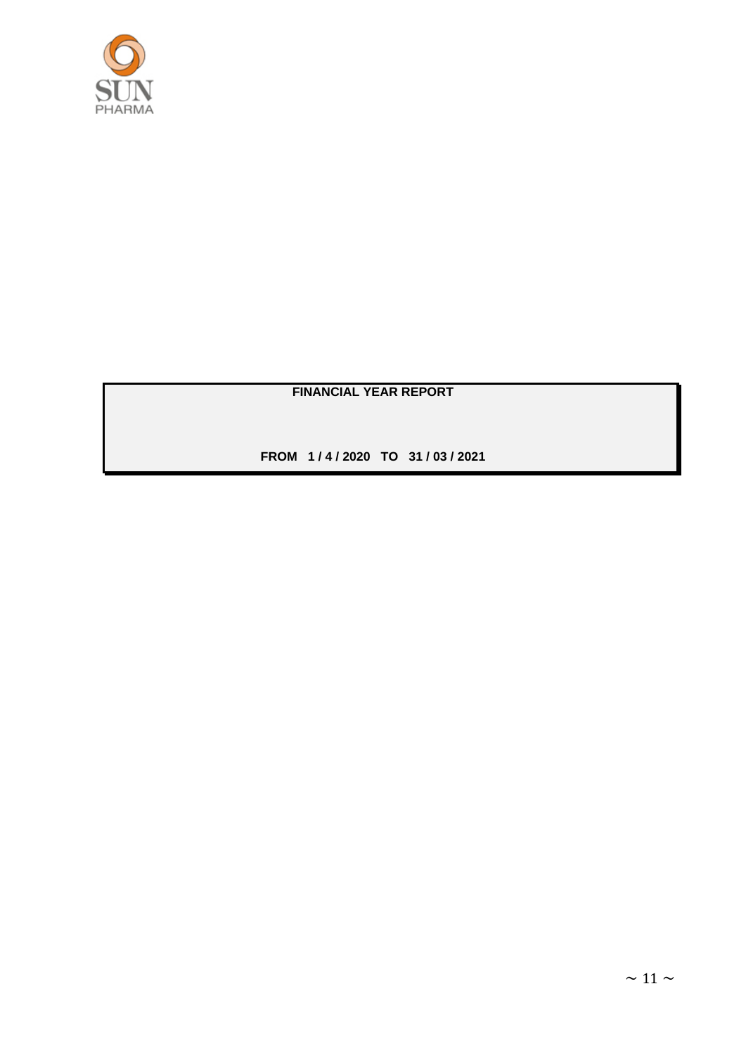

**FINANCIAL YEAR REPORT**

**FROM 1 / 4 / 2020 TO 31 / 03 / 2021**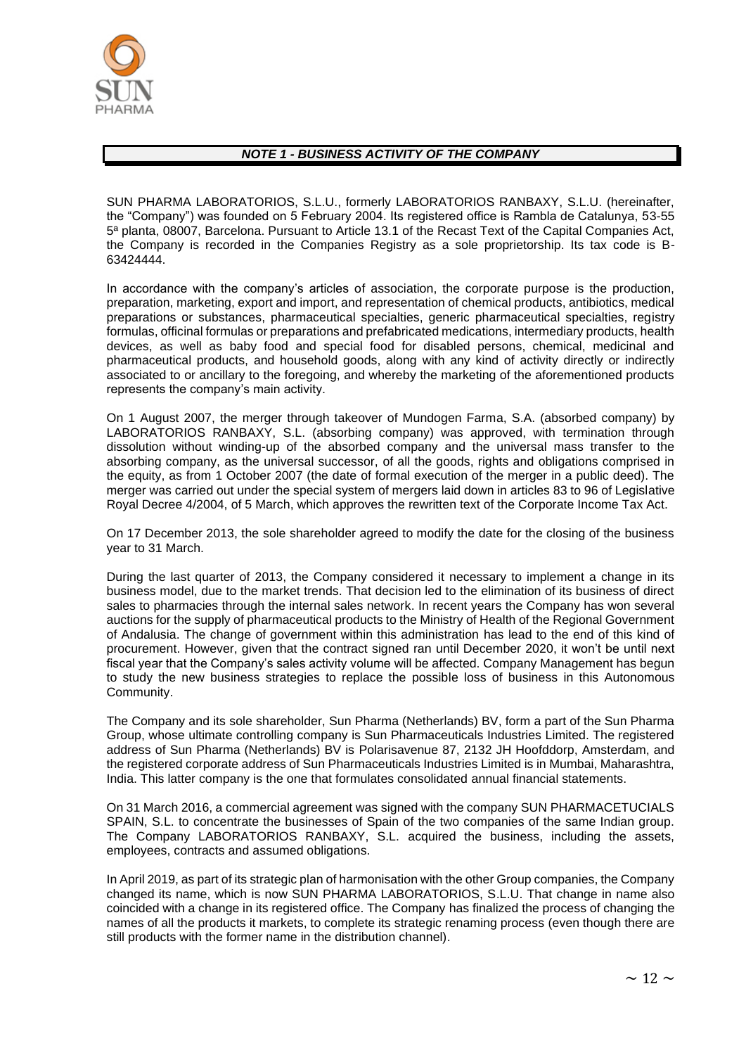

## *NOTE 1 - BUSINESS ACTIVITY OF THE COMPANY*

SUN PHARMA LABORATORIOS, S.L.U., formerly LABORATORIOS RANBAXY, S.L.U. (hereinafter, the "Company") was founded on 5 February 2004. Its registered office is Rambla de Catalunya, 53-55 5ª planta, 08007, Barcelona. Pursuant to Article 13.1 of the Recast Text of the Capital Companies Act, the Company is recorded in the Companies Registry as a sole proprietorship. Its tax code is B-63424444.

In accordance with the company's articles of association, the corporate purpose is the production, preparation, marketing, export and import, and representation of chemical products, antibiotics, medical preparations or substances, pharmaceutical specialties, generic pharmaceutical specialties, registry formulas, officinal formulas or preparations and prefabricated medications, intermediary products, health devices, as well as baby food and special food for disabled persons, chemical, medicinal and pharmaceutical products, and household goods, along with any kind of activity directly or indirectly associated to or ancillary to the foregoing, and whereby the marketing of the aforementioned products represents the company's main activity.

On 1 August 2007, the merger through takeover of Mundogen Farma, S.A. (absorbed company) by LABORATORIOS RANBAXY, S.L. (absorbing company) was approved, with termination through dissolution without winding-up of the absorbed company and the universal mass transfer to the absorbing company, as the universal successor, of all the goods, rights and obligations comprised in the equity, as from 1 October 2007 (the date of formal execution of the merger in a public deed). The merger was carried out under the special system of mergers laid down in articles 83 to 96 of Legislative Royal Decree 4/2004, of 5 March, which approves the rewritten text of the Corporate Income Tax Act.

On 17 December 2013, the sole shareholder agreed to modify the date for the closing of the business year to 31 March.

During the last quarter of 2013, the Company considered it necessary to implement a change in its business model, due to the market trends. That decision led to the elimination of its business of direct sales to pharmacies through the internal sales network. In recent years the Company has won several auctions for the supply of pharmaceutical products to the Ministry of Health of the Regional Government of Andalusia. The change of government within this administration has lead to the end of this kind of procurement. However, given that the contract signed ran until December 2020, it won't be until next fiscal year that the Company's sales activity volume will be affected. Company Management has begun to study the new business strategies to replace the possible loss of business in this Autonomous Community.

The Company and its sole shareholder, Sun Pharma (Netherlands) BV, form a part of the Sun Pharma Group, whose ultimate controlling company is Sun Pharmaceuticals Industries Limited. The registered address of Sun Pharma (Netherlands) BV is Polarisavenue 87, 2132 JH Hoofddorp, Amsterdam, and the registered corporate address of Sun Pharmaceuticals Industries Limited is in Mumbai, Maharashtra, India. This latter company is the one that formulates consolidated annual financial statements.

On 31 March 2016, a commercial agreement was signed with the company SUN PHARMACETUCIALS SPAIN, S.L. to concentrate the businesses of Spain of the two companies of the same Indian group. The Company LABORATORIOS RANBAXY, S.L. acquired the business, including the assets, employees, contracts and assumed obligations.

In April 2019, as part of its strategic plan of harmonisation with the other Group companies, the Company changed its name, which is now SUN PHARMA LABORATORIOS, S.L.U. That change in name also coincided with a change in its registered office. The Company has finalized the process of changing the names of all the products it markets, to complete its strategic renaming process (even though there are still products with the former name in the distribution channel).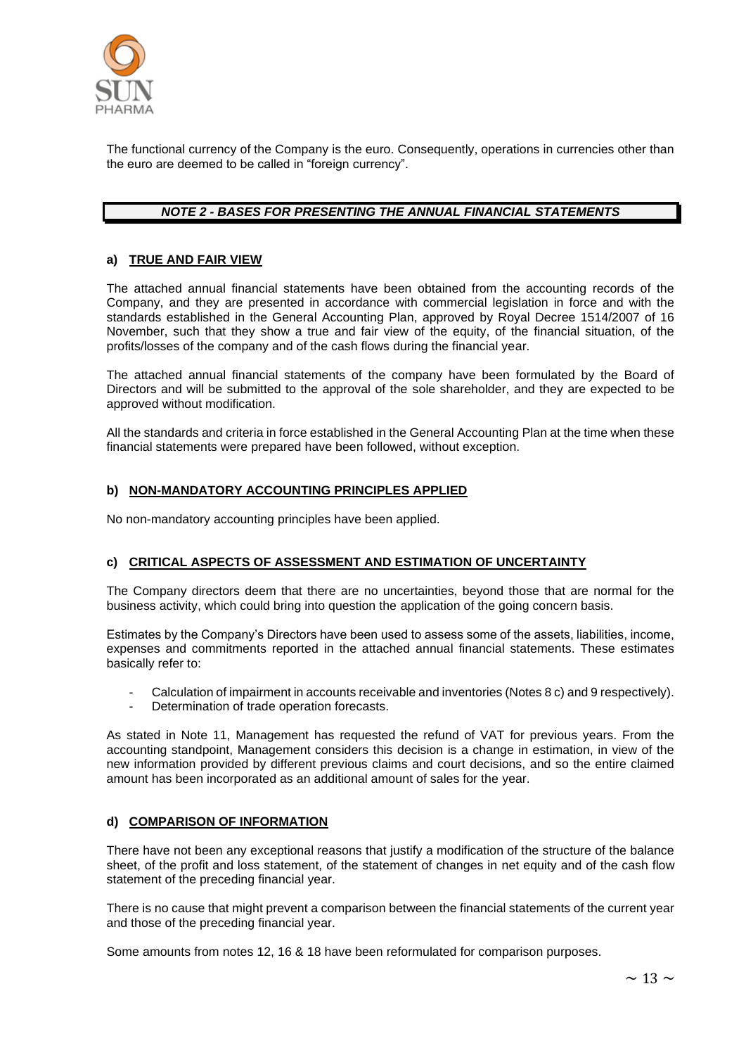

The functional currency of the Company is the euro. Consequently, operations in currencies other than the euro are deemed to be called in "foreign currency".

# *NOTE 2 - BASES FOR PRESENTING THE ANNUAL FINANCIAL STATEMENTS*

#### **a) TRUE AND FAIR VIEW**

The attached annual financial statements have been obtained from the accounting records of the Company, and they are presented in accordance with commercial legislation in force and with the standards established in the General Accounting Plan, approved by Royal Decree 1514/2007 of 16 November, such that they show a true and fair view of the equity, of the financial situation, of the profits/losses of the company and of the cash flows during the financial year.

The attached annual financial statements of the company have been formulated by the Board of Directors and will be submitted to the approval of the sole shareholder, and they are expected to be approved without modification.

All the standards and criteria in force established in the General Accounting Plan at the time when these financial statements were prepared have been followed, without exception.

#### **b) NON-MANDATORY ACCOUNTING PRINCIPLES APPLIED**

No non-mandatory accounting principles have been applied.

#### **c) CRITICAL ASPECTS OF ASSESSMENT AND ESTIMATION OF UNCERTAINTY**

The Company directors deem that there are no uncertainties, beyond those that are normal for the business activity, which could bring into question the application of the going concern basis.

Estimates by the Company's Directors have been used to assess some of the assets, liabilities, income, expenses and commitments reported in the attached annual financial statements. These estimates basically refer to:

- Calculation of impairment in accounts receivable and inventories (Notes 8 c) and 9 respectively).
- Determination of trade operation forecasts.

As stated in Note 11, Management has requested the refund of VAT for previous years. From the accounting standpoint, Management considers this decision is a change in estimation, in view of the new information provided by different previous claims and court decisions, and so the entire claimed amount has been incorporated as an additional amount of sales for the year.

#### **d) COMPARISON OF INFORMATION**

There have not been any exceptional reasons that justify a modification of the structure of the balance sheet, of the profit and loss statement, of the statement of changes in net equity and of the cash flow statement of the preceding financial year.

There is no cause that might prevent a comparison between the financial statements of the current year and those of the preceding financial year.

Some amounts from notes 12, 16 & 18 have been reformulated for comparison purposes.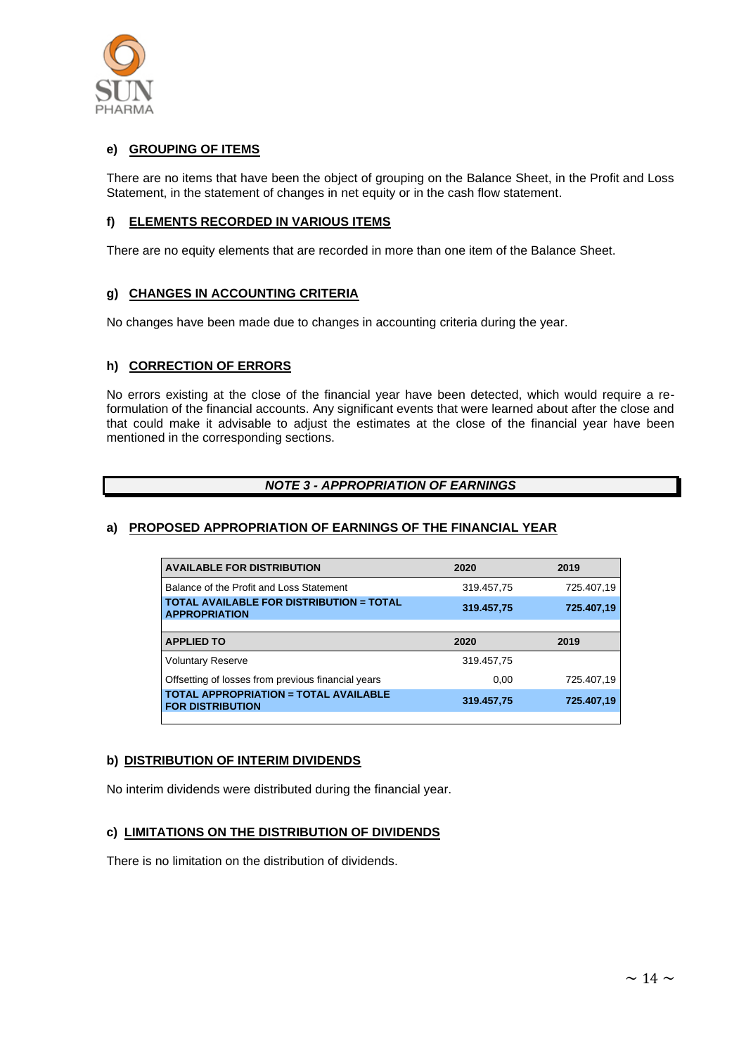

#### **e) GROUPING OF ITEMS**

There are no items that have been the object of grouping on the Balance Sheet, in the Profit and Loss Statement, in the statement of changes in net equity or in the cash flow statement.

#### **f) ELEMENTS RECORDED IN VARIOUS ITEMS**

There are no equity elements that are recorded in more than one item of the Balance Sheet.

#### **g) CHANGES IN ACCOUNTING CRITERIA**

No changes have been made due to changes in accounting criteria during the year.

#### **h) CORRECTION OF ERRORS**

No errors existing at the close of the financial year have been detected, which would require a reformulation of the financial accounts. Any significant events that were learned about after the close and that could make it advisable to adjust the estimates at the close of the financial year have been mentioned in the corresponding sections.

#### *NOTE 3 - APPROPRIATION OF EARNINGS*

#### **a) PROPOSED APPROPRIATION OF EARNINGS OF THE FINANCIAL YEAR**

| <b>AVAILABLE FOR DISTRIBUTION</b>                                       | 2020       | 2019       |
|-------------------------------------------------------------------------|------------|------------|
| Balance of the Profit and Loss Statement                                | 319.457.75 | 725.407,19 |
| <b>TOTAL AVAILABLE FOR DISTRIBUTION = TOTAL</b><br><b>APPROPRIATION</b> | 319.457,75 | 725.407,19 |
|                                                                         |            |            |
| <b>APPLIED TO</b>                                                       | 2020       | 2019       |
| <b>Voluntary Reserve</b>                                                | 319.457.75 |            |
| Offsetting of losses from previous financial years                      | 0.00       | 725.407,19 |
| <b>TOTAL APPROPRIATION = TOTAL AVAILABLE</b>                            | 319.457,75 | 725.407,19 |
| <b>FOR DISTRIBUTION</b>                                                 |            |            |

#### **b) DISTRIBUTION OF INTERIM DIVIDENDS**

No interim dividends were distributed during the financial year.

#### **c) LIMITATIONS ON THE DISTRIBUTION OF DIVIDENDS**

There is no limitation on the distribution of dividends.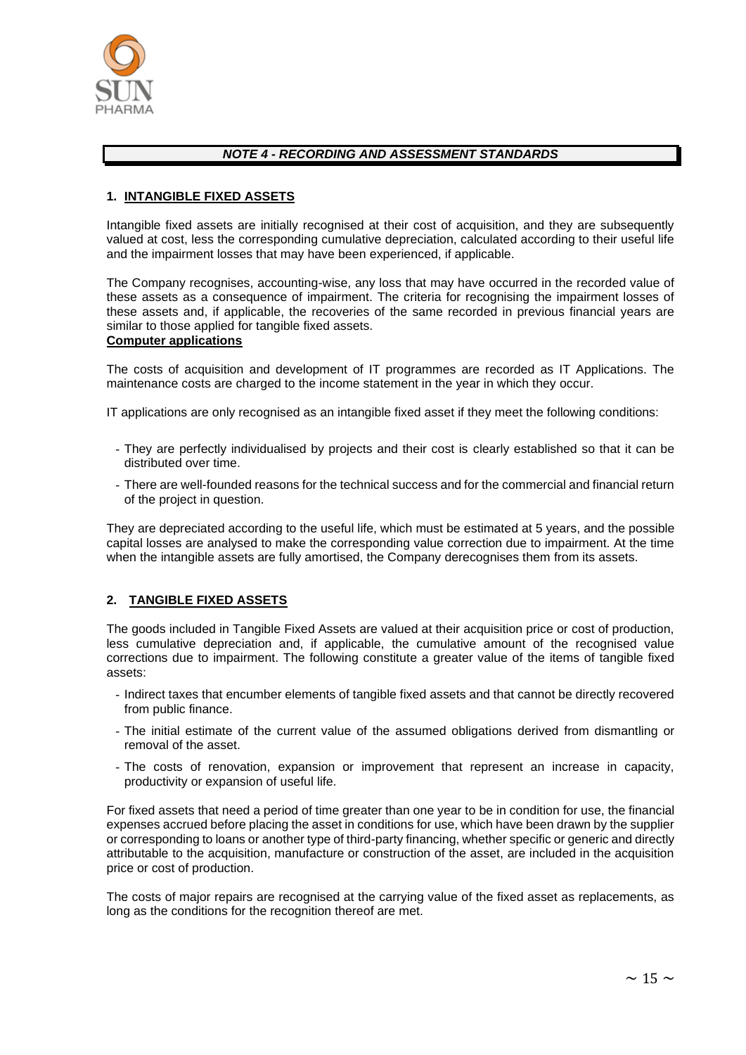

#### *NOTE 4 - RECORDING AND ASSESSMENT STANDARDS*

#### **1. INTANGIBLE FIXED ASSETS**

Intangible fixed assets are initially recognised at their cost of acquisition, and they are subsequently valued at cost, less the corresponding cumulative depreciation, calculated according to their useful life and the impairment losses that may have been experienced, if applicable.

The Company recognises, accounting-wise, any loss that may have occurred in the recorded value of these assets as a consequence of impairment. The criteria for recognising the impairment losses of these assets and, if applicable, the recoveries of the same recorded in previous financial years are similar to those applied for tangible fixed assets.

#### **Computer applications**

The costs of acquisition and development of IT programmes are recorded as IT Applications. The maintenance costs are charged to the income statement in the year in which they occur.

IT applications are only recognised as an intangible fixed asset if they meet the following conditions:

- They are perfectly individualised by projects and their cost is clearly established so that it can be distributed over time.
- There are well-founded reasons for the technical success and for the commercial and financial return of the project in question.

They are depreciated according to the useful life, which must be estimated at 5 years, and the possible capital losses are analysed to make the corresponding value correction due to impairment. At the time when the intangible assets are fully amortised, the Company derecognises them from its assets.

# **2. TANGIBLE FIXED ASSETS**

The goods included in Tangible Fixed Assets are valued at their acquisition price or cost of production, less cumulative depreciation and, if applicable, the cumulative amount of the recognised value corrections due to impairment. The following constitute a greater value of the items of tangible fixed assets:

- Indirect taxes that encumber elements of tangible fixed assets and that cannot be directly recovered from public finance.
- The initial estimate of the current value of the assumed obligations derived from dismantling or removal of the asset.
- The costs of renovation, expansion or improvement that represent an increase in capacity, productivity or expansion of useful life.

For fixed assets that need a period of time greater than one year to be in condition for use, the financial expenses accrued before placing the asset in conditions for use, which have been drawn by the supplier or corresponding to loans or another type of third-party financing, whether specific or generic and directly attributable to the acquisition, manufacture or construction of the asset, are included in the acquisition price or cost of production.

The costs of major repairs are recognised at the carrying value of the fixed asset as replacements, as long as the conditions for the recognition thereof are met.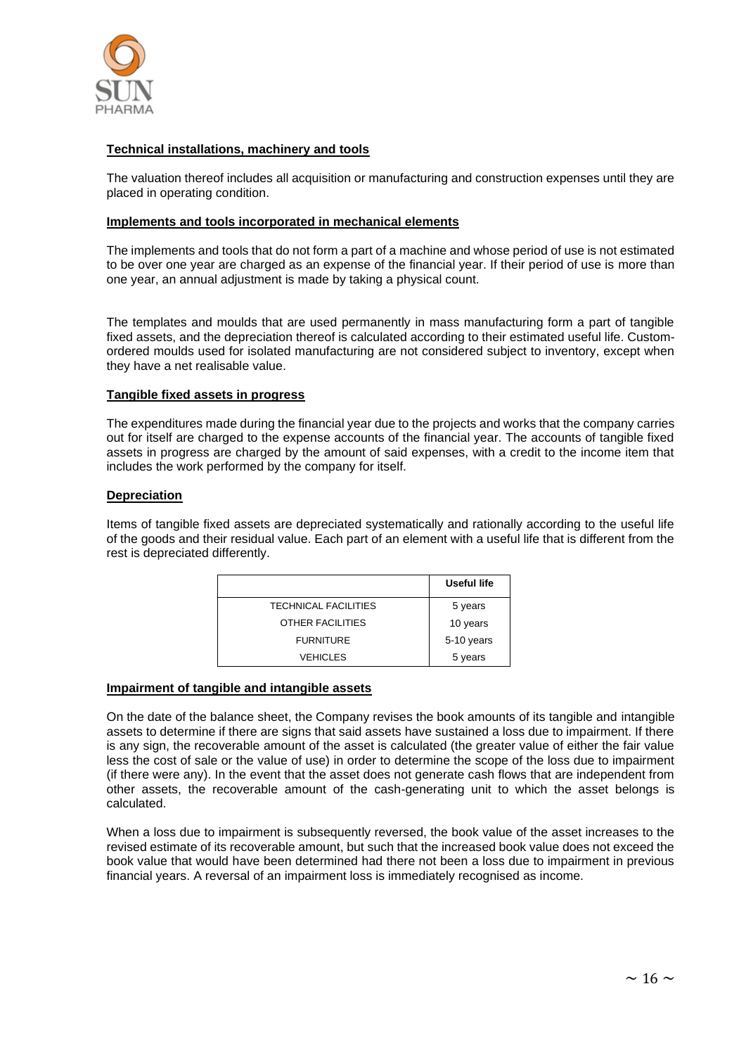

#### **Technical installations, machinery and tools**

The valuation thereof includes all acquisition or manufacturing and construction expenses until they are placed in operating condition.

#### **Implements and tools incorporated in mechanical elements**

The implements and tools that do not form a part of a machine and whose period of use is not estimated to be over one year are charged as an expense of the financial year. If their period of use is more than one year, an annual adjustment is made by taking a physical count.

The templates and moulds that are used permanently in mass manufacturing form a part of tangible fixed assets, and the depreciation thereof is calculated according to their estimated useful life. Customordered moulds used for isolated manufacturing are not considered subject to inventory, except when they have a net realisable value.

#### **Tangible fixed assets in progress**

The expenditures made during the financial year due to the projects and works that the company carries out for itself are charged to the expense accounts of the financial year. The accounts of tangible fixed assets in progress are charged by the amount of said expenses, with a credit to the income item that includes the work performed by the company for itself.

#### **Depreciation**

Items of tangible fixed assets are depreciated systematically and rationally according to the useful life of the goods and their residual value. Each part of an element with a useful life that is different from the rest is depreciated differently.

|                             | Useful life |
|-----------------------------|-------------|
| <b>TECHNICAL FACILITIES</b> | 5 years     |
| <b>OTHER FACILITIES</b>     | 10 years    |
| <b>FURNITURE</b>            | 5-10 years  |
| <b>VEHICLES</b>             | 5 years     |

#### **Impairment of tangible and intangible assets**

On the date of the balance sheet, the Company revises the book amounts of its tangible and intangible assets to determine if there are signs that said assets have sustained a loss due to impairment. If there is any sign, the recoverable amount of the asset is calculated (the greater value of either the fair value less the cost of sale or the value of use) in order to determine the scope of the loss due to impairment (if there were any). In the event that the asset does not generate cash flows that are independent from other assets, the recoverable amount of the cash-generating unit to which the asset belongs is calculated.

When a loss due to impairment is subsequently reversed, the book value of the asset increases to the revised estimate of its recoverable amount, but such that the increased book value does not exceed the book value that would have been determined had there not been a loss due to impairment in previous financial years. A reversal of an impairment loss is immediately recognised as income.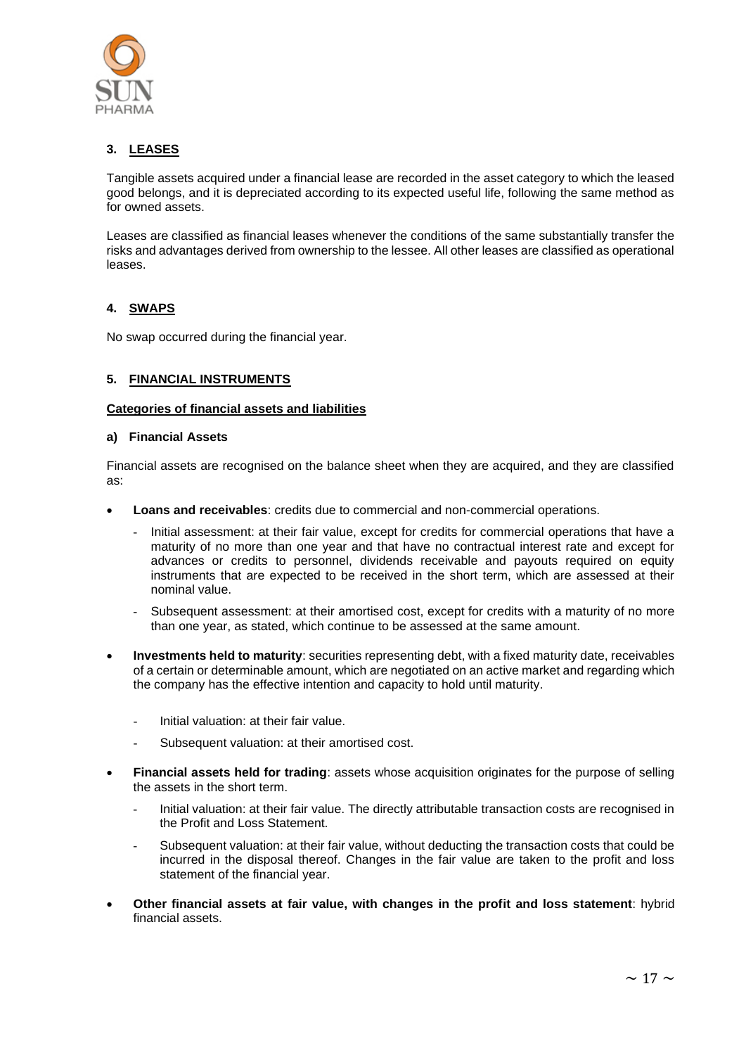

# **3. LEASES**

Tangible assets acquired under a financial lease are recorded in the asset category to which the leased good belongs, and it is depreciated according to its expected useful life, following the same method as for owned assets.

Leases are classified as financial leases whenever the conditions of the same substantially transfer the risks and advantages derived from ownership to the lessee. All other leases are classified as operational leases.

# **4. SWAPS**

No swap occurred during the financial year.

#### **5. FINANCIAL INSTRUMENTS**

#### **Categories of financial assets and liabilities**

#### **a) Financial Assets**

Financial assets are recognised on the balance sheet when they are acquired, and they are classified as:

- **Loans and receivables**: credits due to commercial and non-commercial operations.
	- Initial assessment: at their fair value, except for credits for commercial operations that have a maturity of no more than one year and that have no contractual interest rate and except for advances or credits to personnel, dividends receivable and payouts required on equity instruments that are expected to be received in the short term, which are assessed at their nominal value.
	- Subsequent assessment: at their amortised cost, except for credits with a maturity of no more than one year, as stated, which continue to be assessed at the same amount.
- **Investments held to maturity**: securities representing debt, with a fixed maturity date, receivables of a certain or determinable amount, which are negotiated on an active market and regarding which the company has the effective intention and capacity to hold until maturity.
	- Initial valuation: at their fair value.
	- Subsequent valuation: at their amortised cost.
- **Financial assets held for trading**: assets whose acquisition originates for the purpose of selling the assets in the short term.
	- Initial valuation: at their fair value. The directly attributable transaction costs are recognised in the Profit and Loss Statement.
	- Subsequent valuation: at their fair value, without deducting the transaction costs that could be incurred in the disposal thereof. Changes in the fair value are taken to the profit and loss statement of the financial year.
- **Other financial assets at fair value, with changes in the profit and loss statement**: hybrid financial assets.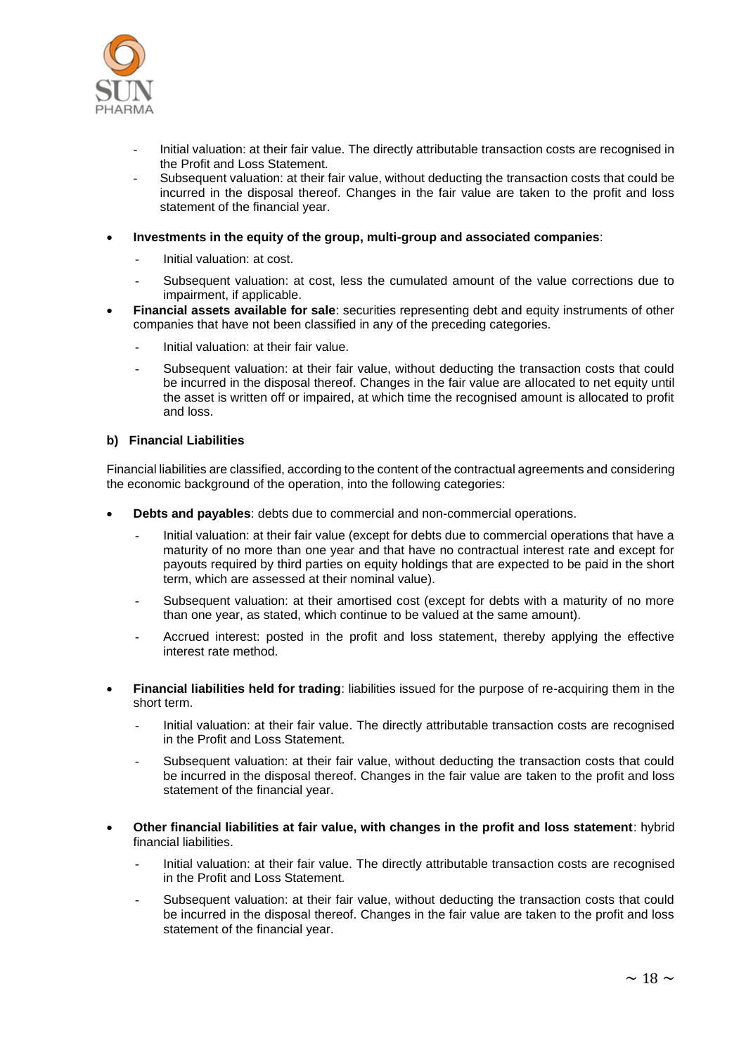

- Initial valuation: at their fair value. The directly attributable transaction costs are recognised in the Profit and Loss Statement.
- Subsequent valuation: at their fair value, without deducting the transaction costs that could be incurred in the disposal thereof. Changes in the fair value are taken to the profit and loss statement of the financial year.
- **Investments in the equity of the group, multi-group and associated companies**:
	- Initial valuation: at cost.
	- Subsequent valuation: at cost, less the cumulated amount of the value corrections due to impairment, if applicable.
- **Financial assets available for sale**: securities representing debt and equity instruments of other companies that have not been classified in any of the preceding categories.
	- Initial valuation: at their fair value.
	- Subsequent valuation: at their fair value, without deducting the transaction costs that could be incurred in the disposal thereof. Changes in the fair value are allocated to net equity until the asset is written off or impaired, at which time the recognised amount is allocated to profit and loss.

#### **b) Financial Liabilities**

Financial liabilities are classified, according to the content of the contractual agreements and considering the economic background of the operation, into the following categories:

- **Debts and payables**: debts due to commercial and non-commercial operations.
	- Initial valuation: at their fair value (except for debts due to commercial operations that have a maturity of no more than one year and that have no contractual interest rate and except for payouts required by third parties on equity holdings that are expected to be paid in the short term, which are assessed at their nominal value).
	- Subsequent valuation: at their amortised cost (except for debts with a maturity of no more than one year, as stated, which continue to be valued at the same amount).
	- Accrued interest: posted in the profit and loss statement, thereby applying the effective interest rate method.
- **Financial liabilities held for trading**: liabilities issued for the purpose of re-acquiring them in the short term.
	- Initial valuation: at their fair value. The directly attributable transaction costs are recognised in the Profit and Loss Statement.
	- Subsequent valuation: at their fair value, without deducting the transaction costs that could be incurred in the disposal thereof. Changes in the fair value are taken to the profit and loss statement of the financial year.
- **Other financial liabilities at fair value, with changes in the profit and loss statement**: hybrid financial liabilities.
	- Initial valuation: at their fair value. The directly attributable transaction costs are recognised in the Profit and Loss Statement.
	- Subsequent valuation: at their fair value, without deducting the transaction costs that could be incurred in the disposal thereof. Changes in the fair value are taken to the profit and loss statement of the financial year.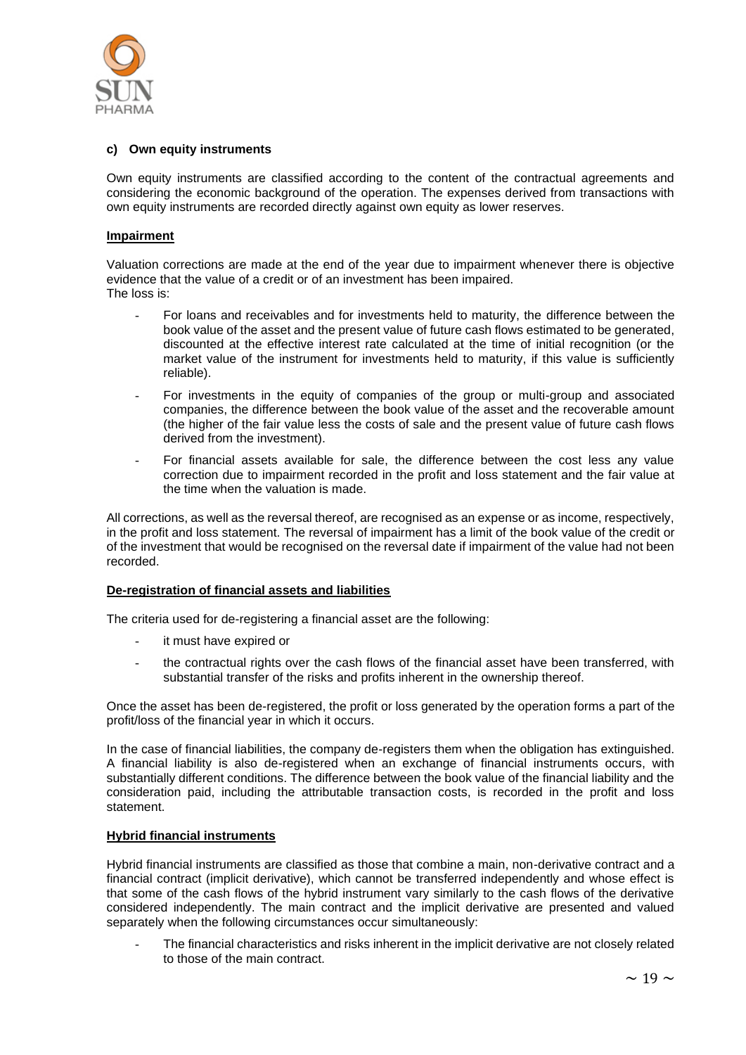

#### **c) Own equity instruments**

Own equity instruments are classified according to the content of the contractual agreements and considering the economic background of the operation. The expenses derived from transactions with own equity instruments are recorded directly against own equity as lower reserves.

#### **Impairment**

Valuation corrections are made at the end of the year due to impairment whenever there is objective evidence that the value of a credit or of an investment has been impaired. The loss is:

- For loans and receivables and for investments held to maturity, the difference between the book value of the asset and the present value of future cash flows estimated to be generated, discounted at the effective interest rate calculated at the time of initial recognition (or the market value of the instrument for investments held to maturity, if this value is sufficiently reliable).
- For investments in the equity of companies of the group or multi-group and associated companies, the difference between the book value of the asset and the recoverable amount (the higher of the fair value less the costs of sale and the present value of future cash flows derived from the investment).
- For financial assets available for sale, the difference between the cost less any value correction due to impairment recorded in the profit and loss statement and the fair value at the time when the valuation is made.

All corrections, as well as the reversal thereof, are recognised as an expense or as income, respectively, in the profit and loss statement. The reversal of impairment has a limit of the book value of the credit or of the investment that would be recognised on the reversal date if impairment of the value had not been recorded.

#### **De-registration of financial assets and liabilities**

The criteria used for de-registering a financial asset are the following:

- it must have expired or
- the contractual rights over the cash flows of the financial asset have been transferred, with substantial transfer of the risks and profits inherent in the ownership thereof.

Once the asset has been de-registered, the profit or loss generated by the operation forms a part of the profit/loss of the financial year in which it occurs.

In the case of financial liabilities, the company de-registers them when the obligation has extinguished. A financial liability is also de-registered when an exchange of financial instruments occurs, with substantially different conditions. The difference between the book value of the financial liability and the consideration paid, including the attributable transaction costs, is recorded in the profit and loss statement.

#### **Hybrid financial instruments**

Hybrid financial instruments are classified as those that combine a main, non-derivative contract and a financial contract (implicit derivative), which cannot be transferred independently and whose effect is that some of the cash flows of the hybrid instrument vary similarly to the cash flows of the derivative considered independently. The main contract and the implicit derivative are presented and valued separately when the following circumstances occur simultaneously:

The financial characteristics and risks inherent in the implicit derivative are not closely related to those of the main contract.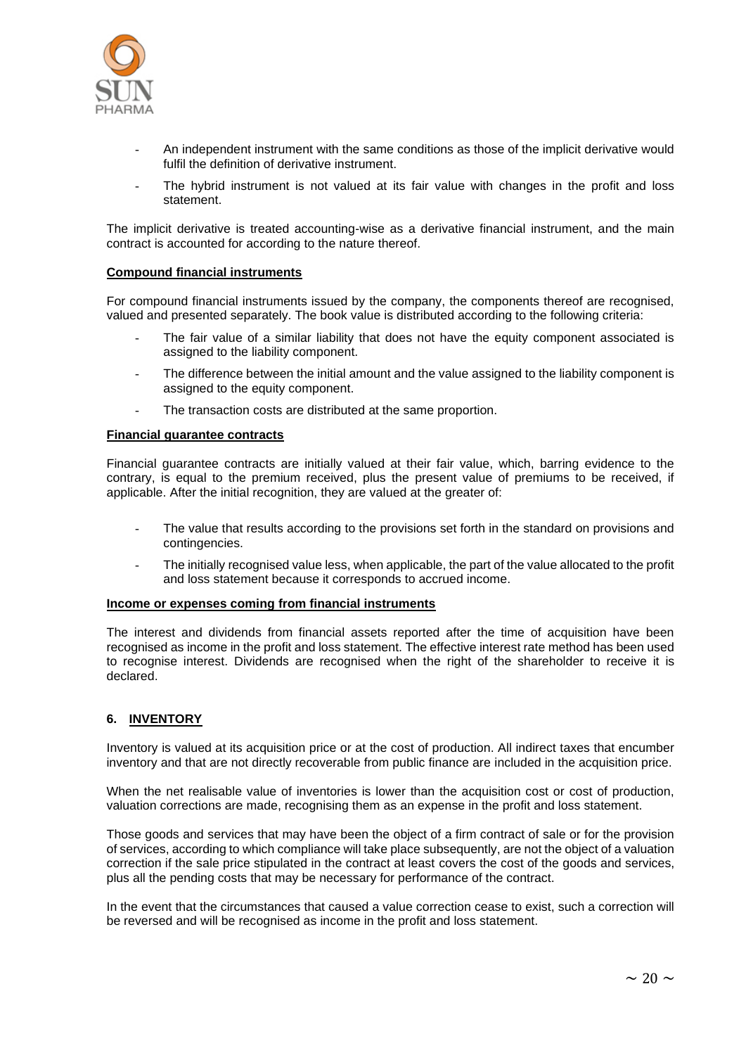

- An independent instrument with the same conditions as those of the implicit derivative would fulfil the definition of derivative instrument.
- The hybrid instrument is not valued at its fair value with changes in the profit and loss statement.

The implicit derivative is treated accounting-wise as a derivative financial instrument, and the main contract is accounted for according to the nature thereof.

#### **Compound financial instruments**

For compound financial instruments issued by the company, the components thereof are recognised, valued and presented separately. The book value is distributed according to the following criteria:

- The fair value of a similar liability that does not have the equity component associated is assigned to the liability component.
- The difference between the initial amount and the value assigned to the liability component is assigned to the equity component.
- The transaction costs are distributed at the same proportion.

#### **Financial guarantee contracts**

Financial guarantee contracts are initially valued at their fair value, which, barring evidence to the contrary, is equal to the premium received, plus the present value of premiums to be received, if applicable. After the initial recognition, they are valued at the greater of:

- The value that results according to the provisions set forth in the standard on provisions and contingencies.
- The initially recognised value less, when applicable, the part of the value allocated to the profit and loss statement because it corresponds to accrued income.

#### **Income or expenses coming from financial instruments**

The interest and dividends from financial assets reported after the time of acquisition have been recognised as income in the profit and loss statement. The effective interest rate method has been used to recognise interest. Dividends are recognised when the right of the shareholder to receive it is declared.

#### **6. INVENTORY**

Inventory is valued at its acquisition price or at the cost of production. All indirect taxes that encumber inventory and that are not directly recoverable from public finance are included in the acquisition price.

When the net realisable value of inventories is lower than the acquisition cost or cost of production, valuation corrections are made, recognising them as an expense in the profit and loss statement.

Those goods and services that may have been the object of a firm contract of sale or for the provision of services, according to which compliance will take place subsequently, are not the object of a valuation correction if the sale price stipulated in the contract at least covers the cost of the goods and services, plus all the pending costs that may be necessary for performance of the contract.

In the event that the circumstances that caused a value correction cease to exist, such a correction will be reversed and will be recognised as income in the profit and loss statement.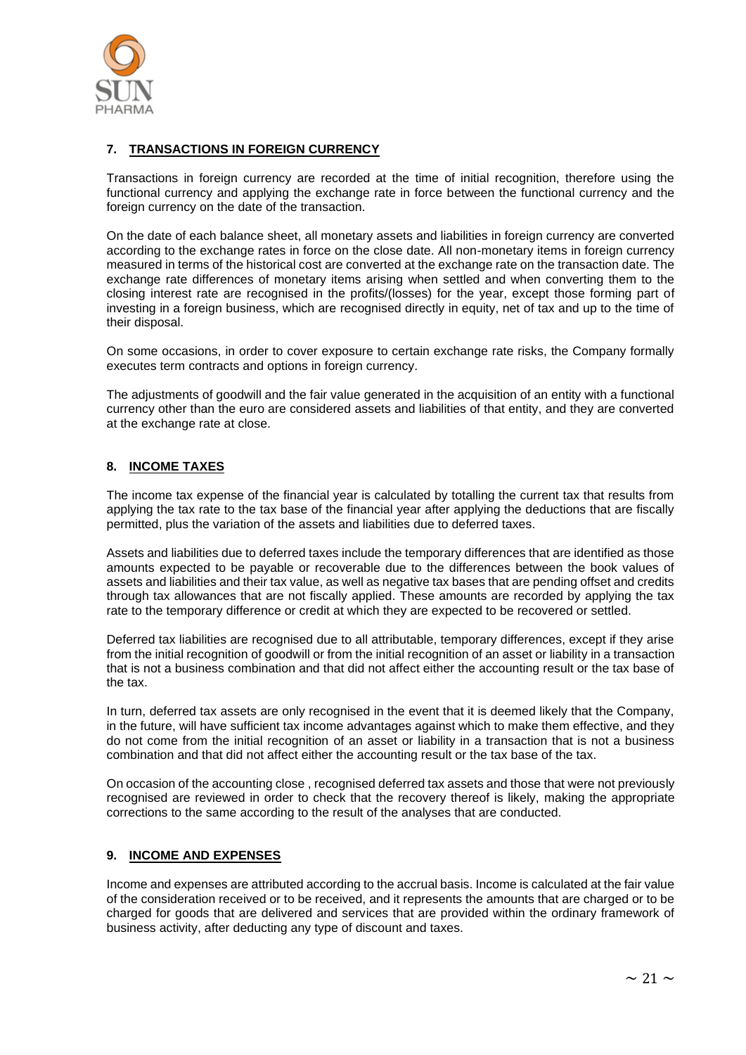

# **7. TRANSACTIONS IN FOREIGN CURRENCY**

Transactions in foreign currency are recorded at the time of initial recognition, therefore using the functional currency and applying the exchange rate in force between the functional currency and the foreign currency on the date of the transaction.

On the date of each balance sheet, all monetary assets and liabilities in foreign currency are converted according to the exchange rates in force on the close date. All non-monetary items in foreign currency measured in terms of the historical cost are converted at the exchange rate on the transaction date. The exchange rate differences of monetary items arising when settled and when converting them to the closing interest rate are recognised in the profits/(losses) for the year, except those forming part of investing in a foreign business, which are recognised directly in equity, net of tax and up to the time of their disposal.

On some occasions, in order to cover exposure to certain exchange rate risks, the Company formally executes term contracts and options in foreign currency.

The adjustments of goodwill and the fair value generated in the acquisition of an entity with a functional currency other than the euro are considered assets and liabilities of that entity, and they are converted at the exchange rate at close.

#### **8. INCOME TAXES**

The income tax expense of the financial year is calculated by totalling the current tax that results from applying the tax rate to the tax base of the financial year after applying the deductions that are fiscally permitted, plus the variation of the assets and liabilities due to deferred taxes.

Assets and liabilities due to deferred taxes include the temporary differences that are identified as those amounts expected to be payable or recoverable due to the differences between the book values of assets and liabilities and their tax value, as well as negative tax bases that are pending offset and credits through tax allowances that are not fiscally applied. These amounts are recorded by applying the tax rate to the temporary difference or credit at which they are expected to be recovered or settled.

Deferred tax liabilities are recognised due to all attributable, temporary differences, except if they arise from the initial recognition of goodwill or from the initial recognition of an asset or liability in a transaction that is not a business combination and that did not affect either the accounting result or the tax base of the tax.

In turn, deferred tax assets are only recognised in the event that it is deemed likely that the Company, in the future, will have sufficient tax income advantages against which to make them effective, and they do not come from the initial recognition of an asset or liability in a transaction that is not a business combination and that did not affect either the accounting result or the tax base of the tax.

On occasion of the accounting close , recognised deferred tax assets and those that were not previously recognised are reviewed in order to check that the recovery thereof is likely, making the appropriate corrections to the same according to the result of the analyses that are conducted.

#### **9. INCOME AND EXPENSES**

Income and expenses are attributed according to the accrual basis. Income is calculated at the fair value of the consideration received or to be received, and it represents the amounts that are charged or to be charged for goods that are delivered and services that are provided within the ordinary framework of business activity, after deducting any type of discount and taxes.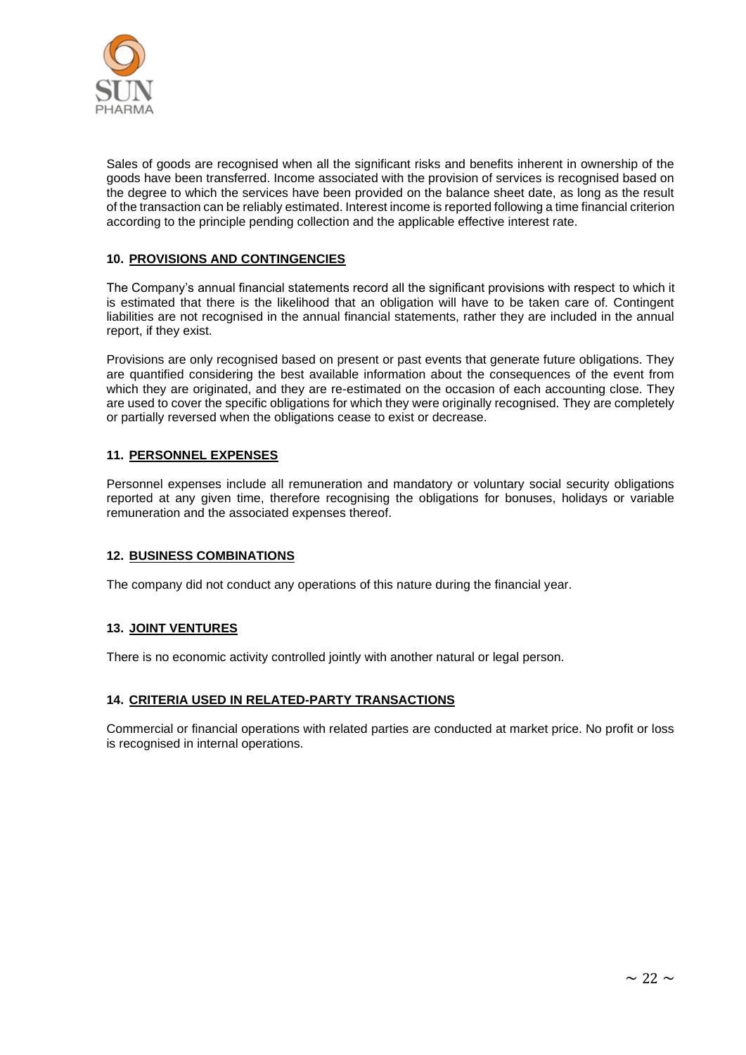

Sales of goods are recognised when all the significant risks and benefits inherent in ownership of the goods have been transferred. Income associated with the provision of services is recognised based on the degree to which the services have been provided on the balance sheet date, as long as the result of the transaction can be reliably estimated. Interest income is reported following a time financial criterion according to the principle pending collection and the applicable effective interest rate.

## **10. PROVISIONS AND CONTINGENCIES**

The Company's annual financial statements record all the significant provisions with respect to which it is estimated that there is the likelihood that an obligation will have to be taken care of. Contingent liabilities are not recognised in the annual financial statements, rather they are included in the annual report, if they exist.

Provisions are only recognised based on present or past events that generate future obligations. They are quantified considering the best available information about the consequences of the event from which they are originated, and they are re-estimated on the occasion of each accounting close. They are used to cover the specific obligations for which they were originally recognised. They are completely or partially reversed when the obligations cease to exist or decrease.

#### **11. PERSONNEL EXPENSES**

Personnel expenses include all remuneration and mandatory or voluntary social security obligations reported at any given time, therefore recognising the obligations for bonuses, holidays or variable remuneration and the associated expenses thereof.

#### **12. BUSINESS COMBINATIONS**

The company did not conduct any operations of this nature during the financial year.

#### **13. JOINT VENTURES**

There is no economic activity controlled jointly with another natural or legal person.

#### **14. CRITERIA USED IN RELATED-PARTY TRANSACTIONS**

Commercial or financial operations with related parties are conducted at market price. No profit or loss is recognised in internal operations.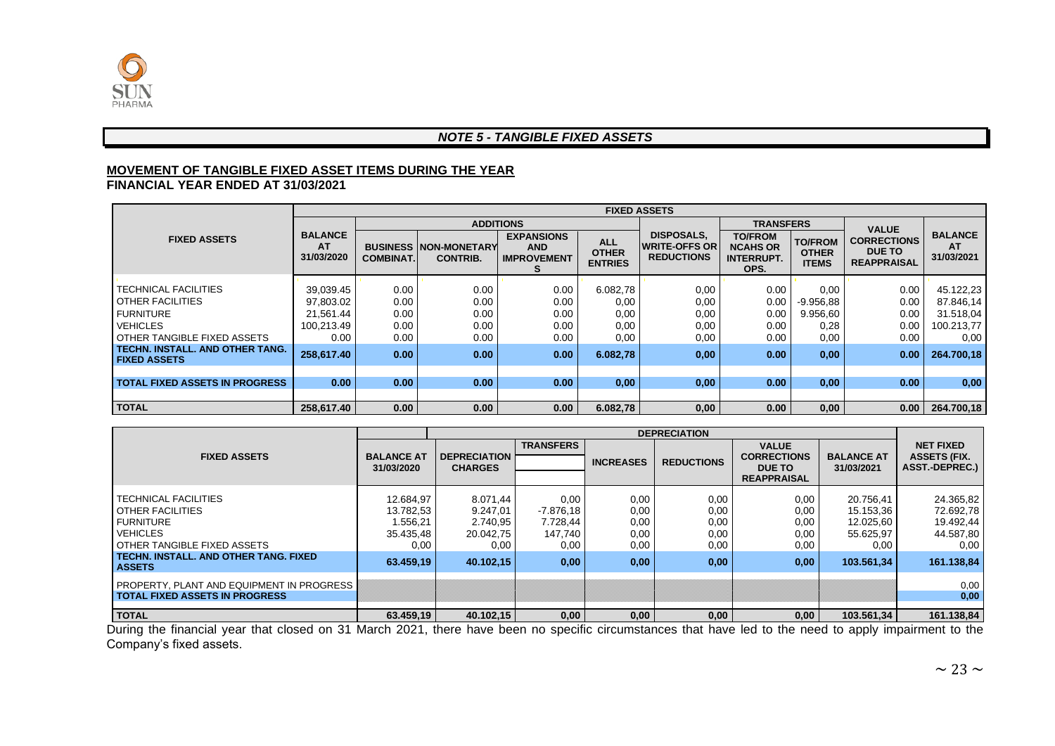

## *NOTE 5 - TANGIBLE FIXED ASSETS*

#### **MOVEMENT OF TANGIBLE FIXED ASSET ITEMS DURING THE YEAR FINANCIAL YEAR ENDED AT 31/03/2021**

| <b>FIXED ASSETS</b>                                    |                                           |                                     |                                         |                                                            |                                              |                                                                |                                                                |                                                |                                                    |                                    |
|--------------------------------------------------------|-------------------------------------------|-------------------------------------|-----------------------------------------|------------------------------------------------------------|----------------------------------------------|----------------------------------------------------------------|----------------------------------------------------------------|------------------------------------------------|----------------------------------------------------|------------------------------------|
|                                                        |                                           |                                     |                                         | <b>ADDITIONS</b>                                           |                                              |                                                                | <b>TRANSFERS</b>                                               | <b>VALUE</b>                                   |                                                    |                                    |
| <b>FIXED ASSETS</b>                                    | <b>BALANCE</b><br><b>AT</b><br>31/03/2020 | <b>BUSINESS</b><br><b>COMBINAT.</b> | <b>INON-MONETARY</b><br><b>CONTRIB.</b> | <b>EXPANSIONS</b><br><b>AND</b><br><b>IMPROVEMENT</b><br>s | <b>ALL</b><br><b>OTHER</b><br><b>ENTRIES</b> | <b>DISPOSALS.</b><br><b>WRITE-OFFS OR</b><br><b>REDUCTIONS</b> | <b>TO/FROM</b><br><b>NCAHS OR</b><br><b>INTERRUPT.</b><br>OPS. | <b>TO/FRON</b><br><b>OTHER</b><br><b>ITEMS</b> | <b>CORRECTIONS</b><br>DUE TO<br><b>REAPPRAISAL</b> | <b>BALANCE</b><br>AT<br>31/03/2021 |
| <b>TECHNICAL FACILITIES</b>                            | 39.039.45                                 | 0.00                                | 0.00                                    | 0.00                                                       | 6.082,78                                     | 0,00                                                           | 0.00                                                           | 0,00                                           | 0.00                                               | 45.122,23                          |
| <b>OTHER FACILITIES</b>                                | 97.803.02                                 | 0.00                                | 0.00                                    | 0.00                                                       | 0.00                                         | 0,00                                                           | 0.00                                                           | $-9.956.88$                                    | 0.00                                               | 87.846,14                          |
| <b>FURNITURE</b>                                       | 21.561.44                                 | 0.00                                | 0.00                                    | 0.00                                                       | 0,00                                         | 0,00                                                           | 0.00                                                           | 9.956,60                                       | 0.00                                               | 31.518.04                          |
| <b>VEHICLES</b>                                        | 100,213.49                                | 0.00                                | 0.00                                    | 0.00                                                       | 0.00                                         | 0,00                                                           | 0.00                                                           | 0,28                                           | 0.00                                               | 100.213,77                         |
| OTHER TANGIBLE FIXED ASSETS                            | 0.00                                      | 0.00                                | 0.00                                    | 0.00                                                       | 0,00                                         | 0,00                                                           | 0.00                                                           | 0,00                                           | 0.00                                               | 0,00                               |
| TECHN. INSTALL. AND OTHER TANG.<br><b>FIXED ASSETS</b> | 258,617.40                                | 0.00                                | 0.00                                    | 0.00                                                       | 6.082,78                                     | 0,00                                                           | 0.00                                                           | 0,00                                           | 0.00                                               | 264.700,18                         |
|                                                        |                                           |                                     |                                         |                                                            |                                              |                                                                |                                                                |                                                |                                                    |                                    |
| <b>TOTAL FIXED ASSETS IN PROGRESS</b>                  | 0.00 <sub>1</sub>                         | 0.00                                | 0.00                                    | 0.00 <sub>1</sub>                                          | 0,00                                         | 0,00                                                           | 0.00                                                           | 0,00                                           | 0.00                                               | 0,00                               |
|                                                        |                                           |                                     |                                         |                                                            |                                              |                                                                |                                                                |                                                |                                                    |                                    |
| <b>TOTAL</b>                                           | 258,617.40                                | 0.00                                | 0.00                                    | 0.00                                                       | 6.082,78                                     | 0,00                                                           | 0.00                                                           | 0,00                                           | 0.00                                               | 264.700.18                         |

|                                                        |                   |                     | <b>TRANSFERS</b> |                  |                   | <b>VALUE</b>                 |                   | <b>NET FIXED</b>                      |
|--------------------------------------------------------|-------------------|---------------------|------------------|------------------|-------------------|------------------------------|-------------------|---------------------------------------|
| <b>FIXED ASSETS</b>                                    | <b>BALANCE AT</b> | <b>DEPRECIATION</b> |                  | <b>INCREASES</b> | <b>REDUCTIONS</b> | <b>CORRECTIONS</b>           | <b>BALANCE AT</b> | <b>ASSETS (FIX.</b><br>ASST.-DEPREC.) |
|                                                        | 31/03/2020        | <b>CHARGES</b>      |                  |                  |                   | DUE TO<br><b>REAPPRAISAL</b> | 31/03/2021        |                                       |
| <b>TECHNICAL FACILITIES</b>                            | 12.684,97         | 8.071,44            | 0,00             | 0,00             | 0,00              | 0,00                         | 20.756,41         | 24.365,82                             |
| <b>OTHER FACILITIES</b>                                | 13.782.53         | 9.247.01            | $-7.876.18$      | 0,00             | 0,00              | 0,00                         | 15.153.36         | 72.692,78                             |
| <b>FURNITURE</b>                                       | 1.556.21          | 2.740.95            | 7.728,44         | 0,00             | 0,00              | 0.00                         | 12.025,60         | 19.492,44                             |
| <b>VEHICLES</b>                                        | 35.435.48         | 20.042.75           | 147.740          | 0,00             | 0,00              | 0,00                         | 55.625.97         | 44.587,80                             |
| OTHER TANGIBLE FIXED ASSETS                            | 0,00              | 0,00                | 0.00             | 0,00             | 0,00              | 0,00                         | 0,00              | 0,00                                  |
| TECHN, INSTALL, AND OTHER TANG, FIXED<br><b>ASSETS</b> | 63.459.19         | 40.102.15           | 0,00             | 0,00             | 0,00              | 0,00                         | 103.561.34        | 161.138,84                            |
| <b>PROPERTY, PLANT AND EQUIPMENT IN PROGRESS</b>       |                   |                     |                  |                  |                   |                              |                   | 0,00                                  |
| <b>TOTAL FIXED ASSETS IN PROGRESS</b>                  |                   |                     |                  |                  |                   |                              |                   | 0,00                                  |
| <b>I TOTAL</b>                                         | 63.459.19         | 40.102.15           | 0,00             | 0,00             | 0,00              | 0,00                         | 103.561.34        | 161.138,84                            |

During the financial year that closed on 31 March 2021, there have been no specific circumstances that have led to the need to apply impairment to the Company's fixed assets.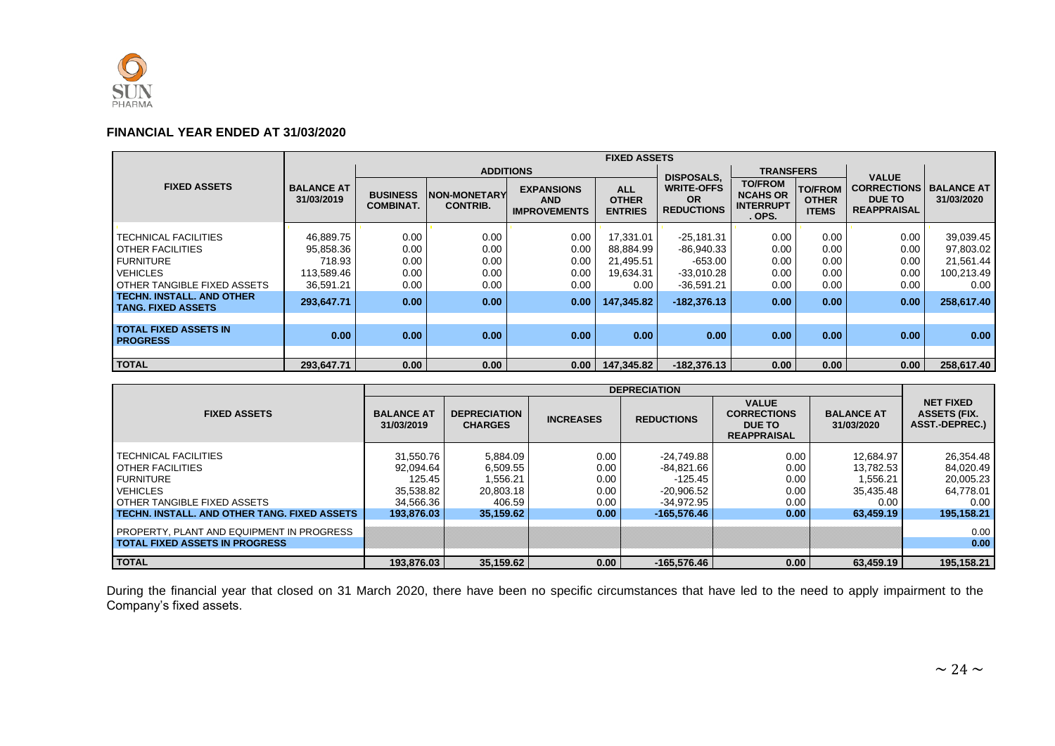

#### **FINANCIAL YEAR ENDED AT 31/03/2020**

|                                                                                                                              |                                                             | <b>FIXED ASSETS</b>                 |                                                                                                                                                                                                                                                                                                                                                                                                                                                                                                                                                                                                                                                                                                                                                                                                                                                                                                                                                           |                                 |            |               |                   |      |      |                                                           |
|------------------------------------------------------------------------------------------------------------------------------|-------------------------------------------------------------|-------------------------------------|-----------------------------------------------------------------------------------------------------------------------------------------------------------------------------------------------------------------------------------------------------------------------------------------------------------------------------------------------------------------------------------------------------------------------------------------------------------------------------------------------------------------------------------------------------------------------------------------------------------------------------------------------------------------------------------------------------------------------------------------------------------------------------------------------------------------------------------------------------------------------------------------------------------------------------------------------------------|---------------------------------|------------|---------------|-------------------|------|------|-----------------------------------------------------------|
|                                                                                                                              |                                                             |                                     |                                                                                                                                                                                                                                                                                                                                                                                                                                                                                                                                                                                                                                                                                                                                                                                                                                                                                                                                                           |                                 |            |               |                   |      |      |                                                           |
| <b>FIXED ASSETS</b>                                                                                                          | <b>BALANCE AT</b><br>31/03/2019                             | <b>BUSINESS</b><br><b>COMBINAT.</b> | <b>ADDITIONS</b><br><b>TRANSFERS</b><br><b>VALUE</b><br><b>DISPOSALS,</b><br><b>TO/FROM</b><br><b>WRITE-OFFS</b><br><b>CORRECTIONS</b><br><b>ALL</b><br><b>TO/FROM</b><br><b>EXPANSIONS</b><br><b>NCAHS OR</b><br><b>NON-MONETARY</b><br><b>OR</b><br><b>DUE TO</b><br><b>OTHER</b><br><b>AND</b><br><b>OTHER</b><br><b>CONTRIB.</b><br><b>INTERRUPT</b><br><b>REDUCTIONS</b><br><b>REAPPRAISAL</b><br><b>ENTRIES</b><br><b>ITEMS</b><br><b>IMPROVEMENTS</b><br>. OPS.<br>0.00<br>0.00<br>0.00<br>0.00<br>0.00<br>17.331.01<br>$-25.181.31$<br>0.00<br>0.00<br>0.00<br>0.00<br>0.00<br>0.00<br>0.00<br>88,884.99<br>$-86,940.33$<br>0.00<br>0.00<br>0.00<br>0.00<br>0.00<br>0.00<br>21.495.51<br>-653.00<br>0.00<br>0.00<br>0.00<br>19,634.31<br>0.00<br>0.00<br>0.00<br>$-33.010.28$<br>0.00<br>0.00<br>0.00<br>$-36,591.21$<br>0.00<br>0.00<br>0.00<br>0.00<br>0.00<br>0.00<br>0.00<br>0.00<br>0.00 <sub>1</sub><br>0.00<br>147,345.82<br>$-182.376.13$ | <b>BALANCE AT</b><br>31/03/2020 |            |               |                   |      |      |                                                           |
| <b>TECHNICAL FACILITIES</b><br><b>OTHER FACILITIES</b><br><b>FURNITURE</b><br><b>VEHICLES</b><br>OTHER TANGIBLE FIXED ASSETS | 46.889.75<br>95,858.36<br>718.93<br>113,589.46<br>36.591.21 |                                     |                                                                                                                                                                                                                                                                                                                                                                                                                                                                                                                                                                                                                                                                                                                                                                                                                                                                                                                                                           |                                 |            |               |                   |      |      | 39.039.45<br>97,803.02<br>21.561.44<br>100.213.49<br>0.00 |
| <b>TECHN. INSTALL, AND OTHER</b><br><b>TANG. FIXED ASSETS</b>                                                                | 293,647.71                                                  |                                     |                                                                                                                                                                                                                                                                                                                                                                                                                                                                                                                                                                                                                                                                                                                                                                                                                                                                                                                                                           |                                 |            |               |                   |      |      | 258,617.40                                                |
| <b>TOTAL FIXED ASSETS IN</b><br><b>PROGRESS</b>                                                                              | 0.00                                                        | 0.00                                | 0.00                                                                                                                                                                                                                                                                                                                                                                                                                                                                                                                                                                                                                                                                                                                                                                                                                                                                                                                                                      | 0.00                            | 0.00       | 0.00          | 0.00              | 0.00 | 0.00 | 0.00 <sub>1</sub>                                         |
| <b>TOTAL</b>                                                                                                                 | 293,647.71                                                  | 0.00                                | 0.00                                                                                                                                                                                                                                                                                                                                                                                                                                                                                                                                                                                                                                                                                                                                                                                                                                                                                                                                                      | 0.00 <sub>1</sub>               | 147,345.82 | $-182.376.13$ | 0.00 <sub>1</sub> | 0.00 | 0.00 | 258.617.40                                                |

|                                                  |                                 |                                       |                   | <b>DEPRECIATION</b> |                                                                    |                                 |                                                                  |
|--------------------------------------------------|---------------------------------|---------------------------------------|-------------------|---------------------|--------------------------------------------------------------------|---------------------------------|------------------------------------------------------------------|
| <b>FIXED ASSETS</b>                              | <b>BALANCE AT</b><br>31/03/2019 | <b>DEPRECIATION</b><br><b>CHARGES</b> | <b>INCREASES</b>  | <b>REDUCTIONS</b>   | <b>VALUE</b><br><b>CORRECTIONS</b><br>DUE TO<br><b>REAPPRAISAL</b> | <b>BALANCE AT</b><br>31/03/2020 | <b>NET FIXED</b><br><b>ASSETS (FIX.</b><br><b>ASST.-DEPREC.)</b> |
| <b>TECHNICAL FACILITIES</b>                      | 31.550.76                       | 5.884.09                              | 0.00              | -24,749.88          | 0.00                                                               | 12.684.97                       | 26,354.48                                                        |
| <b>OTHER FACILITIES</b>                          | 92.094.64                       | 6,509.55                              | 0.00              | -84.821.66          | 0.00                                                               | 13.782.53                       | 84.020.49                                                        |
| <b>FURNITURE</b>                                 | 125.45                          | 1,556.21                              | 0.00              | $-125.45$           | 0.00                                                               | 1.556.21                        | 20,005.23                                                        |
| <b>VEHICLES</b>                                  | 35.538.82                       | 20.803.18                             | 0.00              | $-20.906.52$        | 0.00                                                               | 35.435.48                       | 64.778.01                                                        |
| OTHER TANGIBLE FIXED ASSETS                      | 34.566.36                       | 406.59                                | 0.00              | -34.972.95          | 0.00                                                               | 0.00                            | 0.00                                                             |
| TECHN. INSTALL, AND OTHER TANG, FIXED ASSETS     | 193.876.03                      | 35.159.62                             | 0.00              | $-165.576.46$       | 0.00                                                               | 63.459.19                       | 195,158.21                                                       |
| <b>PROPERTY, PLANT AND EQUIPMENT IN PROGRESS</b> |                                 |                                       |                   |                     |                                                                    |                                 | 0.00                                                             |
| <b>TOTAL FIXED ASSETS IN PROGRESS</b>            |                                 |                                       |                   |                     |                                                                    |                                 | 0.00                                                             |
| <b>TOTAL</b>                                     | 193.876.03                      | 35.159.62                             | 0.00 <sub>1</sub> | $-165.576.46$       | 0.00                                                               | 63.459.19                       | 195,158.21                                                       |

During the financial year that closed on 31 March 2020, there have been no specific circumstances that have led to the need to apply impairment to the Company's fixed assets.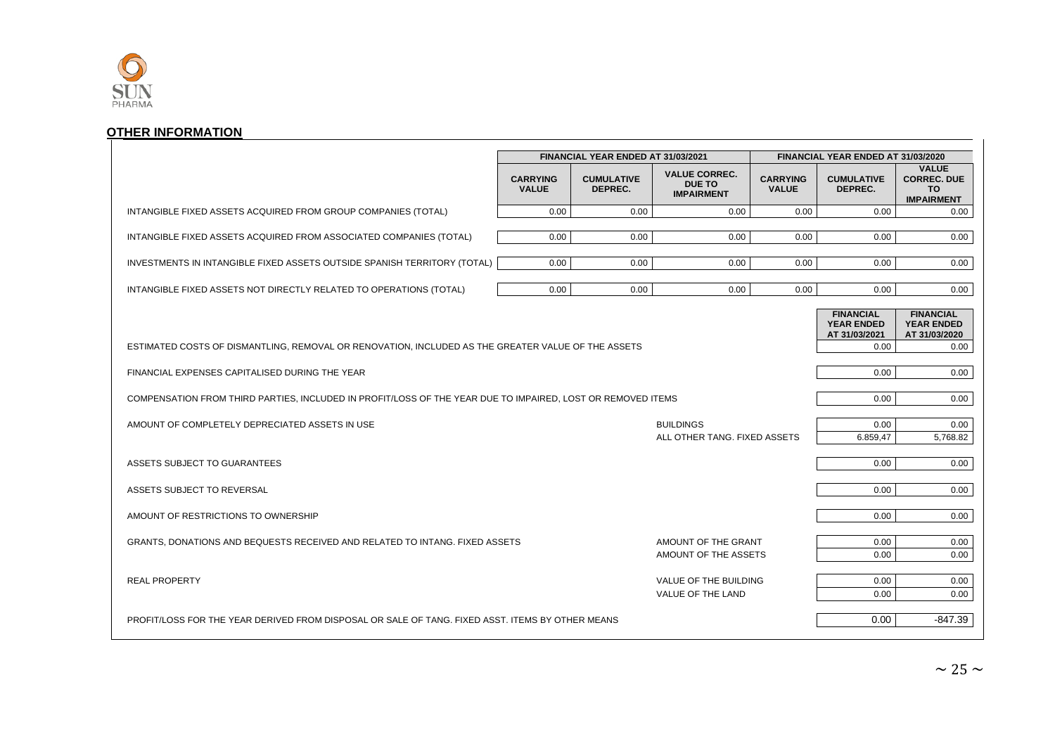

#### **OTHER INFORMATION**

|                                                                                                             |                                 | FINANCIAL YEAR ENDED AT 31/03/2021 |                                                            | FINANCIAL YEAR ENDED AT 31/03/2020 |                                                        |                                                                      |  |  |
|-------------------------------------------------------------------------------------------------------------|---------------------------------|------------------------------------|------------------------------------------------------------|------------------------------------|--------------------------------------------------------|----------------------------------------------------------------------|--|--|
|                                                                                                             | <b>CARRYING</b><br><b>VALUE</b> | <b>CUMULATIVE</b><br>DEPREC.       | <b>VALUE CORREC.</b><br><b>DUE TO</b><br><b>IMPAIRMENT</b> | <b>CARRYING</b><br><b>VALUE</b>    | <b>CUMULATIVE</b><br>DEPREC.                           | <b>VALUE</b><br><b>CORREC. DUE</b><br><b>TO</b><br><b>IMPAIRMENT</b> |  |  |
| INTANGIBLE FIXED ASSETS ACQUIRED FROM GROUP COMPANIES (TOTAL)                                               | 0.00                            | 0.00                               | 0.00                                                       | 0.00                               | 0.00                                                   | 0.00                                                                 |  |  |
| INTANGIBLE FIXED ASSETS ACQUIRED FROM ASSOCIATED COMPANIES (TOTAL)                                          | 0.00                            | 0.00                               | 0.00                                                       | 0.00                               | 0.00                                                   | 0.00                                                                 |  |  |
| INVESTMENTS IN INTANGIBLE FIXED ASSETS OUTSIDE SPANISH TERRITORY (TOTAL)                                    | 0.00                            | 0.00                               | 0.00                                                       | 0.00                               | 0.00                                                   | 0.00                                                                 |  |  |
| INTANGIBLE FIXED ASSETS NOT DIRECTLY RELATED TO OPERATIONS (TOTAL)                                          | 0.00                            | 0.00                               | 0.00                                                       | 0.00                               | 0.00                                                   | 0.00                                                                 |  |  |
|                                                                                                             |                                 |                                    |                                                            |                                    | <b>FINANCIAL</b><br><b>YEAR ENDED</b><br>AT 31/03/2021 | <b>FINANCIAL</b><br><b>YEAR ENDED</b><br>AT 31/03/2020               |  |  |
| ESTIMATED COSTS OF DISMANTLING, REMOVAL OR RENOVATION, INCLUDED AS THE GREATER VALUE OF THE ASSETS          |                                 |                                    |                                                            |                                    | 0.00                                                   | 0.00                                                                 |  |  |
| FINANCIAL EXPENSES CAPITALISED DURING THE YEAR                                                              |                                 |                                    |                                                            |                                    | 0.00                                                   | 0.00                                                                 |  |  |
| COMPENSATION FROM THIRD PARTIES, INCLUDED IN PROFIT/LOSS OF THE YEAR DUE TO IMPAIRED, LOST OR REMOVED ITEMS |                                 |                                    |                                                            |                                    | 0.00                                                   | 0.00                                                                 |  |  |
| AMOUNT OF COMPLETELY DEPRECIATED ASSETS IN USE                                                              |                                 |                                    | <b>BUILDINGS</b><br>ALL OTHER TANG. FIXED ASSETS           |                                    | 0.00<br>6.859,47                                       | 0.00<br>5,768.82                                                     |  |  |
| ASSETS SUBJECT TO GUARANTEES                                                                                |                                 |                                    |                                                            |                                    | 0.00                                                   | 0.00                                                                 |  |  |
| ASSETS SUBJECT TO REVERSAL                                                                                  |                                 |                                    |                                                            |                                    | 0.00                                                   | 0.00                                                                 |  |  |
| AMOUNT OF RESTRICTIONS TO OWNERSHIP                                                                         |                                 |                                    |                                                            |                                    | 0.00                                                   | 0.00                                                                 |  |  |
| GRANTS, DONATIONS AND BEQUESTS RECEIVED AND RELATED TO INTANG. FIXED ASSETS                                 |                                 |                                    | AMOUNT OF THE GRANT<br>AMOUNT OF THE ASSETS                |                                    | 0.00<br>0.00                                           | 0.00<br>0.00                                                         |  |  |
|                                                                                                             |                                 |                                    |                                                            |                                    |                                                        |                                                                      |  |  |
| <b>REAL PROPERTY</b>                                                                                        |                                 |                                    | VALUE OF THE BUILDING<br>VALUE OF THE LAND                 |                                    | 0.00<br>0.00                                           | 0.00<br>0.00                                                         |  |  |
| PROFIT/LOSS FOR THE YEAR DERIVED FROM DISPOSAL OR SALE OF TANG. FIXED ASST. ITEMS BY OTHER MEANS            |                                 |                                    |                                                            |                                    | 0.00                                                   | $-847.39$                                                            |  |  |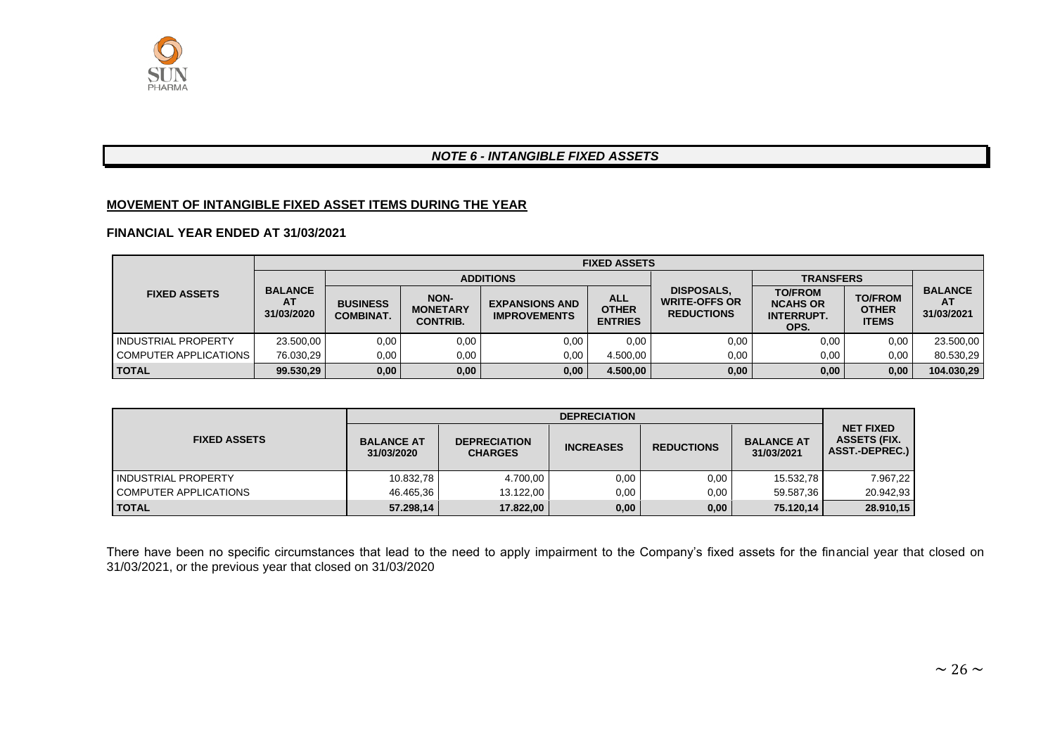

#### *NOTE 6 - INTANGIBLE FIXED ASSETS*

#### **MOVEMENT OF INTANGIBLE FIXED ASSET ITEMS DURING THE YEAR**

#### **FINANCIAL YEAR ENDED AT 31/03/2021**

|                            |                                    |                                     |                                                   |                                                                                | <b>FIXED ASSETS</b> |                                                                |                                                                |                                                |                                    |
|----------------------------|------------------------------------|-------------------------------------|---------------------------------------------------|--------------------------------------------------------------------------------|---------------------|----------------------------------------------------------------|----------------------------------------------------------------|------------------------------------------------|------------------------------------|
|                            | <b>ADDITIONS</b>                   |                                     |                                                   |                                                                                |                     |                                                                | <b>TRANSFERS</b>                                               |                                                |                                    |
| <b>FIXED ASSETS</b>        | <b>BALANCE</b><br>AT<br>31/03/2020 | <b>BUSINESS</b><br><b>COMBINAT.</b> | <b>NON-</b><br><b>MONETARY</b><br><b>CONTRIB.</b> | <b>EXPANSIONS AND</b><br><b>OTHER</b><br><b>IMPROVEMENTS</b><br><b>ENTRIES</b> |                     | <b>DISPOSALS,</b><br><b>WRITE-OFFS OR</b><br><b>REDUCTIONS</b> | <b>TO/FROM</b><br><b>NCAHS OR</b><br><b>INTERRUPT.</b><br>OPS. | <b>TO/FROM</b><br><b>OTHER</b><br><b>ITEMS</b> | <b>BALANCE</b><br>AT<br>31/03/2021 |
| <b>INDUSTRIAL PROPERTY</b> | 23.500,00                          | 0,00                                | 0,00                                              | 0,00                                                                           | 0,00                | 0,00                                                           | 0,00                                                           | 0,00                                           | 23.500,00                          |
| COMPUTER APPLICATIONS      | 76.030.29                          | 0,00                                | 0,00                                              | 0,00                                                                           | 4.500.00            | 0,00                                                           | 0,00                                                           | 0,00                                           | 80.530,29                          |
| <b>TOTAL</b>               | 99.530,29                          | 0,00                                | 0,00                                              | 0,00                                                                           | 4.500,00            | 0,00                                                           | 0,00                                                           | 0,00                                           | 104.030,29                         |

|                            |                                                                          |           | <b>DEPRECIATION</b> |                   |                                 |                                                                  |
|----------------------------|--------------------------------------------------------------------------|-----------|---------------------|-------------------|---------------------------------|------------------------------------------------------------------|
| <b>FIXED ASSETS</b>        | <b>BALANCE AT</b><br><b>DEPRECIATION</b><br>31/03/2020<br><b>CHARGES</b> |           | <b>INCREASES</b>    | <b>REDUCTIONS</b> | <b>BALANCE AT</b><br>31/03/2021 | <b>NET FIXED</b><br><b>ASSETS (FIX.</b><br><b>ASST.-DEPREC.)</b> |
| <b>INDUSTRIAL PROPERTY</b> | 10.832,78                                                                | 4.700,00  | 0,00                | 0,00              | 15.532.78                       | 7.967,22                                                         |
| COMPUTER APPLICATIONS      | 46.465.36                                                                | 13.122,00 | 0,00                | 0,00              | 59.587,36                       | 20.942,93                                                        |
| <b>TOTAL</b>               | 57.298,14                                                                | 17.822,00 | 0,00                | 0,00              | 75.120,14                       | 28.910,15                                                        |

There have been no specific circumstances that lead to the need to apply impairment to the Company's fixed assets for the financial year that closed on 31/03/2021, or the previous year that closed on 31/03/2020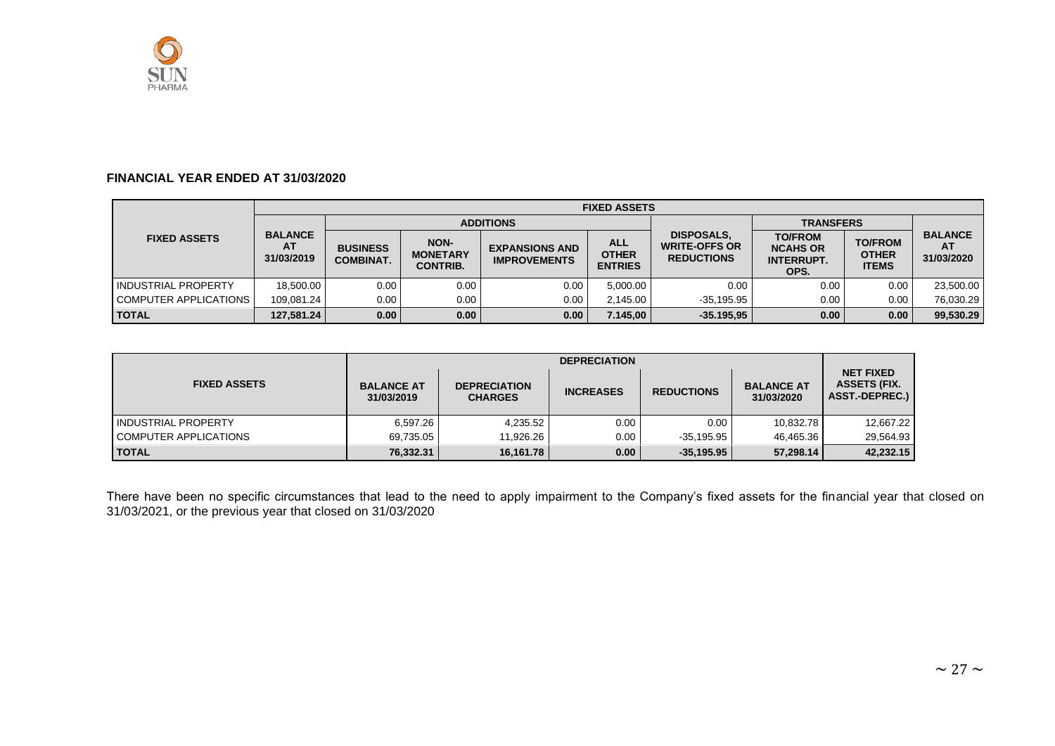

#### **FINANCIAL YEAR ENDED AT 31/03/2020**

|                            |                                    |                                     |                                            |                                                                                              | <b>FIXED ASSETS</b> |                                                                |                                                                |                                                |                                           |
|----------------------------|------------------------------------|-------------------------------------|--------------------------------------------|----------------------------------------------------------------------------------------------|---------------------|----------------------------------------------------------------|----------------------------------------------------------------|------------------------------------------------|-------------------------------------------|
|                            |                                    | <b>ADDITIONS</b>                    |                                            |                                                                                              |                     |                                                                | <b>TRANSFERS</b>                                               |                                                |                                           |
| <b>FIXED ASSETS</b>        | <b>BALANCE</b><br>AT<br>31/03/2019 | <b>BUSINESS</b><br><b>COMBINAT.</b> | NON-<br><b>MONETARY</b><br><b>CONTRIB.</b> | <b>ALL</b><br><b>EXPANSIONS AND</b><br><b>OTHER</b><br><b>IMPROVEMENTS</b><br><b>ENTRIES</b> |                     | <b>DISPOSALS,</b><br><b>WRITE-OFFS OR</b><br><b>REDUCTIONS</b> | <b>TO/FROM</b><br><b>NCAHS OR</b><br><b>INTERRUPT.</b><br>OPS. | <b>TO/FROM</b><br><b>OTHER</b><br><b>ITEMS</b> | <b>BALANCE</b><br><b>AT</b><br>31/03/2020 |
| <b>INDUSTRIAL PROPERTY</b> | 18.500.00                          | 0.00                                | 0.00                                       | 0.00                                                                                         | 5.000.00            | 0.00                                                           | $0.00\,$                                                       | 0.00                                           | 23,500.00                                 |
| COMPUTER APPLICATIONS      | 109.081.24                         | 0.00                                | 0.00<br>0.00                               |                                                                                              | 2.145.00            | $-35.195.95$                                                   | $0.00\,$                                                       | 0.00                                           | 76,030.29                                 |
| <b>TOTAL</b>               | 127.581.24                         |                                     | 0.00<br>0.00<br>0.00<br>7.145,00           |                                                                                              |                     |                                                                | 0.00<br>$-35.195.95$                                           | 0.00                                           | 99,530.29                                 |

|                            |                                 |                                       | <b>DEPRECIATION</b> |                   |                                 |                                                                  |
|----------------------------|---------------------------------|---------------------------------------|---------------------|-------------------|---------------------------------|------------------------------------------------------------------|
| <b>FIXED ASSETS</b>        | <b>BALANCE AT</b><br>31/03/2019 | <b>DEPRECIATION</b><br><b>CHARGES</b> | <b>INCREASES</b>    | <b>REDUCTIONS</b> | <b>BALANCE AT</b><br>31/03/2020 | <b>NET FIXED</b><br><b>ASSETS (FIX.</b><br><b>ASST.-DEPREC.)</b> |
| <b>INDUSTRIAL PROPERTY</b> | 6.597.26                        | 4,235.52                              | 0.00                | 0.00              | 10.832.78                       | 12,667.22                                                        |
| COMPUTER APPLICATIONS      | 69,735.05                       | 11.926.26                             | 0.00                | $-35,195.95$      | 46,465.36                       | 29,564.93                                                        |
| <b>TOTAL</b>               | 76,332.31                       | 16,161.78                             | 0.00                | $-35,195.95$      | 57,298.14                       | 42,232.15                                                        |

There have been no specific circumstances that lead to the need to apply impairment to the Company's fixed assets for the financial year that closed on 31/03/2021, or the previous year that closed on 31/03/2020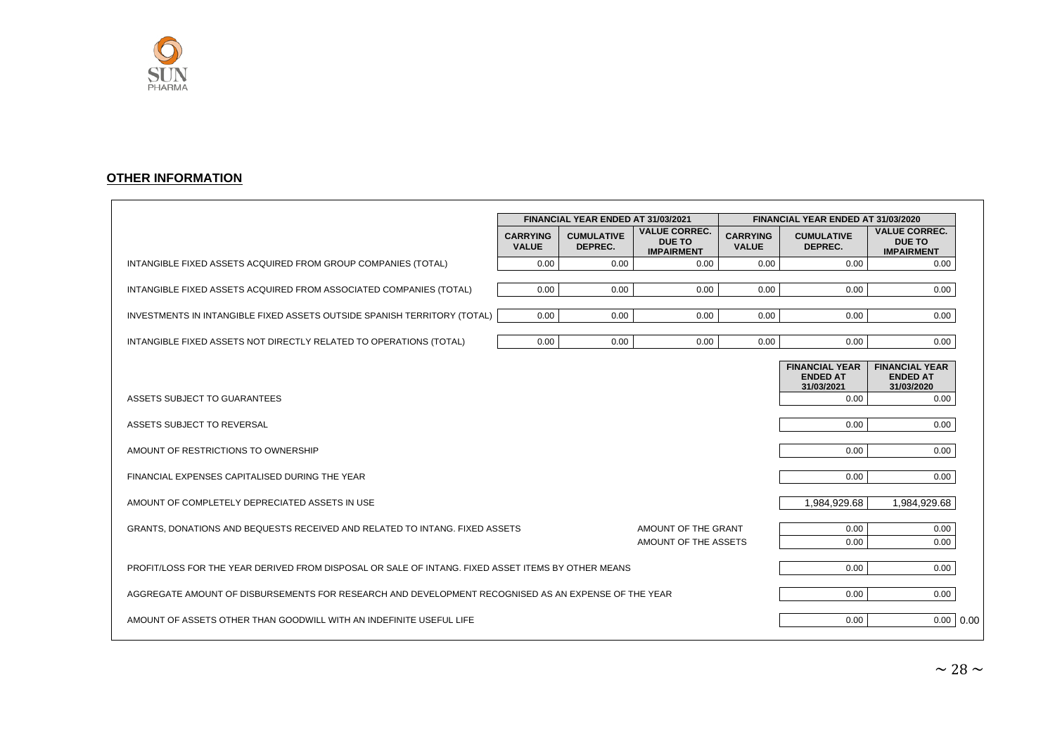

# **OTHER INFORMATION**

|                                                                                                     | FINANCIAL YEAR ENDED AT 31/03/2021 |                              |                                                     |                                 | FINANCIAL YEAR ENDED AT 31/03/2020                     |                                                        |
|-----------------------------------------------------------------------------------------------------|------------------------------------|------------------------------|-----------------------------------------------------|---------------------------------|--------------------------------------------------------|--------------------------------------------------------|
|                                                                                                     | <b>CARRYING</b><br><b>VALUE</b>    | <b>CUMULATIVE</b><br>DEPREC. | <b>VALUE CORREC.</b><br>DUE TO<br><b>IMPAIRMENT</b> | <b>CARRYING</b><br><b>VALUE</b> | <b>CUMULATIVE</b><br>DEPREC.                           | <b>VALUE CORREC.</b><br>DUE TO<br><b>IMPAIRMENT</b>    |
| INTANGIBLE FIXED ASSETS ACQUIRED FROM GROUP COMPANIES (TOTAL)                                       | 0.00                               | 0.00                         | 0.00                                                | 0.00                            | 0.00                                                   | 0.00                                                   |
| INTANGIBLE FIXED ASSETS ACQUIRED FROM ASSOCIATED COMPANIES (TOTAL)                                  | 0.00                               | 0.00                         | 0.00                                                | 0.00                            | 0.00                                                   | 0.00                                                   |
| INVESTMENTS IN INTANGIBLE FIXED ASSETS OUTSIDE SPANISH TERRITORY (TOTAL)                            | 0.00                               | 0.00                         | 0.00                                                | 0.00                            | 0.00                                                   | 0.00                                                   |
| INTANGIBLE FIXED ASSETS NOT DIRECTLY RELATED TO OPERATIONS (TOTAL)                                  | 0.00                               | 0.00                         | 0.00                                                | 0.00                            | 0.00                                                   | 0.00                                                   |
|                                                                                                     |                                    |                              |                                                     |                                 | <b>FINANCIAL YEAR</b><br><b>ENDED AT</b><br>31/03/2021 | <b>FINANCIAL YEAR</b><br><b>ENDED AT</b><br>31/03/2020 |
| ASSETS SUBJECT TO GUARANTEES                                                                        |                                    |                              |                                                     |                                 | 0.00                                                   | 0.00                                                   |
| ASSETS SUBJECT TO REVERSAL                                                                          |                                    |                              |                                                     |                                 | 0.00                                                   | 0.00                                                   |
| AMOUNT OF RESTRICTIONS TO OWNERSHIP                                                                 |                                    |                              |                                                     |                                 | 0.00                                                   | 0.00                                                   |
| FINANCIAL EXPENSES CAPITALISED DURING THE YEAR                                                      |                                    |                              |                                                     |                                 | 0.00                                                   | 0.00                                                   |
| AMOUNT OF COMPLETELY DEPRECIATED ASSETS IN USE                                                      |                                    |                              |                                                     |                                 | 1.984.929.68                                           | 1,984,929.68                                           |
| GRANTS, DONATIONS AND BEQUESTS RECEIVED AND RELATED TO INTANG. FIXED ASSETS                         |                                    |                              | AMOUNT OF THE GRANT                                 |                                 | 0.00                                                   | 0.00                                                   |
|                                                                                                     |                                    |                              | AMOUNT OF THE ASSETS                                |                                 | 0.00                                                   | 0.00                                                   |
| PROFIT/LOSS FOR THE YEAR DERIVED FROM DISPOSAL OR SALE OF INTANG. FIXED ASSET ITEMS BY OTHER MEANS  |                                    |                              |                                                     |                                 | 0.00                                                   | 0.00                                                   |
| AGGREGATE AMOUNT OF DISBURSEMENTS FOR RESEARCH AND DEVELOPMENT RECOGNISED AS AN EXPENSE OF THE YEAR |                                    |                              |                                                     |                                 | 0.00                                                   | 0.00                                                   |
| AMOUNT OF ASSETS OTHER THAN GOODWILL WITH AN INDEFINITE USEFUL LIFE                                 |                                    |                              |                                                     |                                 | 0.00                                                   | 0.00<br>0.00                                           |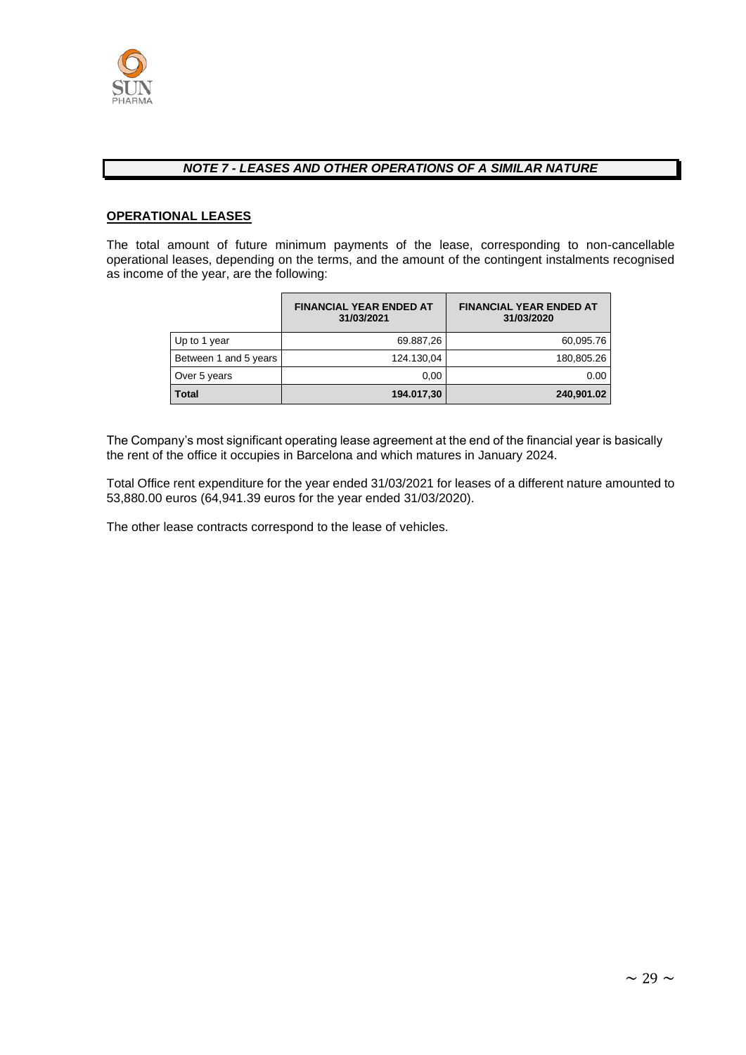

# *NOTE 7 - LEASES AND OTHER OPERATIONS OF A SIMILAR NATURE*

#### **OPERATIONAL LEASES**

The total amount of future minimum payments of the lease, corresponding to non-cancellable operational leases, depending on the terms, and the amount of the contingent instalments recognised as income of the year, are the following:

|                       | <b>FINANCIAL YEAR ENDED AT</b><br>31/03/2021 | <b>FINANCIAL YEAR ENDED AT</b><br>31/03/2020 |
|-----------------------|----------------------------------------------|----------------------------------------------|
| Up to 1 year          | 69.887,26                                    | 60,095.76                                    |
| Between 1 and 5 years | 124.130,04                                   | 180,805.26                                   |
| Over 5 years          | 0,00                                         | 0.00                                         |
| <b>Total</b>          | 194.017,30                                   | 240,901.02                                   |

The Company's most significant operating lease agreement at the end of the financial year is basically the rent of the office it occupies in Barcelona and which matures in January 2024.

Total Office rent expenditure for the year ended 31/03/2021 for leases of a different nature amounted to 53,880.00 euros (64,941.39 euros for the year ended 31/03/2020).

The other lease contracts correspond to the lease of vehicles.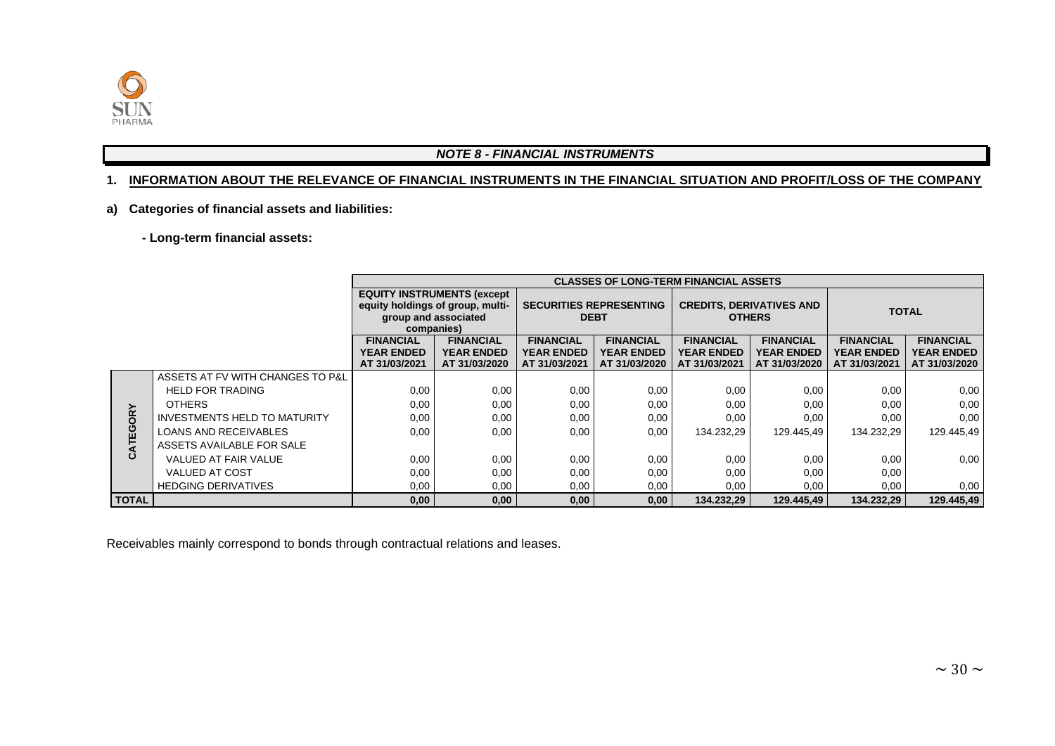

#### *NOTE 8 - FINANCIAL INSTRUMENTS*

#### **1. INFORMATION ABOUT THE RELEVANCE OF FINANCIAL INSTRUMENTS IN THE FINANCIAL SITUATION AND PROFIT/LOSS OF THE COMPANY**

#### **a) Categories of financial assets and liabilities:**

#### **- Long-term financial assets:**

|              |                                     | <b>CLASSES OF LONG-TERM FINANCIAL ASSETS</b>                           |                                       |                                       |                                       |                                       |                                                  |                                       |                                       |  |  |
|--------------|-------------------------------------|------------------------------------------------------------------------|---------------------------------------|---------------------------------------|---------------------------------------|---------------------------------------|--------------------------------------------------|---------------------------------------|---------------------------------------|--|--|
|              |                                     | equity holdings of group, multi-<br>group and associated<br>companies) | <b>EQUITY INSTRUMENTS (except</b>     | <b>DEBT</b>                           | <b>SECURITIES REPRESENTING</b>        |                                       | <b>CREDITS, DERIVATIVES AND</b><br><b>OTHERS</b> | <b>TOTAL</b>                          |                                       |  |  |
|              |                                     | <b>FINANCIAL</b><br><b>YEAR ENDED</b>                                  | <b>FINANCIAL</b><br><b>YEAR ENDED</b> | <b>FINANCIAL</b><br><b>YEAR ENDED</b> | <b>FINANCIAL</b><br><b>YEAR ENDED</b> | <b>FINANCIAL</b><br><b>YEAR ENDED</b> | <b>FINANCIAL</b><br><b>YEAR ENDED</b>            | <b>FINANCIAL</b><br><b>YEAR ENDED</b> | <b>FINANCIAL</b><br><b>YEAR ENDED</b> |  |  |
|              |                                     | AT 31/03/2021                                                          | AT 31/03/2020                         | AT 31/03/2021                         | AT 31/03/2020                         | AT 31/03/2021                         | AT 31/03/2020                                    | AT 31/03/2021                         | AT 31/03/2020                         |  |  |
|              | ASSETS AT FV WITH CHANGES TO P&L    |                                                                        |                                       |                                       |                                       |                                       |                                                  |                                       |                                       |  |  |
|              | <b>HELD FOR TRADING</b>             | 0,00                                                                   | 0,00                                  | 0,00                                  | 0,00                                  | 0,00                                  | 0,00                                             | 0,00                                  | 0,00                                  |  |  |
|              | <b>OTHERS</b>                       | 0,00                                                                   | 0,00                                  | 0,00                                  | 0,00                                  | 0,00                                  | 0.00                                             | 0.00                                  | 0,00                                  |  |  |
| ORY          | <b>INVESTMENTS HELD TO MATURITY</b> | 0,00                                                                   | 0,00                                  | 0,00                                  | 0,00                                  | 0,00                                  | 0,00                                             | 0,00                                  | 0,00                                  |  |  |
|              | LOANS AND RECEIVABLES               | 0,00                                                                   | 0,00                                  | 0,00                                  | 0,00                                  | 134.232,29                            | 129.445,49                                       | 134.232,29                            | 129.445,49                            |  |  |
| CATEG        | ASSETS AVAILABLE FOR SALE           |                                                                        |                                       |                                       |                                       |                                       |                                                  |                                       |                                       |  |  |
|              | VALUED AT FAIR VALUE                | 0,00                                                                   | 0,00                                  | 0,00                                  | 0,00                                  | 0,00                                  | 0.00                                             | 0,00                                  | 0,00                                  |  |  |
|              | <b>VALUED AT COST</b>               | 0,00                                                                   | 0,00                                  | 0,00                                  | 0,00                                  | 0,00                                  | 0,00                                             | 0,00                                  |                                       |  |  |
|              | <b>HEDGING DERIVATIVES</b>          | 0,00                                                                   | 0,00                                  | 0,00                                  | 0,00                                  | 0,00                                  | 0.00                                             | 0,00                                  | 0,00                                  |  |  |
| <b>TOTAL</b> |                                     | 0,00                                                                   | 0,00                                  | 0,00                                  | 0,00                                  | 134.232,29                            | 129.445,49                                       | 134.232,29                            | 129.445,49                            |  |  |

Receivables mainly correspond to bonds through contractual relations and leases.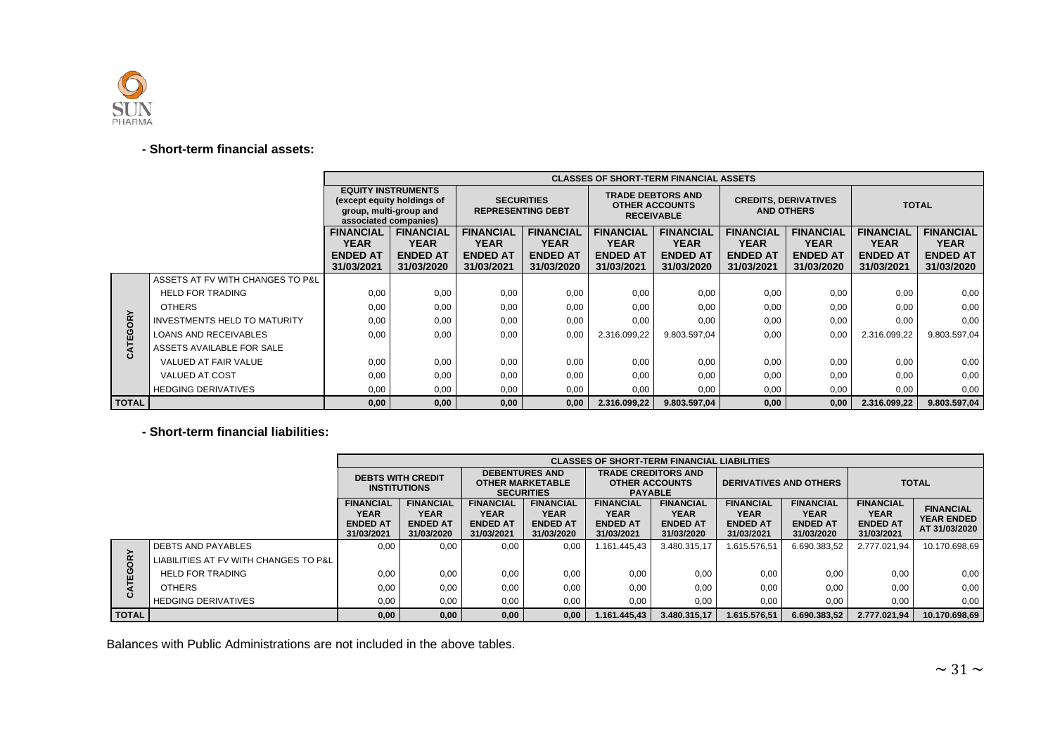

# **- Short-term financial assets:**

|              |                                     | <b>CLASSES OF SHORT-TERM FINANCIAL ASSETS</b>                    |                                                           |                                                                  |                                                                  |                                                                        |                                                                  |                                                           |                                                           |                                                                  |                                                                  |
|--------------|-------------------------------------|------------------------------------------------------------------|-----------------------------------------------------------|------------------------------------------------------------------|------------------------------------------------------------------|------------------------------------------------------------------------|------------------------------------------------------------------|-----------------------------------------------------------|-----------------------------------------------------------|------------------------------------------------------------------|------------------------------------------------------------------|
|              |                                     | (except equity holdings of<br>associated companies)              | <b>EQUITY INSTRUMENTS</b><br>group, multi-group and       | <b>SECURITIES</b><br><b>REPRESENTING DEBT</b>                    |                                                                  | <b>TRADE DEBTORS AND</b><br><b>OTHER ACCOUNTS</b><br><b>RECEIVABLE</b> |                                                                  |                                                           | <b>CREDITS, DERIVATIVES</b><br><b>AND OTHERS</b>          | <b>TOTAL</b>                                                     |                                                                  |
|              |                                     | <b>FINANCIAL</b><br><b>YEAR</b><br><b>ENDED AT</b><br>31/03/2021 | <b>FINANCIAL</b><br>YEAR<br><b>ENDED AT</b><br>31/03/2020 | <b>FINANCIAL</b><br><b>YEAR</b><br><b>ENDED AT</b><br>31/03/2021 | <b>FINANCIAL</b><br><b>YEAR</b><br><b>ENDED AT</b><br>31/03/2020 | <b>FINANCIAL</b><br><b>YEAR</b><br><b>ENDED AT</b><br>31/03/2021       | <b>FINANCIAL</b><br><b>YEAR</b><br><b>ENDED AT</b><br>31/03/2020 | <b>FINANCIAL</b><br>YEAR<br><b>ENDED AT</b><br>31/03/2021 | <b>FINANCIAL</b><br>YEAR<br><b>ENDED AT</b><br>31/03/2020 | <b>FINANCIAL</b><br><b>YEAR</b><br><b>ENDED AT</b><br>31/03/2021 | <b>FINANCIAL</b><br><b>YEAR</b><br><b>ENDED AT</b><br>31/03/2020 |
|              | ASSETS AT FV WITH CHANGES TO P&L    |                                                                  |                                                           |                                                                  |                                                                  |                                                                        |                                                                  |                                                           |                                                           |                                                                  |                                                                  |
|              | <b>HELD FOR TRADING</b>             | 0,00                                                             | 0,00                                                      | 0,00                                                             | 0,00                                                             | 0,00                                                                   | 0,00                                                             | 0,00                                                      | 0,00                                                      | 0,00                                                             | 0,00                                                             |
|              | <b>OTHERS</b>                       | 0,00                                                             | 0,00                                                      | 0,00                                                             | 0,00                                                             | 0,00                                                                   | 0,00                                                             | 0,00                                                      | 0,00                                                      | 0,00                                                             | 0,00                                                             |
| <b>ORY</b>   | <b>INVESTMENTS HELD TO MATURITY</b> | 0,00                                                             | 0,00                                                      | 0,00                                                             | 0,00                                                             | 0,00                                                                   | 0.00                                                             | 0,00                                                      | 0,00                                                      | 0,00                                                             | 0,00                                                             |
| <b>ATEG</b>  | <b>LOANS AND RECEIVABLES</b>        | 0,00                                                             | 0,00                                                      | 0,00                                                             | 0,00                                                             | 2.316.099,22                                                           | 9.803.597,04                                                     | 0,00                                                      | 0,00                                                      | 2.316.099,22                                                     | 9.803.597,04                                                     |
| ن            | ASSETS AVAILABLE FOR SALE           |                                                                  |                                                           |                                                                  |                                                                  |                                                                        |                                                                  |                                                           |                                                           |                                                                  |                                                                  |
|              | VALUED AT FAIR VALUE                | 0,00                                                             | 0,00                                                      | 0,00                                                             | 0,00                                                             | 0,00                                                                   | 0,00                                                             | 0,00                                                      | 0,00                                                      | 0,00                                                             | 0,00                                                             |
|              | <b>VALUED AT COST</b>               | 0,00                                                             | 0,00                                                      | 0,00                                                             | 0,00                                                             | 0,00                                                                   | 0,00                                                             | 0,00                                                      | 0,00                                                      | 0,00                                                             | 0,00                                                             |
|              | <b>HEDGING DERIVATIVES</b>          | 0,00                                                             | 0,00                                                      | 0,00                                                             | 0,00                                                             | 0,00                                                                   | 0,00                                                             | 0,00                                                      | 0,00                                                      | 0,00                                                             | 0,00                                                             |
| <b>TOTAL</b> |                                     | 0,00                                                             | 0,00                                                      | 0,00                                                             | 0,00                                                             | 2.316.099,22                                                           | 9.803.597,04                                                     | 0,00                                                      | 0.00                                                      | 2.316.099,22                                                     | 9.803.597,04                                                     |

**- Short-term financial liabilities:**

|              |                                       |                                                                                                                                                                                                   | <b>CLASSES OF SHORT-TERM FINANCIAL LIABILITIES</b>               |                                                                  |                                                                  |                                                                  |                                                                  |                                                                  |                                                                  |              |                                                        |  |
|--------------|---------------------------------------|---------------------------------------------------------------------------------------------------------------------------------------------------------------------------------------------------|------------------------------------------------------------------|------------------------------------------------------------------|------------------------------------------------------------------|------------------------------------------------------------------|------------------------------------------------------------------|------------------------------------------------------------------|------------------------------------------------------------------|--------------|--------------------------------------------------------|--|
|              |                                       | <b>DEBENTURES AND</b><br><b>TRADE CREDITORS AND</b><br><b>DEBTS WITH CREDIT</b><br><b>OTHER ACCOUNTS</b><br><b>OTHER MARKETABLE</b><br><b>INSTITUTIONS</b><br><b>SECURITIES</b><br><b>PAYABLE</b> |                                                                  |                                                                  |                                                                  | <b>DERIVATIVES AND OTHERS</b>                                    |                                                                  | <b>TOTAL</b>                                                     |                                                                  |              |                                                        |  |
|              |                                       | <b>FINANCIAL</b><br><b>YEAR</b><br><b>ENDED AT</b><br>31/03/2021                                                                                                                                  | <b>FINANCIAL</b><br><b>YEAR</b><br><b>ENDED AT</b><br>31/03/2020 | <b>FINANCIAL</b><br><b>YEAR</b><br><b>ENDED AT</b><br>31/03/2021 | <b>FINANCIAL</b><br><b>YEAR</b><br><b>ENDED AT</b><br>31/03/2020 | <b>FINANCIAL</b><br><b>YEAR</b><br><b>ENDED AT</b><br>31/03/2021 | <b>FINANCIAL</b><br><b>YEAR</b><br><b>ENDED AT</b><br>31/03/2020 | <b>FINANCIAL</b><br><b>YEAR</b><br><b>ENDED AT</b><br>31/03/2021 | <b>FINANCIAL</b><br><b>YEAR</b><br><b>ENDED AT</b><br>31/03/2020 |              | <b>FINANCIAL</b><br><b>YEAR ENDED</b><br>AT 31/03/2020 |  |
|              | <b>DEBTS AND PAYABLES</b>             | 0.00                                                                                                                                                                                              | 0.00                                                             | 0,00                                                             | 0.00                                                             | 1.161.445.43                                                     | 3.480.315.17                                                     | 1.615.576.51                                                     | 6.690.383.52                                                     | 2.777.021.94 | 10.170.698.69                                          |  |
| <b>DRY</b>   | LIABILITIES AT FV WITH CHANGES TO P&L |                                                                                                                                                                                                   |                                                                  |                                                                  |                                                                  |                                                                  |                                                                  |                                                                  |                                                                  |              |                                                        |  |
|              | <b>HELD FOR TRADING</b>               | 0,00                                                                                                                                                                                              | 0,00                                                             | 0,00                                                             | 0,00                                                             | 0,00                                                             | 0.00                                                             | 0,00                                                             | 0,00                                                             | 0,00         | 0,00                                                   |  |
|              | <b>OTHERS</b>                         | 0,00                                                                                                                                                                                              | 0,00                                                             | 0,00                                                             | 0,00                                                             | 0,00                                                             | 0.00                                                             | 0,00                                                             | 0,00                                                             | 0,00         | 0,00                                                   |  |
|              | <b>HEDGING DERIVATIVES</b>            | 0,00                                                                                                                                                                                              | 0,00                                                             | 0,00                                                             | 0,00                                                             | 0,00                                                             | 0,00                                                             | 0,00                                                             | 0,00                                                             | 0,00         | 0,00                                                   |  |
| <b>TOTAL</b> |                                       | 0,00                                                                                                                                                                                              | 0,00                                                             | 0,00                                                             | 0.00                                                             | 1.161.445.43                                                     | 3.480.315.17                                                     | 1.615.576.51                                                     | 6.690.383.52                                                     | 2.777.021.94 | 10.170.698.69                                          |  |

Balances with Public Administrations are not included in the above tables.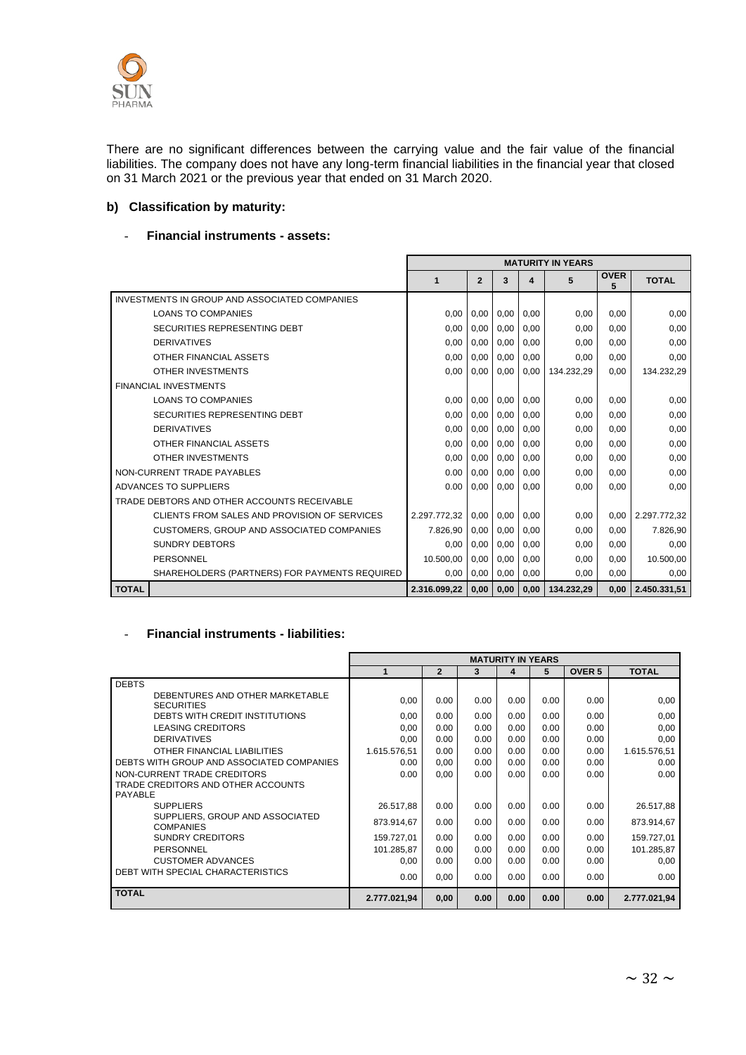

There are no significant differences between the carrying value and the fair value of the financial liabilities. The company does not have any long-term financial liabilities in the financial year that closed on 31 March 2021 or the previous year that ended on 31 March 2020.

# **b) Classification by maturity:**

#### - **Financial instruments - assets:**

|                                               | <b>MATURITY IN YEARS</b>                               |      |      |      |            |      |              |  |  |
|-----------------------------------------------|--------------------------------------------------------|------|------|------|------------|------|--------------|--|--|
|                                               | <b>OVER</b><br>$\overline{2}$<br>5<br>3<br>1<br>4<br>5 |      |      |      |            |      | <b>TOTAL</b> |  |  |
| INVESTMENTS IN GROUP AND ASSOCIATED COMPANIES |                                                        |      |      |      |            |      |              |  |  |
| <b>LOANS TO COMPANIES</b>                     | 0,00                                                   | 0,00 | 0,00 | 0.00 | 0,00       | 0,00 | 0,00         |  |  |
| SECURITIES REPRESENTING DEBT                  | 0,00                                                   | 0,00 | 0,00 | 0,00 | 0,00       | 0,00 | 0,00         |  |  |
| <b>DERIVATIVES</b>                            | 0,00                                                   | 0,00 | 0,00 | 0,00 | 0,00       | 0,00 | 0,00         |  |  |
| OTHER FINANCIAL ASSETS                        | 0,00                                                   | 0,00 | 0,00 | 0,00 | 0.00       | 0,00 | 0,00         |  |  |
| <b>OTHER INVESTMENTS</b>                      | 0,00                                                   | 0.00 | 0.00 | 0,00 | 134.232.29 | 0,00 | 134.232,29   |  |  |
| <b>FINANCIAL INVESTMENTS</b>                  |                                                        |      |      |      |            |      |              |  |  |
| <b>LOANS TO COMPANIES</b>                     | 0,00                                                   | 0,00 | 0,00 | 0,00 | 0,00       | 0,00 | 0,00         |  |  |
| <b>SECURITIES REPRESENTING DEBT</b>           | 0,00                                                   | 0,00 | 0,00 | 0,00 | 0,00       | 0,00 | 0,00         |  |  |
| <b>DERIVATIVES</b>                            | 0,00                                                   | 0,00 | 0,00 | 0,00 | 0,00       | 0,00 | 0,00         |  |  |
| OTHER FINANCIAL ASSETS                        | 0,00                                                   | 0,00 | 0,00 | 0,00 | 0,00       | 0,00 | 0,00         |  |  |
| OTHER INVESTMENTS                             | 0,00                                                   | 0,00 | 0,00 | 0,00 | 0,00       | 0,00 | 0,00         |  |  |
| NON-CURRENT TRADE PAYABLES                    | 0.00                                                   | 0,00 | 0,00 | 0,00 | 0,00       | 0,00 | 0,00         |  |  |
| ADVANCES TO SUPPLIERS                         | 0.00                                                   | 0,00 | 0,00 | 0,00 | 0,00       | 0,00 | 0,00         |  |  |
| TRADE DEBTORS AND OTHER ACCOUNTS RECEIVABLE   |                                                        |      |      |      |            |      |              |  |  |
| CLIENTS FROM SALES AND PROVISION OF SERVICES  | 2.297.772.32                                           | 0,00 | 0,00 | 0,00 | 0,00       | 0,00 | 2.297.772,32 |  |  |
| CUSTOMERS, GROUP AND ASSOCIATED COMPANIES     | 7.826,90                                               | 0,00 | 0,00 | 0,00 | 0,00       | 0,00 | 7.826,90     |  |  |
| <b>SUNDRY DEBTORS</b>                         | 0.00                                                   | 0,00 | 0,00 | 0,00 | 0,00       | 0,00 | 0,00         |  |  |
| <b>PERSONNEL</b>                              | 10.500,00                                              | 0,00 | 0,00 | 0,00 | 0,00       | 0,00 | 10.500,00    |  |  |
| SHAREHOLDERS (PARTNERS) FOR PAYMENTS REQUIRED | 0,00                                                   | 0,00 | 0,00 | 0,00 | 0.00       | 0,00 | 0,00         |  |  |
| <b>TOTAL</b>                                  | 2.316.099,22                                           | 0,00 | 0,00 | 0,00 | 134.232,29 | 0,00 | 2.450.331,51 |  |  |

#### - **Financial instruments - liabilities:**

|                                                      |              |                |      | <b>MATURITY IN YEARS</b> |      |                   |              |
|------------------------------------------------------|--------------|----------------|------|--------------------------|------|-------------------|--------------|
|                                                      |              | $\overline{2}$ | 3    | 4                        | 5    | OVER <sub>5</sub> | <b>TOTAL</b> |
| <b>DEBTS</b>                                         |              |                |      |                          |      |                   |              |
| DEBENTURES AND OTHER MARKETABLE<br><b>SECURITIES</b> | 0,00         | 0.00           | 0.00 | 0.00                     | 0.00 | 0.00              | 0,00         |
| DEBTS WITH CREDIT INSTITUTIONS                       | 0,00         | 0.00           | 0.00 | 0.00                     | 0.00 | 0.00              | 0,00         |
| <b>LEASING CREDITORS</b>                             | 0,00         | 0.00           | 0.00 | 0.00                     | 0.00 | 0.00              | 0,00         |
| <b>DERIVATIVES</b>                                   | 0.00         | 0.00           | 0.00 | 0.00                     | 0.00 | 0.00              | 0,00         |
| OTHER FINANCIAL LIABILITIES                          | 1.615.576,51 | 0.00           | 0.00 | 0.00                     | 0.00 | 0.00              | 1.615.576,51 |
| DEBTS WITH GROUP AND ASSOCIATED COMPANIES            | 0.00         | 0.00           | 0.00 | 0.00                     | 0.00 | 0.00              | 0.00         |
| NON-CURRENT TRADE CREDITORS                          | 0.00         | 0.00           | 0.00 | 0.00                     | 0.00 | 0.00              | 0.00         |
| TRADE CREDITORS AND OTHER ACCOUNTS                   |              |                |      |                          |      |                   |              |
| PAYABLE                                              |              |                |      |                          |      |                   |              |
| <b>SUPPLIERS</b>                                     | 26.517,88    | 0.00           | 0.00 | 0.00                     | 0.00 | 0.00              | 26.517,88    |
| SUPPLIERS, GROUP AND ASSOCIATED<br><b>COMPANIES</b>  | 873.914.67   | 0.00           | 0.00 | 0.00                     | 0.00 | 0.00              | 873.914,67   |
| <b>SUNDRY CREDITORS</b>                              | 159.727,01   | 0.00           | 0.00 | 0.00                     | 0.00 | 0.00              | 159.727,01   |
| <b>PERSONNEL</b>                                     | 101.285,87   | 0.00           | 0.00 | 0.00                     | 0.00 | 0.00              | 101.285,87   |
| <b>CUSTOMER ADVANCES</b>                             | 0,00         | 0.00           | 0.00 | 0.00                     | 0.00 | 0.00              | 0,00         |
| DEBT WITH SPECIAL CHARACTERISTICS                    | 0.00         | 0.00           | 0.00 | 0.00                     | 0.00 | 0.00              | 0.00         |
| <b>TOTAL</b>                                         | 2.777.021.94 | 0,00           | 0.00 | 0.00                     | 0.00 | 0.00              | 2.777.021,94 |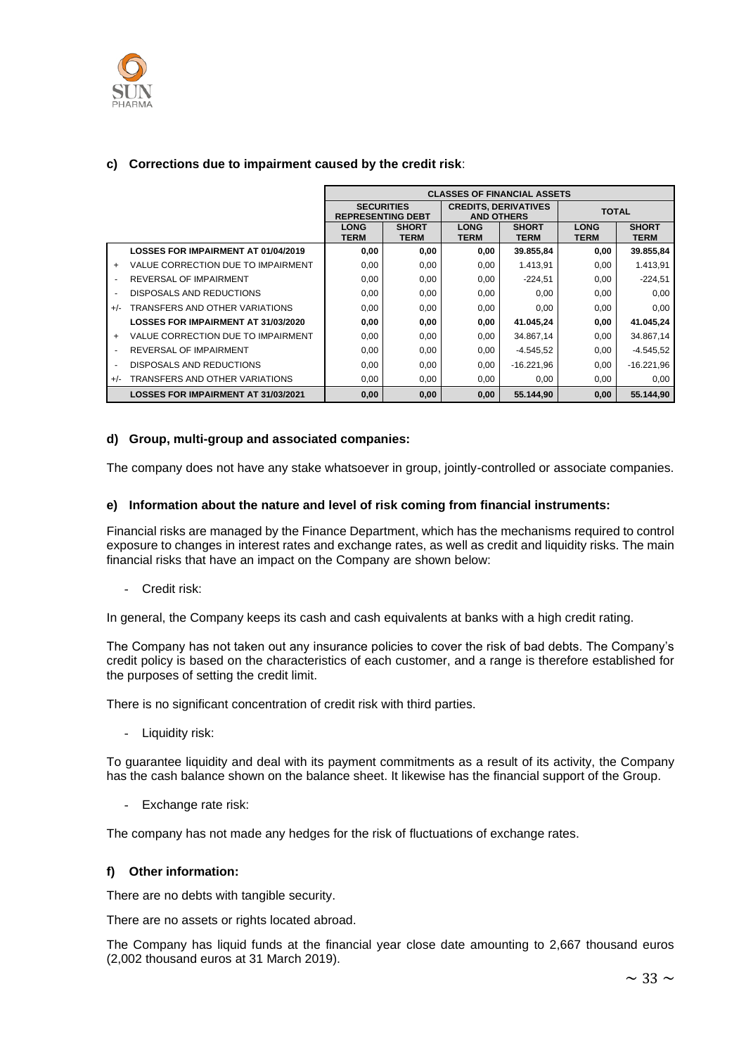

## **c) Corrections due to impairment caused by the credit risk**:

|           |                                            | <b>CLASSES OF FINANCIAL ASSETS</b>            |                             |                                                  |                             |                            |                             |
|-----------|--------------------------------------------|-----------------------------------------------|-----------------------------|--------------------------------------------------|-----------------------------|----------------------------|-----------------------------|
|           |                                            | <b>SECURITIES</b><br><b>REPRESENTING DEBT</b> |                             | <b>CREDITS, DERIVATIVES</b><br><b>AND OTHERS</b> |                             | <b>TOTAL</b>               |                             |
|           |                                            | <b>LONG</b><br><b>TERM</b>                    | <b>SHORT</b><br><b>TERM</b> | <b>LONG</b><br><b>TERM</b>                       | <b>SHORT</b><br><b>TERM</b> | <b>LONG</b><br><b>TERM</b> | <b>SHORT</b><br><b>TERM</b> |
|           | <b>LOSSES FOR IMPAIRMENT AT 01/04/2019</b> | 0,00                                          | 0,00                        | 0,00                                             | 39.855.84                   | 0,00                       | 39.855,84                   |
| $\ddot{}$ | VALUE CORRECTION DUE TO IMPAIRMENT         | 0,00                                          | 0,00                        | 0,00                                             | 1.413,91                    | 0,00                       | 1.413,91                    |
|           | REVERSAL OF IMPAIRMENT                     | 0,00                                          | 0,00                        | 0,00                                             | $-224.51$                   | 0.00                       | $-224.51$                   |
| $\sim$    | DISPOSALS AND REDUCTIONS                   | 0.00                                          | 0,00                        | 0.00                                             | 0.00                        | 0.00                       | 0,00                        |
| $+/-$     | TRANSFERS AND OTHER VARIATIONS             | 0,00                                          | 0,00                        | 0,00                                             | 0,00                        | 0,00                       | 0,00                        |
|           | <b>LOSSES FOR IMPAIRMENT AT 31/03/2020</b> | 0,00                                          | 0,00                        | 0,00                                             | 41.045,24                   | 0,00                       | 41.045,24                   |
| $+$       | VALUE CORRECTION DUE TO IMPAIRMENT         | 0,00                                          | 0,00                        | 0.00                                             | 34.867.14                   | 0.00                       | 34.867,14                   |
| $\sim$    | REVERSAL OF IMPAIRMENT                     | 0.00                                          | 0.00                        | 0.00                                             | $-4.545.52$                 | 0.00                       | $-4.545.52$                 |
| $\sim$    | DISPOSALS AND REDUCTIONS                   | 0,00                                          | 0,00                        | 0,00                                             | $-16.221,96$                | 0,00                       | $-16.221,96$                |
| $+/-$     | TRANSFERS AND OTHER VARIATIONS             | 0,00                                          | 0,00                        | 0,00                                             | 0,00                        | 0,00                       | 0,00                        |
|           | <b>LOSSES FOR IMPAIRMENT AT 31/03/2021</b> | 0,00                                          | 0,00                        | 0,00                                             | 55.144,90                   | 0,00                       | 55.144,90                   |

#### **d) Group, multi-group and associated companies:**

The company does not have any stake whatsoever in group, jointly-controlled or associate companies.

#### **e) Information about the nature and level of risk coming from financial instruments:**

Financial risks are managed by the Finance Department, which has the mechanisms required to control exposure to changes in interest rates and exchange rates, as well as credit and liquidity risks. The main financial risks that have an impact on the Company are shown below:

- Credit risk:

In general, the Company keeps its cash and cash equivalents at banks with a high credit rating.

The Company has not taken out any insurance policies to cover the risk of bad debts. The Company's credit policy is based on the characteristics of each customer, and a range is therefore established for the purposes of setting the credit limit.

There is no significant concentration of credit risk with third parties.

- Liquidity risk:

To guarantee liquidity and deal with its payment commitments as a result of its activity, the Company has the cash balance shown on the balance sheet. It likewise has the financial support of the Group.

- Exchange rate risk:

The company has not made any hedges for the risk of fluctuations of exchange rates.

#### **f) Other information:**

There are no debts with tangible security.

There are no assets or rights located abroad.

The Company has liquid funds at the financial year close date amounting to 2,667 thousand euros (2,002 thousand euros at 31 March 2019).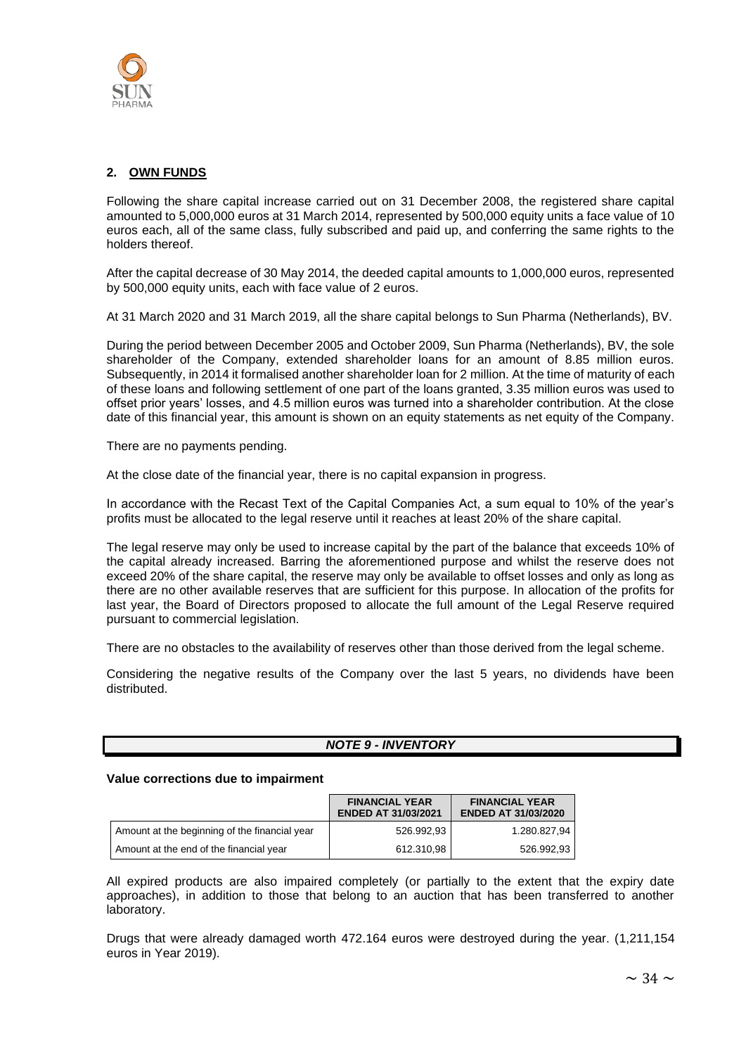

# **2. OWN FUNDS**

Following the share capital increase carried out on 31 December 2008, the registered share capital amounted to 5,000,000 euros at 31 March 2014, represented by 500,000 equity units a face value of 10 euros each, all of the same class, fully subscribed and paid up, and conferring the same rights to the holders thereof.

After the capital decrease of 30 May 2014, the deeded capital amounts to 1,000,000 euros, represented by 500,000 equity units, each with face value of 2 euros.

At 31 March 2020 and 31 March 2019, all the share capital belongs to Sun Pharma (Netherlands), BV.

During the period between December 2005 and October 2009, Sun Pharma (Netherlands), BV, the sole shareholder of the Company, extended shareholder loans for an amount of 8.85 million euros. Subsequently, in 2014 it formalised another shareholder loan for 2 million. At the time of maturity of each of these loans and following settlement of one part of the loans granted, 3.35 million euros was used to offset prior years' losses, and 4.5 million euros was turned into a shareholder contribution. At the close date of this financial year, this amount is shown on an equity statements as net equity of the Company.

There are no payments pending.

At the close date of the financial year, there is no capital expansion in progress.

In accordance with the Recast Text of the Capital Companies Act, a sum equal to 10% of the year's profits must be allocated to the legal reserve until it reaches at least 20% of the share capital.

The legal reserve may only be used to increase capital by the part of the balance that exceeds 10% of the capital already increased. Barring the aforementioned purpose and whilst the reserve does not exceed 20% of the share capital, the reserve may only be available to offset losses and only as long as there are no other available reserves that are sufficient for this purpose. In allocation of the profits for last year, the Board of Directors proposed to allocate the full amount of the Legal Reserve required pursuant to commercial legislation.

There are no obstacles to the availability of reserves other than those derived from the legal scheme.

Considering the negative results of the Company over the last 5 years, no dividends have been distributed.

#### *NOTE 9 - INVENTORY*

#### **Value corrections due to impairment**

|                                               | <b>FINANCIAL YEAR</b><br><b>ENDED AT 31/03/2021</b> | <b>FINANCIAL YEAR</b><br><b>ENDED AT 31/03/2020</b> |
|-----------------------------------------------|-----------------------------------------------------|-----------------------------------------------------|
| Amount at the beginning of the financial year | 526.992.93                                          | 1.280.827.94                                        |
| Amount at the end of the financial year       | 612.310.98                                          | 526.992.93                                          |

All expired products are also impaired completely (or partially to the extent that the expiry date approaches), in addition to those that belong to an auction that has been transferred to another laboratory.

Drugs that were already damaged worth 472.164 euros were destroyed during the year. (1,211,154 euros in Year 2019).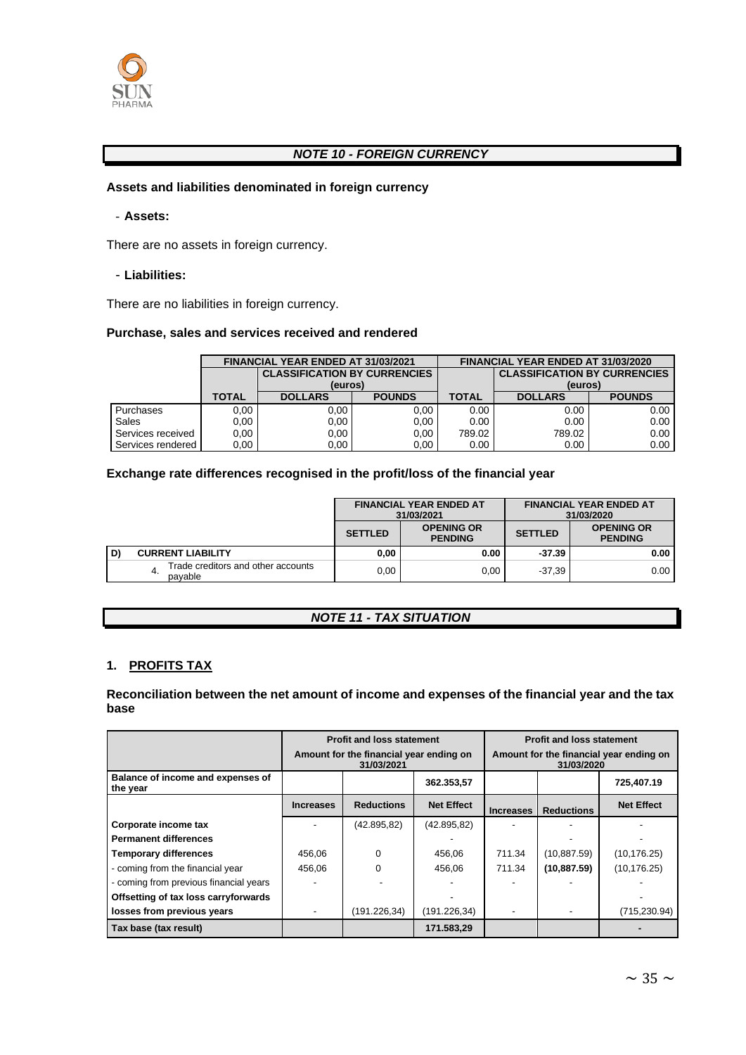

## *NOTE 10 - FOREIGN CURRENCY*

## **Assets and liabilities denominated in foreign currency**

- **Assets:**

There are no assets in foreign currency.

- **Liabilities:**

There are no liabilities in foreign currency.

#### **Purchase, sales and services received and rendered**

|                   | <b>FINANCIAL YEAR ENDED AT 31/03/2021</b> |                                                |      |              | <b>FINANCIAL YEAR ENDED AT 31/03/2020</b>      |               |
|-------------------|-------------------------------------------|------------------------------------------------|------|--------------|------------------------------------------------|---------------|
|                   |                                           | <b>CLASSIFICATION BY CURRENCIES</b><br>(euros) |      |              | <b>CLASSIFICATION BY CURRENCIES</b><br>(euros) |               |
|                   | <b>TOTAL</b>                              | <b>POUNDS</b><br><b>DOLLARS</b>                |      | <b>TOTAL</b> | <b>DOLLARS</b>                                 | <b>POUNDS</b> |
| Purchases         | 0,00                                      | 0,00                                           | 0,00 | 0.00         | 0.00                                           | 0.00          |
| Sales             | 0.00                                      | 0.00                                           | 0,00 | 0.00         | 0.00                                           | 0.00          |
| Services received | 0,00                                      | 0.00                                           | 0.00 | 789.02       | 789.02                                         | 0.00          |
| Services rendered | 0,00                                      | 0,00                                           | 0,00 | 0.00         | 0.00                                           | 0.00          |

## **Exchange rate differences recognised in the profit/loss of the financial year**

|    |                                                     | <b>FINANCIAL YEAR ENDED AT</b><br>31/03/2021          |      | <b>FINANCIAL YEAR ENDED AT</b><br>31/03/2020 |                                     |
|----|-----------------------------------------------------|-------------------------------------------------------|------|----------------------------------------------|-------------------------------------|
|    |                                                     | <b>OPENING OR</b><br><b>SETTLED</b><br><b>PENDING</b> |      | <b>SETTLED</b>                               | <b>OPENING OR</b><br><b>PENDING</b> |
| D) | <b>CURRENT LIABILITY</b>                            | 0,00                                                  | 0.00 | $-37.39$                                     | 0.00                                |
|    | Trade creditors and other accounts<br>4.<br>pavable | 0.00                                                  | 0.00 | -37.39                                       | 0.00                                |

# *NOTE 11 - TAX SITUATION*

## **1. PROFITS TAX**

#### **Reconciliation between the net amount of income and expenses of the financial year and the tax base**

|                                               | <b>Profit and loss statement</b><br>Amount for the financial year ending on<br>31/03/2021 |                   |                   |                  | <b>Profit and loss statement</b><br>Amount for the financial year ending on<br>31/03/2020 |                   |  |
|-----------------------------------------------|-------------------------------------------------------------------------------------------|-------------------|-------------------|------------------|-------------------------------------------------------------------------------------------|-------------------|--|
| Balance of income and expenses of<br>the year |                                                                                           | 362.353,57        |                   |                  |                                                                                           | 725.407.19        |  |
|                                               | <b>Increases</b>                                                                          | <b>Reductions</b> | <b>Net Effect</b> | <b>Increases</b> | <b>Reductions</b>                                                                         | <b>Net Effect</b> |  |
| Corporate income tax                          |                                                                                           | (42.895.82)       | (42.895.82)       |                  |                                                                                           |                   |  |
| <b>Permanent differences</b>                  |                                                                                           |                   |                   |                  |                                                                                           |                   |  |
| <b>Temporary differences</b>                  | 456,06                                                                                    | 0                 | 456,06            | 711.34           | (10, 887.59)                                                                              | (10, 176.25)      |  |
| - coming from the financial year              | 456.06                                                                                    | $\Omega$          | 456,06            | 711.34           | (10, 887.59)                                                                              | (10, 176.25)      |  |
| - coming from previous financial years        |                                                                                           |                   |                   |                  |                                                                                           |                   |  |
| Offsetting of tax loss carryforwards          |                                                                                           |                   |                   |                  |                                                                                           |                   |  |
| losses from previous years                    |                                                                                           | (191.226, 34)     | (191.226,34)      |                  |                                                                                           | (715, 230.94)     |  |
| Tax base (tax result)                         |                                                                                           |                   | 171.583,29        |                  |                                                                                           |                   |  |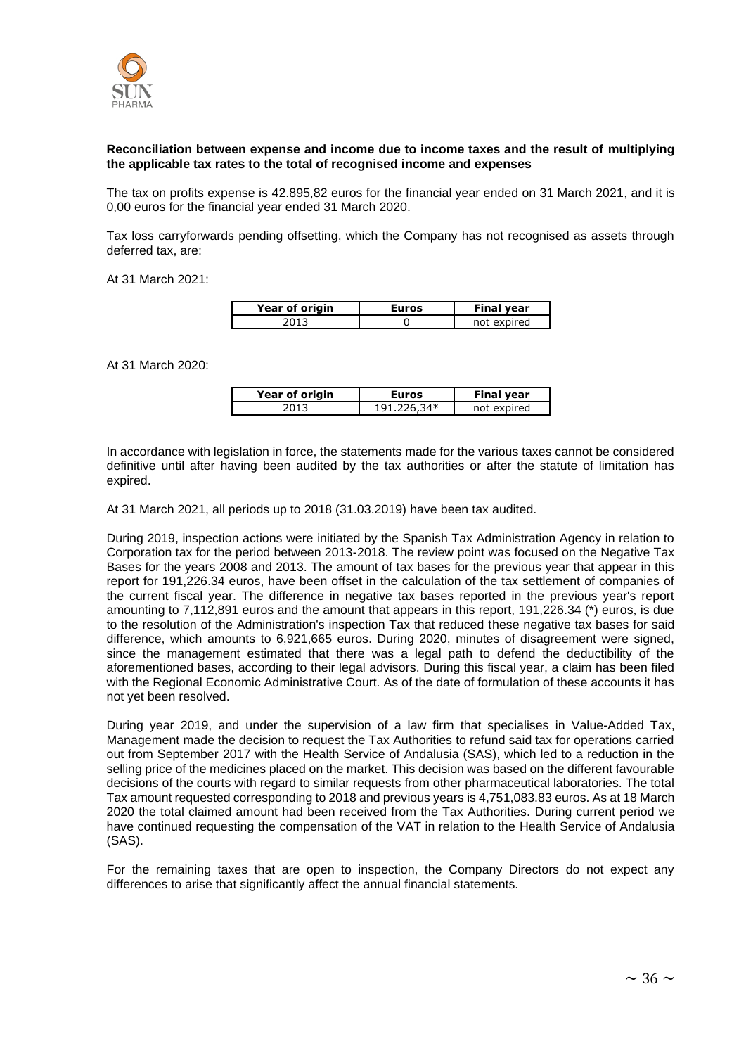

#### **Reconciliation between expense and income due to income taxes and the result of multiplying the applicable tax rates to the total of recognised income and expenses**

The tax on profits expense is 42.895,82 euros for the financial year ended on 31 March 2021, and it is 0,00 euros for the financial year ended 31 March 2020.

Tax loss carryforwards pending offsetting, which the Company has not recognised as assets through deferred tax, are:

At 31 March 2021:

| Year of origin | <b>Euros</b> | <b>Final vear</b> |  |
|----------------|--------------|-------------------|--|
|                |              | not expired       |  |

At 31 March 2020:

| Year of origin | <i>éuros</i> | <b>Final year</b> |
|----------------|--------------|-------------------|
|                | 191 226 34*  | not expired       |

In accordance with legislation in force, the statements made for the various taxes cannot be considered definitive until after having been audited by the tax authorities or after the statute of limitation has expired.

At 31 March 2021, all periods up to 2018 (31.03.2019) have been tax audited.

During 2019, inspection actions were initiated by the Spanish Tax Administration Agency in relation to Corporation tax for the period between 2013-2018. The review point was focused on the Negative Tax Bases for the years 2008 and 2013. The amount of tax bases for the previous year that appear in this report for 191,226.34 euros, have been offset in the calculation of the tax settlement of companies of the current fiscal year. The difference in negative tax bases reported in the previous year's report amounting to 7,112,891 euros and the amount that appears in this report, 191,226.34 (\*) euros, is due to the resolution of the Administration's inspection Tax that reduced these negative tax bases for said difference, which amounts to 6,921,665 euros. During 2020, minutes of disagreement were signed, since the management estimated that there was a legal path to defend the deductibility of the aforementioned bases, according to their legal advisors. During this fiscal year, a claim has been filed with the Regional Economic Administrative Court. As of the date of formulation of these accounts it has not yet been resolved.

During year 2019, and under the supervision of a law firm that specialises in Value-Added Tax, Management made the decision to request the Tax Authorities to refund said tax for operations carried out from September 2017 with the Health Service of Andalusia (SAS), which led to a reduction in the selling price of the medicines placed on the market. This decision was based on the different favourable decisions of the courts with regard to similar requests from other pharmaceutical laboratories. The total Tax amount requested corresponding to 2018 and previous years is 4,751,083.83 euros. As at 18 March 2020 the total claimed amount had been received from the Tax Authorities. During current period we have continued requesting the compensation of the VAT in relation to the Health Service of Andalusia (SAS).

For the remaining taxes that are open to inspection, the Company Directors do not expect any differences to arise that significantly affect the annual financial statements.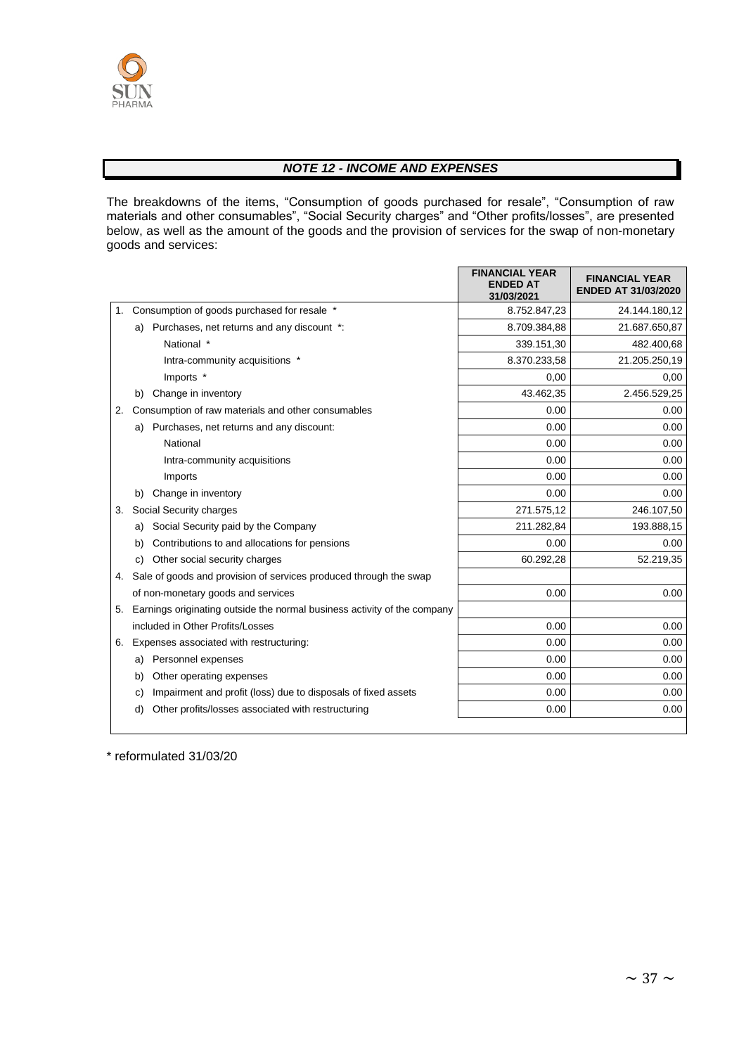

## *NOTE 12 - INCOME AND EXPENSES*

The breakdowns of the items, "Consumption of goods purchased for resale", "Consumption of raw materials and other consumables", "Social Security charges" and "Other profits/losses", are presented below, as well as the amount of the goods and the provision of services for the swap of non-monetary goods and services:

|    |                                                                          | <b>FINANCIAL YEAR</b><br>ENDED AT<br>31/03/2021 | <b>FINANCIAL YEAR</b><br><b>ENDED AT 31/03/2020</b> |
|----|--------------------------------------------------------------------------|-------------------------------------------------|-----------------------------------------------------|
| 1. | Consumption of goods purchased for resale *                              | 8.752.847,23                                    | 24.144.180,12                                       |
|    | a) Purchases, net returns and any discount *:                            | 8.709.384,88                                    | 21.687.650,87                                       |
|    | National *                                                               | 339.151,30                                      | 482.400,68                                          |
|    | Intra-community acquisitions *                                           | 8.370.233,58                                    | 21.205.250,19                                       |
|    | Imports *                                                                | 0,00                                            | 0,00                                                |
|    | Change in inventory<br>b)                                                | 43.462,35                                       | 2.456.529,25                                        |
| 2. | Consumption of raw materials and other consumables                       | 0.00                                            | 0.00                                                |
|    | a) Purchases, net returns and any discount:                              | 0.00                                            | 0.00                                                |
|    | National                                                                 | 0.00                                            | 0.00                                                |
|    | Intra-community acquisitions                                             | 0.00                                            | 0.00                                                |
|    | Imports                                                                  | 0.00                                            | 0.00                                                |
|    | Change in inventory<br>b)                                                | 0.00                                            | 0.00                                                |
| 3. | Social Security charges                                                  | 271.575,12                                      | 246.107,50                                          |
|    | Social Security paid by the Company<br>a)                                | 211.282,84                                      | 193.888,15                                          |
|    | Contributions to and allocations for pensions<br>b)                      | 0.00                                            | 0.00                                                |
|    | Other social security charges<br>C)                                      | 60.292,28                                       | 52.219,35                                           |
|    | 4. Sale of goods and provision of services produced through the swap     |                                                 |                                                     |
|    | of non-monetary goods and services                                       | 0.00                                            | 0.00                                                |
| 5. | Earnings originating outside the normal business activity of the company |                                                 |                                                     |
|    | included in Other Profits/Losses                                         | 0.00                                            | 0.00                                                |
| 6. | Expenses associated with restructuring:                                  | 0.00                                            | 0.00                                                |
|    | Personnel expenses<br>a)                                                 | 0.00                                            | 0.00                                                |
|    | Other operating expenses<br>b)                                           | 0.00                                            | 0.00                                                |
|    | Impairment and profit (loss) due to disposals of fixed assets<br>C)      | 0.00                                            | 0.00                                                |
|    | Other profits/losses associated with restructuring<br>d)                 | 0.00                                            | 0.00                                                |
|    |                                                                          |                                                 |                                                     |

\* reformulated 31/03/20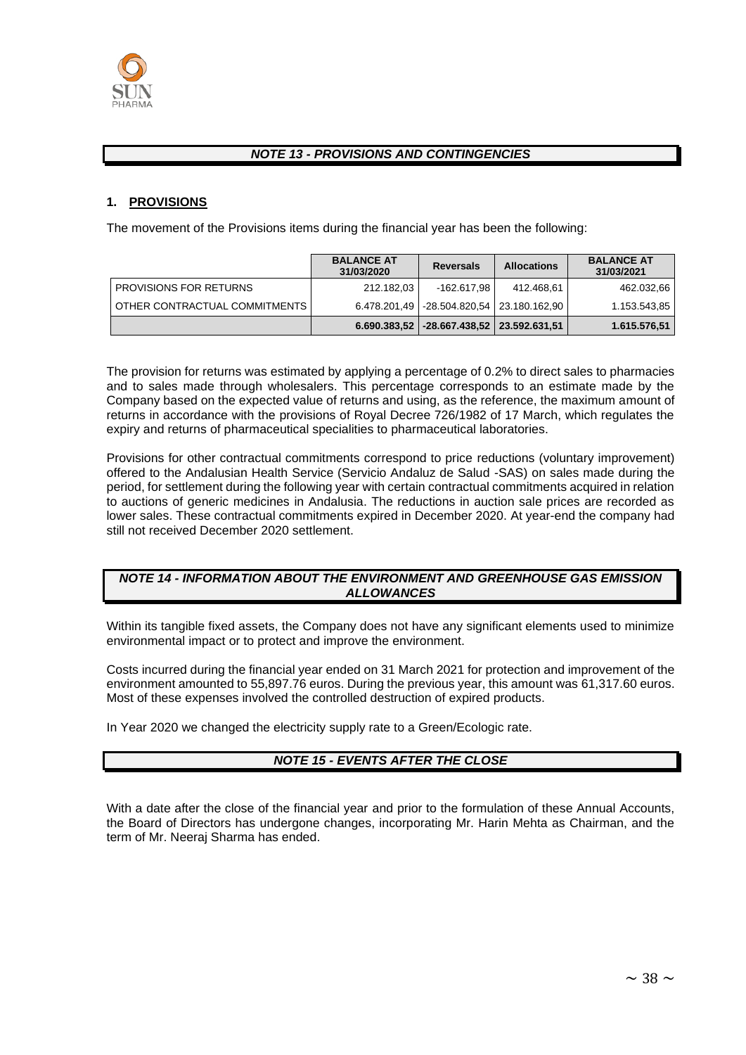

#### *NOTE 13 - PROVISIONS AND CONTINGENCIES*

# **1. PROVISIONS**

The movement of the Provisions items during the financial year has been the following:

|                                 | <b>BALANCE AT</b><br>31/03/2020 | <b>Reversals</b>                              | <b>Allocations</b> | <b>BALANCE AT</b><br>31/03/2021 |
|---------------------------------|---------------------------------|-----------------------------------------------|--------------------|---------------------------------|
| l PROVISIONS FOR RETURNS        | 212.182.03                      | -162.617.98 I                                 | 412.468.61         | 462.032,66                      |
| I OTHER CONTRACTUAL COMMITMENTS |                                 | 6.478.201.49   -28.504.820.54   23.180.162.90 |                    | 1.153.543,85                    |
|                                 |                                 | $6.690.383.52$ -28.667.438.52 23.592.631.51   |                    | 1.615.576,51                    |

The provision for returns was estimated by applying a percentage of 0.2% to direct sales to pharmacies and to sales made through wholesalers. This percentage corresponds to an estimate made by the Company based on the expected value of returns and using, as the reference, the maximum amount of returns in accordance with the provisions of Royal Decree 726/1982 of 17 March, which regulates the expiry and returns of pharmaceutical specialities to pharmaceutical laboratories.

Provisions for other contractual commitments correspond to price reductions (voluntary improvement) offered to the Andalusian Health Service (Servicio Andaluz de Salud -SAS) on sales made during the period, for settlement during the following year with certain contractual commitments acquired in relation to auctions of generic medicines in Andalusia. The reductions in auction sale prices are recorded as lower sales. These contractual commitments expired in December 2020. At year-end the company had still not received December 2020 settlement.

#### *NOTE 14 - INFORMATION ABOUT THE ENVIRONMENT AND GREENHOUSE GAS EMISSION ALLOWANCES*

Within its tangible fixed assets, the Company does not have any significant elements used to minimize environmental impact or to protect and improve the environment.

Costs incurred during the financial year ended on 31 March 2021 for protection and improvement of the environment amounted to 55,897.76 euros. During the previous year, this amount was 61,317.60 euros. Most of these expenses involved the controlled destruction of expired products.

In Year 2020 we changed the electricity supply rate to a Green/Ecologic rate.

# *NOTE 15 - EVENTS AFTER THE CLOSE*

With a date after the close of the financial year and prior to the formulation of these Annual Accounts, the Board of Directors has undergone changes, incorporating Mr. Harin Mehta as Chairman, and the term of Mr. Neeraj Sharma has ended.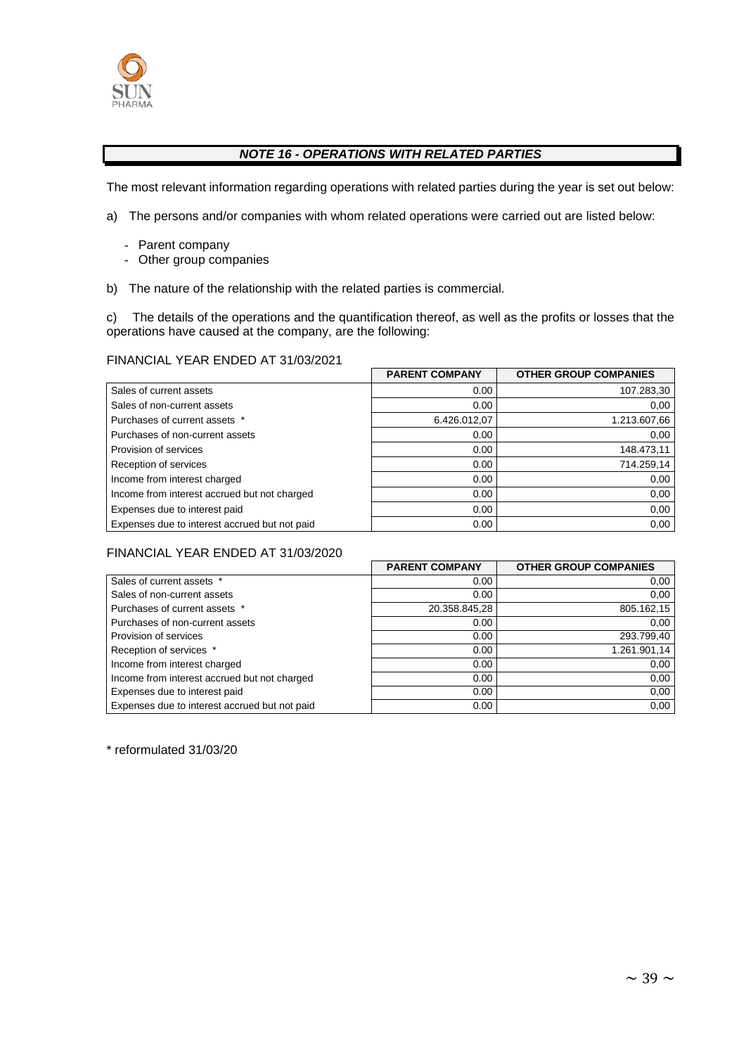

# *NOTE 16 - OPERATIONS WITH RELATED PARTIES*

The most relevant information regarding operations with related parties during the year is set out below:

- a) The persons and/or companies with whom related operations were carried out are listed below:
	- Parent company
	- Other group companies
- b) The nature of the relationship with the related parties is commercial.

c) The details of the operations and the quantification thereof, as well as the profits or losses that the operations have caused at the company, are the following:

#### FINANCIAL YEAR ENDED AT 31/03/2021

|                                               | <b>PARENT COMPANY</b> | <b>OTHER GROUP COMPANIES</b> |
|-----------------------------------------------|-----------------------|------------------------------|
| Sales of current assets                       | 0.00                  | 107.283,30                   |
| Sales of non-current assets                   | 0.00                  | 0,00                         |
| Purchases of current assets *                 | 6.426.012,07          | 1.213.607,66                 |
| Purchases of non-current assets               | 0.00                  | 0,00                         |
| Provision of services                         | 0.00                  | 148.473,11                   |
| Reception of services                         | 0.00                  | 714.259,14                   |
| Income from interest charged                  | 0.00                  | 0,00                         |
| Income from interest accrued but not charged  | 0.00                  | 0,00                         |
| Expenses due to interest paid                 | 0.00                  | 0,00                         |
| Expenses due to interest accrued but not paid | 0.00                  | 0,00                         |

#### FINANCIAL YEAR ENDED AT 31/03/2020

|                                               | <b>PARENT COMPANY</b> | <b>OTHER GROUP COMPANIES</b> |
|-----------------------------------------------|-----------------------|------------------------------|
| Sales of current assets *                     | 0.00                  | 0,00                         |
| Sales of non-current assets                   | 0.00                  | 0,00                         |
| Purchases of current assets *                 | 20.358.845,28         | 805.162,15                   |
| Purchases of non-current assets               | 0.00                  | 0,00                         |
| Provision of services                         | 0.00                  | 293.799,40                   |
| Reception of services *                       | 0.00                  | 1.261.901,14                 |
| Income from interest charged                  | 0.00                  | 0,00                         |
| Income from interest accrued but not charged  | 0.00                  | 0,00                         |
| Expenses due to interest paid                 | 0.00                  | 0,00                         |
| Expenses due to interest accrued but not paid | 0.00                  | 0,00                         |

\* reformulated 31/03/20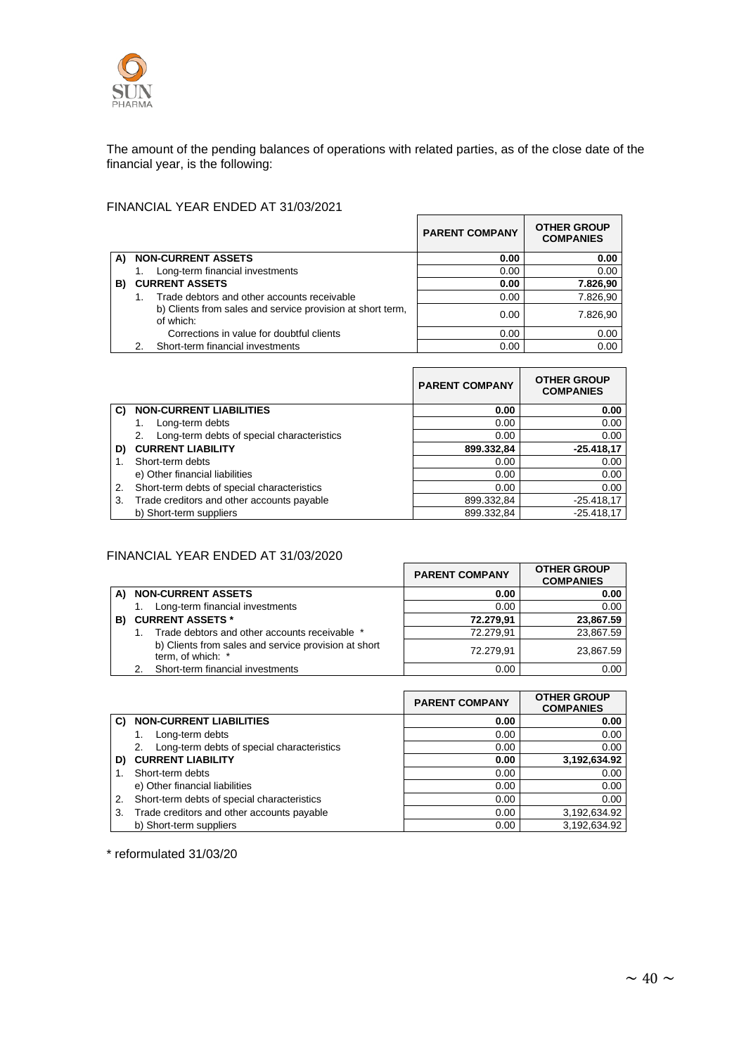

The amount of the pending balances of operations with related parties, as of the close date of the financial year, is the following:

# FINANCIAL YEAR ENDED AT 31/03/2021

|    |                                                                         | <b>PARENT COMPANY</b> | <b>OTHER GROUP</b><br><b>COMPANIES</b> |
|----|-------------------------------------------------------------------------|-----------------------|----------------------------------------|
| A) | <b>NON-CURRENT ASSETS</b>                                               | 0.00                  | 0.00                                   |
|    | Long-term financial investments                                         | 0.00                  | 0.00                                   |
| B) | <b>CURRENT ASSETS</b>                                                   | 0.00                  | 7.826,90                               |
|    | Trade debtors and other accounts receivable                             | 0.00                  | 7.826,90                               |
|    | b) Clients from sales and service provision at short term,<br>of which: | 0.00                  | 7.826,90                               |
|    | Corrections in value for doubtful clients                               | 0.00                  | 0.00                                   |
|    | Short-term financial investments                                        | 0.00                  | 0.00                                   |

|    |                                                  | <b>PARENT COMPANY</b> | <b>OTHER GROUP</b><br><b>COMPANIES</b> |
|----|--------------------------------------------------|-----------------------|----------------------------------------|
| C) | <b>NON-CURRENT LIABILITIES</b>                   | 0.00                  | 0.00                                   |
|    | Long-term debts                                  | 0.00                  | 0.00                                   |
|    | Long-term debts of special characteristics<br>2. | 0.00                  | 0.00                                   |
| D) | <b>CURRENT LIABILITY</b>                         | 899.332.84            | $-25.418.17$                           |
|    | Short-term debts                                 | 0.00                  | 0.00                                   |
|    | e) Other financial liabilities                   | 0.00                  | 0.00                                   |
| 2. | Short-term debts of special characteristics      | 0.00                  | 0.00                                   |
| 3. | Trade creditors and other accounts payable       | 899.332,84            | $-25.418.17$                           |
|    | b) Short-term suppliers                          | 899.332,84            | $-25.418.17$                           |

## FINANCIAL YEAR ENDED AT 31/03/2020

|    |                                                                           | <b>PARENT COMPANY</b> | <b>OTHER GROUP</b><br><b>COMPANIES</b> |
|----|---------------------------------------------------------------------------|-----------------------|----------------------------------------|
| A) | <b>NON-CURRENT ASSETS</b>                                                 | 0.00                  | 0.00                                   |
|    | Long-term financial investments                                           | 0.00                  | 0.00                                   |
| B) | <b>CURRENT ASSETS *</b>                                                   | 72.279,91             | 23,867.59                              |
|    | Trade debtors and other accounts receivable *                             | 72.279.91             | 23,867.59                              |
|    | b) Clients from sales and service provision at short<br>term. of which: * | 72.279.91             | 23,867.59                              |
|    | Short-term financial investments                                          | 0.00                  | 0.00                                   |

|    |                                             | <b>PARENT COMPANY</b> | <b>OTHER GROUP</b><br><b>COMPANIES</b> |
|----|---------------------------------------------|-----------------------|----------------------------------------|
| C) | <b>NON-CURRENT LIABILITIES</b>              | 0.00                  | 0.00                                   |
|    | Long-term debts                             | 0.00                  | 0.00                                   |
|    | Long-term debts of special characteristics  | 0.00                  | 0.00                                   |
| D) | <b>CURRENT LIABILITY</b>                    | 0.00                  | 3,192,634.92                           |
|    | Short-term debts                            | 0.00                  | 0.00                                   |
|    | e) Other financial liabilities              | 0.00                  | 0.00                                   |
| 2. | Short-term debts of special characteristics | 0.00                  | 0.00                                   |
| 3. | Trade creditors and other accounts payable  | 0.00                  | 3,192,634.92                           |
|    | b) Short-term suppliers                     | 0.00                  | 3,192,634.92                           |

\* reformulated 31/03/20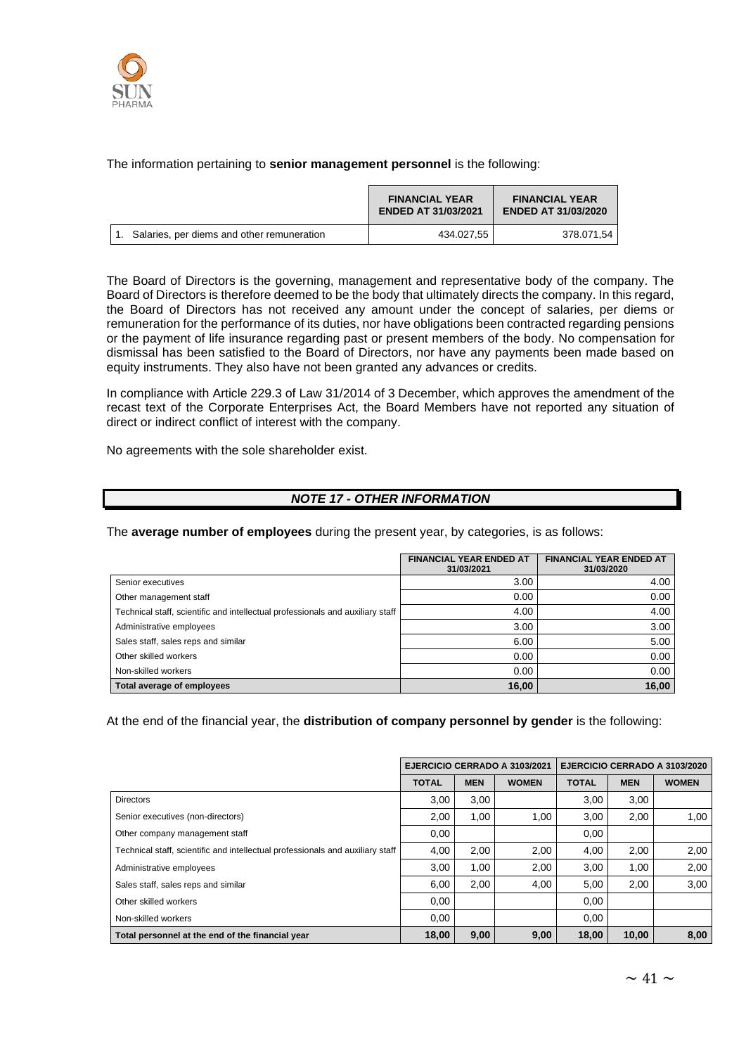

The information pertaining to **senior management personnel** is the following:

|                                            | <b>FINANCIAL YEAR</b><br><b>ENDED AT 31/03/2021</b> | <b>FINANCIAL YEAR</b><br><b>ENDED AT 31/03/2020</b> |
|--------------------------------------------|-----------------------------------------------------|-----------------------------------------------------|
| Salaries, per diems and other remuneration | 434.027.55                                          | 378.071.54                                          |

The Board of Directors is the governing, management and representative body of the company. The Board of Directors is therefore deemed to be the body that ultimately directs the company. In this regard, the Board of Directors has not received any amount under the concept of salaries, per diems or remuneration for the performance of its duties, nor have obligations been contracted regarding pensions or the payment of life insurance regarding past or present members of the body. No compensation for dismissal has been satisfied to the Board of Directors, nor have any payments been made based on equity instruments. They also have not been granted any advances or credits.

In compliance with Article 229.3 of Law 31/2014 of 3 December, which approves the amendment of the recast text of the Corporate Enterprises Act, the Board Members have not reported any situation of direct or indirect conflict of interest with the company.

No agreements with the sole shareholder exist.

# *NOTE 17 - OTHER INFORMATION*

The **average number of employees** during the present year, by categories, is as follows:

|                                                                                | <b>FINANCIAL YEAR ENDED AT</b><br>31/03/2021 | <b>FINANCIAL YEAR ENDED AT</b><br>31/03/2020 |
|--------------------------------------------------------------------------------|----------------------------------------------|----------------------------------------------|
| Senior executives                                                              | 3.00                                         | 4.00                                         |
| Other management staff                                                         | 0.00                                         | 0.00                                         |
| Technical staff, scientific and intellectual professionals and auxiliary staff | 4.00                                         | 4.00                                         |
| Administrative employees                                                       | 3.00                                         | 3.00                                         |
| Sales staff, sales reps and similar                                            | 6.00                                         | 5.00                                         |
| Other skilled workers                                                          | 0.00                                         | 0.00                                         |
| Non-skilled workers                                                            | 0.00                                         | 0.00                                         |
| Total average of employees                                                     | 16,00                                        | 16,00                                        |

At the end of the financial year, the **distribution of company personnel by gender** is the following:

|                                                                                | EJERCICIO CERRADO A 3103/2021 |            | EJERCICIO CERRADO A 3103/2020 |              |            |              |
|--------------------------------------------------------------------------------|-------------------------------|------------|-------------------------------|--------------|------------|--------------|
|                                                                                | <b>TOTAL</b>                  | <b>MEN</b> | <b>WOMEN</b>                  | <b>TOTAL</b> | <b>MEN</b> | <b>WOMEN</b> |
| <b>Directors</b>                                                               | 3,00                          | 3,00       |                               | 3,00         | 3,00       |              |
| Senior executives (non-directors)                                              | 2,00                          | 1,00       | 1,00                          | 3,00         | 2,00       | 1,00         |
| Other company management staff                                                 | 0,00                          |            |                               | 0,00         |            |              |
| Technical staff, scientific and intellectual professionals and auxiliary staff | 4,00                          | 2,00       | 2,00                          | 4,00         | 2,00       | 2,00         |
| Administrative employees                                                       | 3,00                          | 1,00       | 2,00                          | 3,00         | 1,00       | 2,00         |
| Sales staff, sales reps and similar                                            | 6,00                          | 2,00       | 4,00                          | 5,00         | 2,00       | 3,00         |
| Other skilled workers                                                          | 0.00                          |            |                               | 0,00         |            |              |
| Non-skilled workers                                                            | 0.00                          |            |                               | 0.00         |            |              |
| Total personnel at the end of the financial year                               | 18,00                         | 9,00       | 9,00                          | 18,00        | 10,00      | 8,00         |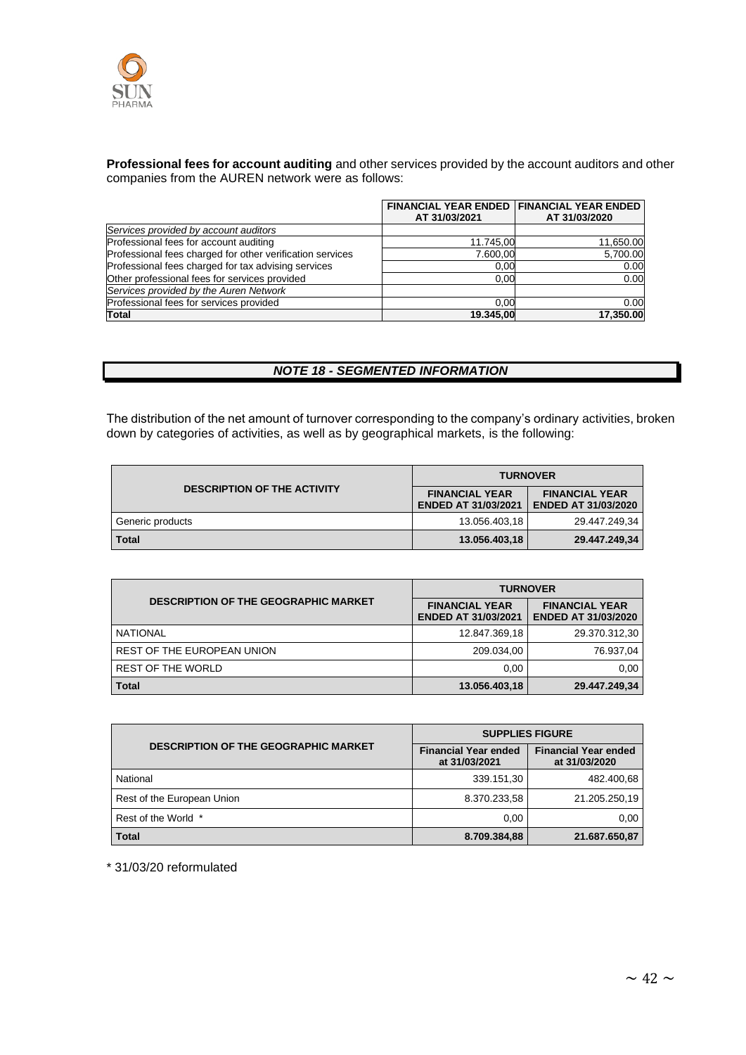

**Professional fees for account auditing** and other services provided by the account auditors and other companies from the AUREN network were as follows:

|                                                           | <b>FINANCIAL YEAR ENDED FINANCIAL YEAR ENDED</b><br>AT 31/03/2021 | AT 31/03/2020 |
|-----------------------------------------------------------|-------------------------------------------------------------------|---------------|
| Services provided by account auditors                     |                                                                   |               |
| Professional fees for account auditing                    | 11.745,00                                                         | 11,650.00     |
| Professional fees charged for other verification services | 7.600,00                                                          | 5,700.00      |
| Professional fees charged for tax advising services       | 0,00                                                              | 0.00          |
| Other professional fees for services provided             | 0.00                                                              | 0.00          |
| Services provided by the Auren Network                    |                                                                   |               |
| Professional fees for services provided                   | 0.00                                                              | 0.00          |
| Total                                                     | 19.345.00                                                         | 17.350.00     |

## *NOTE 18 - SEGMENTED INFORMATION*

The distribution of the net amount of turnover corresponding to the company's ordinary activities, broken down by categories of activities, as well as by geographical markets, is the following:

|                                    | <b>TURNOVER</b>                                     |                                                     |  |
|------------------------------------|-----------------------------------------------------|-----------------------------------------------------|--|
| <b>DESCRIPTION OF THE ACTIVITY</b> | <b>FINANCIAL YEAR</b><br><b>ENDED AT 31/03/2021</b> | <b>FINANCIAL YEAR</b><br><b>ENDED AT 31/03/2020</b> |  |
| Generic products                   | 13.056.403.18                                       | 29.447.249.34                                       |  |
| Total                              | 13.056.403,18                                       | 29.447.249.34                                       |  |

|                                             | <b>TURNOVER</b>                                     |                                                     |  |
|---------------------------------------------|-----------------------------------------------------|-----------------------------------------------------|--|
| <b>DESCRIPTION OF THE GEOGRAPHIC MARKET</b> | <b>FINANCIAL YEAR</b><br><b>ENDED AT 31/03/2021</b> | <b>FINANCIAL YEAR</b><br><b>ENDED AT 31/03/2020</b> |  |
| <b>NATIONAL</b>                             | 12.847.369,18                                       | 29.370.312,30                                       |  |
| <b>REST OF THE EUROPEAN UNION</b>           | 209.034.00                                          | 76.937.04                                           |  |
| <b>REST OF THE WORLD</b>                    | 0.00                                                | 0,00                                                |  |
| <b>Total</b>                                | 13.056.403.18                                       | 29.447.249,34                                       |  |

|                                             | <b>SUPPLIES FIGURE</b>                       |                                              |  |
|---------------------------------------------|----------------------------------------------|----------------------------------------------|--|
| <b>DESCRIPTION OF THE GEOGRAPHIC MARKET</b> | <b>Financial Year ended</b><br>at 31/03/2021 | <b>Financial Year ended</b><br>at 31/03/2020 |  |
| National                                    | 339.151,30                                   | 482.400,68                                   |  |
| Rest of the European Union                  | 8.370.233,58                                 | 21.205.250,19                                |  |
| Rest of the World *                         | 0.00                                         | 0.00                                         |  |
| <b>Total</b>                                | 8.709.384,88                                 | 21.687.650,87                                |  |

\* 31/03/20 reformulated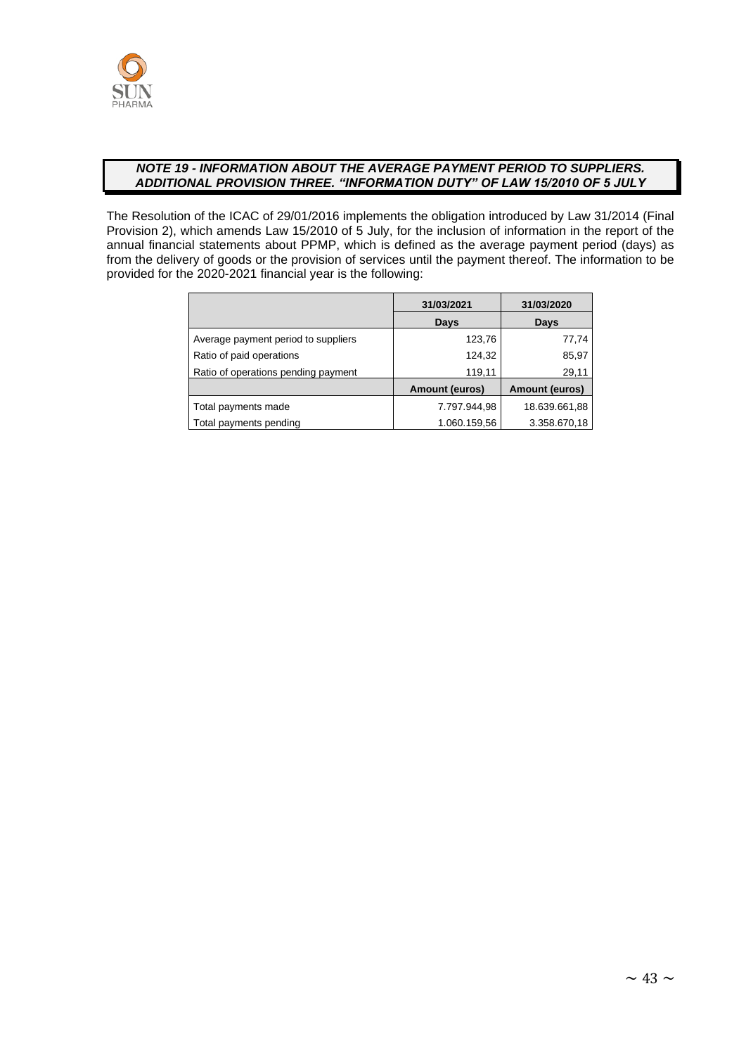

#### *NOTE 19 - INFORMATION ABOUT THE AVERAGE PAYMENT PERIOD TO SUPPLIERS. ADDITIONAL PROVISION THREE. "INFORMATION DUTY" OF LAW 15/2010 OF 5 JULY*

The Resolution of the ICAC of 29/01/2016 implements the obligation introduced by Law 31/2014 (Final Provision 2), which amends Law 15/2010 of 5 July, for the inclusion of information in the report of the annual financial statements about PPMP, which is defined as the average payment period (days) as from the delivery of goods or the provision of services until the payment thereof. The information to be provided for the 2020-2021 financial year is the following:

|                                     | 31/03/2021            | 31/03/2020            |
|-------------------------------------|-----------------------|-----------------------|
|                                     | Days                  | Days                  |
| Average payment period to suppliers | 123,76                | 77,74                 |
| Ratio of paid operations            | 124,32                | 85,97                 |
| Ratio of operations pending payment | 119,11                | 29,11                 |
|                                     | <b>Amount (euros)</b> | <b>Amount (euros)</b> |
| Total payments made                 | 7.797.944,98          | 18.639.661,88         |
| Total payments pending              | 1.060.159,56          | 3.358.670,18          |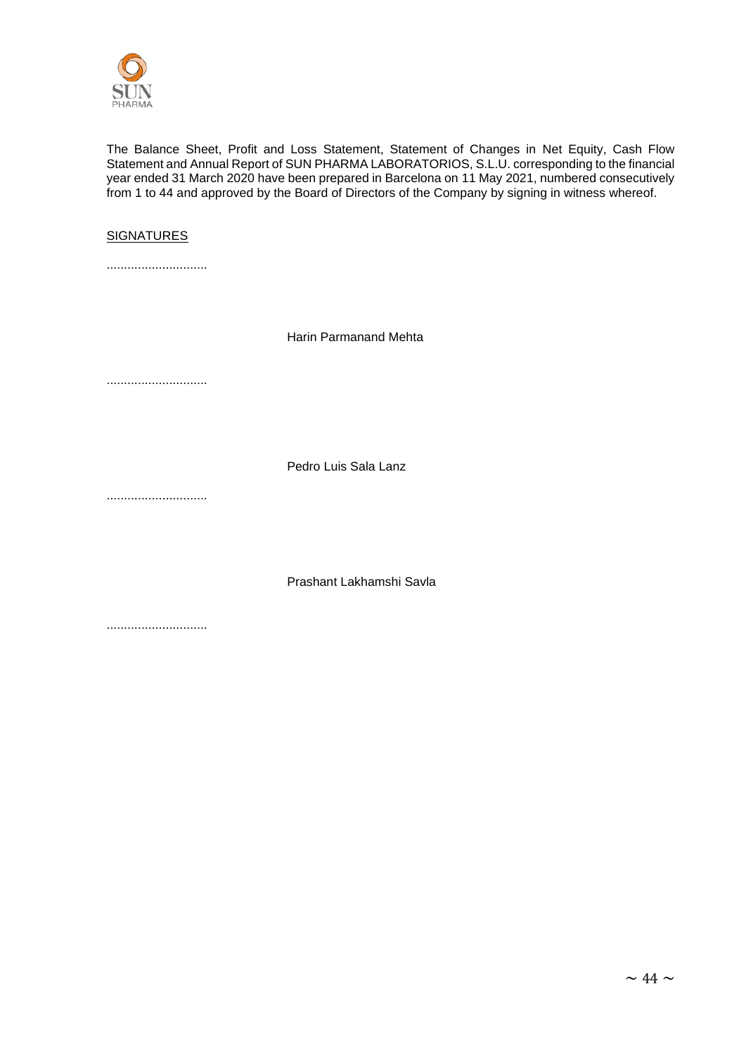

The Balance Sheet, Profit and Loss Statement, Statement of Changes in Net Equity, Cash Flow Statement and Annual Report of SUN PHARMA LABORATORIOS, S.L.U. corresponding to the financial year ended 31 March 2020 have been prepared in Barcelona on 11 May 2021, numbered consecutively from 1 to 44 and approved by the Board of Directors of the Company by signing in witness whereof.

#### **SIGNATURES**

.............................

Harin Parmanand Mehta

.............................

Pedro Luis Sala Lanz

.............................

Prashant Lakhamshi Savla

.............................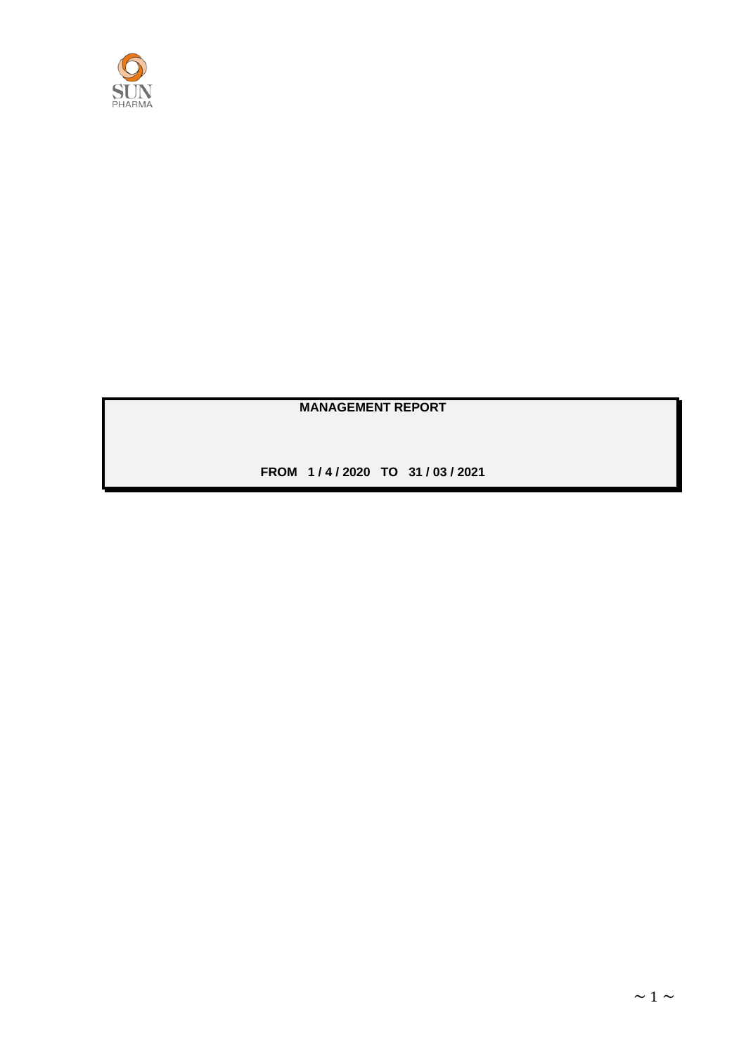

**MANAGEMENT REPORT**

**FROM 1 / 4 / 2020 TO 31 / 03 / 2021**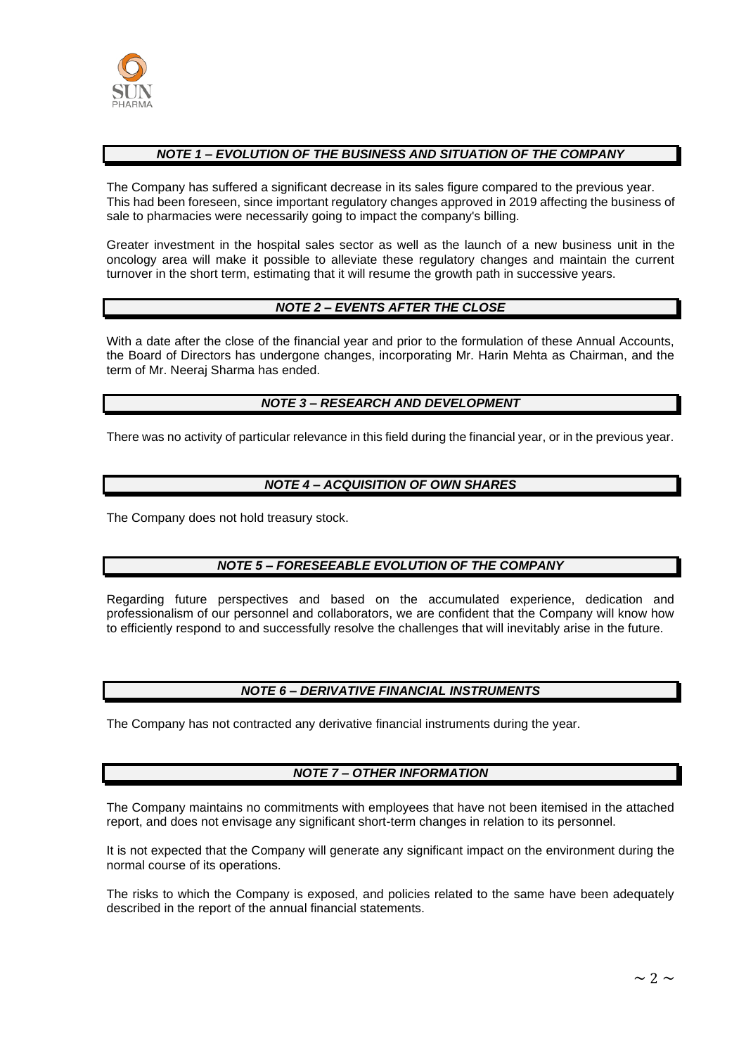

# *NOTE 1 – EVOLUTION OF THE BUSINESS AND SITUATION OF THE COMPANY*

The Company has suffered a significant decrease in its sales figure compared to the previous year. This had been foreseen, since important regulatory changes approved in 2019 affecting the business of sale to pharmacies were necessarily going to impact the company's billing.

Greater investment in the hospital sales sector as well as the launch of a new business unit in the oncology area will make it possible to alleviate these regulatory changes and maintain the current turnover in the short term, estimating that it will resume the growth path in successive years.

#### *NOTE 2 – EVENTS AFTER THE CLOSE*

With a date after the close of the financial year and prior to the formulation of these Annual Accounts, the Board of Directors has undergone changes, incorporating Mr. Harin Mehta as Chairman, and the term of Mr. Neeraj Sharma has ended.

#### *NOTE 3 – RESEARCH AND DEVELOPMENT*

There was no activity of particular relevance in this field during the financial year, or in the previous year.

#### *NOTE 4 – ACQUISITION OF OWN SHARES*

The Company does not hold treasury stock.

# *NOTE 5 – FORESEEABLE EVOLUTION OF THE COMPANY*

Regarding future perspectives and based on the accumulated experience, dedication and professionalism of our personnel and collaborators, we are confident that the Company will know how to efficiently respond to and successfully resolve the challenges that will inevitably arise in the future.

#### *NOTE 6 – DERIVATIVE FINANCIAL INSTRUMENTS*

The Company has not contracted any derivative financial instruments during the year.

# *NOTE 7 – OTHER INFORMATION*

The Company maintains no commitments with employees that have not been itemised in the attached report, and does not envisage any significant short-term changes in relation to its personnel.

It is not expected that the Company will generate any significant impact on the environment during the normal course of its operations.

The risks to which the Company is exposed, and policies related to the same have been adequately described in the report of the annual financial statements.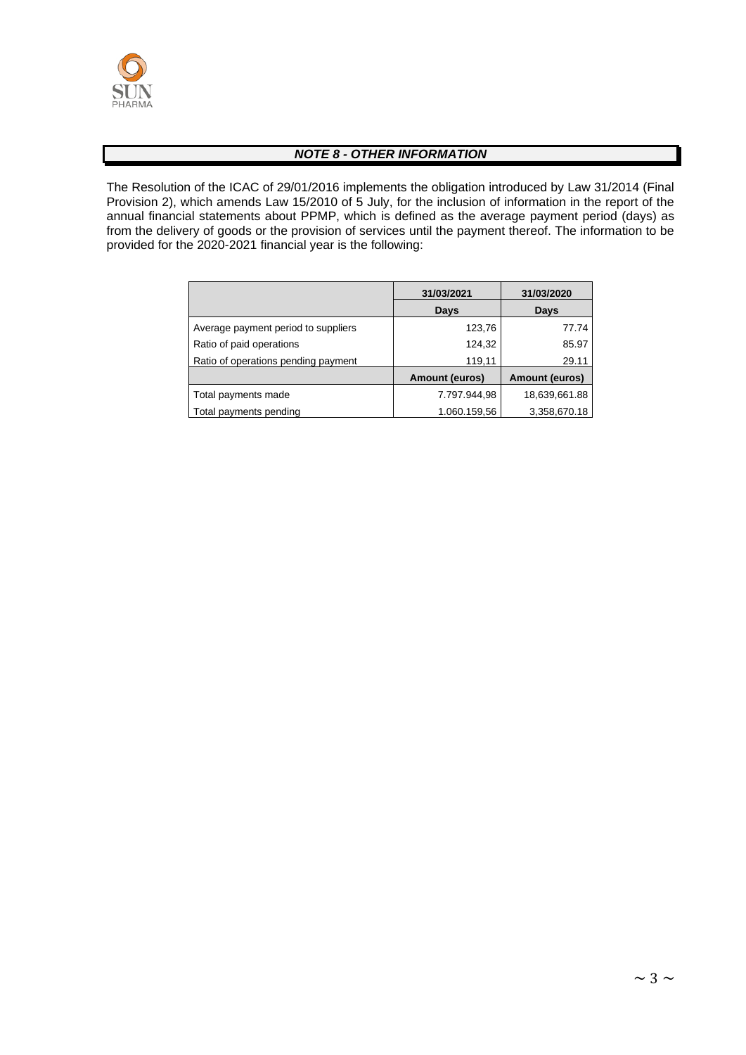

# *NOTE 8 - OTHER INFORMATION*

The Resolution of the ICAC of 29/01/2016 implements the obligation introduced by Law 31/2014 (Final Provision 2), which amends Law 15/2010 of 5 July, for the inclusion of information in the report of the annual financial statements about PPMP, which is defined as the average payment period (days) as from the delivery of goods or the provision of services until the payment thereof. The information to be provided for the 2020-2021 financial year is the following:

|                                     | 31/03/2021            | 31/03/2020            |
|-------------------------------------|-----------------------|-----------------------|
|                                     | Days                  | Days                  |
| Average payment period to suppliers | 123,76                | 77.74                 |
| Ratio of paid operations            | 124,32                | 85.97                 |
| Ratio of operations pending payment | 119,11                | 29.11                 |
|                                     | <b>Amount (euros)</b> | <b>Amount (euros)</b> |
| Total payments made                 | 7.797.944,98          | 18,639,661.88         |
| Total payments pending              | 1.060.159,56          | 3,358,670.18          |